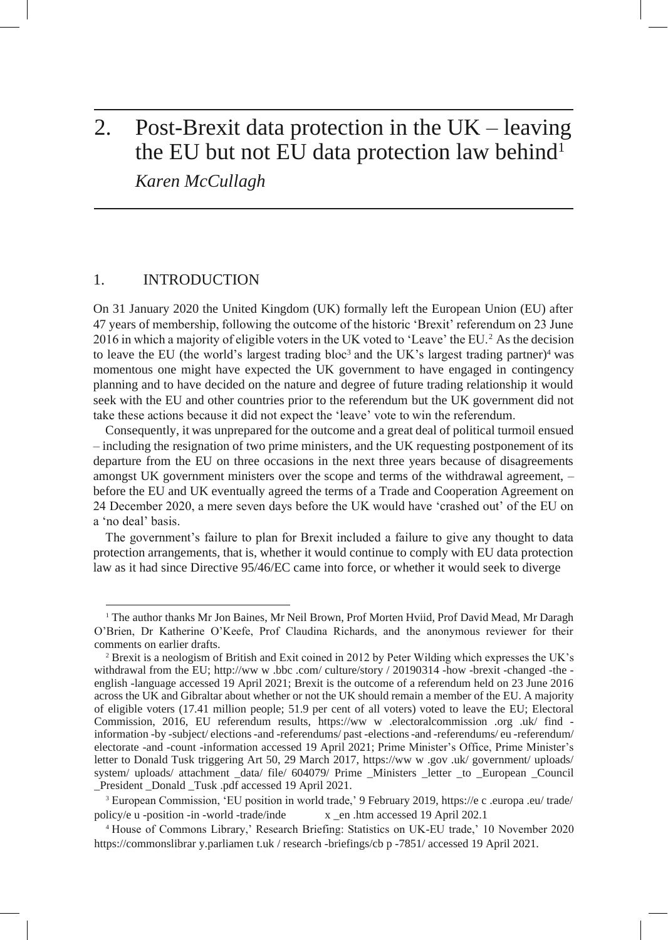# 2. Post-Brexit data protection in the UK – leaving the EU but not EU data protection law behind<sup>1</sup> *Karen McCullagh*

## 1. INTRODUCTION

On 31 January 2020 the United Kingdom (UK) formally left the European Union (EU) after 47 years of membership, following the outcome of the historic 'Brexit' referendum on 23 June 2016 in which a majority of eligible voters in the UK voted to 'Leave' the EU.<sup>2</sup> As the decision to leave the EU (the world's largest trading bloc<sup>3</sup> and the UK's largest trading partner)<sup>4</sup> was momentous one might have expected the UK government to have engaged in contingency planning and to have decided on the nature and degree of future trading relationship it would seek with the EU and other countries prior to the referendum but the UK government did not take these actions because it did not expect the 'leave' vote to win the referendum.

Consequently, it was unprepared for the outcome and a great deal of political turmoil ensued – including the resignation of two prime ministers, and the UK requesting postponement of its departure from the EU on three occasions in the next three years because of disagreements amongst UK government ministers over the scope and terms of the withdrawal agreement, – before the EU and UK eventually agreed the terms of a Trade and Cooperation Agreement on 24 December 2020, a mere seven days before the UK would have 'crashed out' of the EU on a 'no deal' basis.

The government's failure to plan for Brexit included a failure to give any thought to data protection arrangements, that is, whether it would continue to comply with EU data protection law as it had since Directive 95/46/EC came into force, or whether it would seek to diverge

<sup>&</sup>lt;sup>1</sup> The author thanks Mr Jon Baines, Mr Neil Brown, Prof Morten Hviid, Prof David Mead, Mr Daragh O'Brien, Dr Katherine O'Keefe, Prof Claudina Richards, and the anonymous reviewer for their comments on earlier drafts.

<sup>2</sup> Brexit is a neologism of British and Exit coined in 2012 by Peter Wilding which expresses the UK's withdrawal from the EU; [http://ww](http://www.bbc.com/culture/story/20190314-how-brexit-changed-the-english-language) [w](http://www.bbc.com/culture/story/20190314-how-brexit-changed-the-english-language) [.bbc](http://www.bbc.com/culture/story/20190314-how-brexit-changed-the-english-language) [.com/](http://www.bbc.com/culture/story/20190314-how-brexit-changed-the-english-language) [culture/story](http://www.bbc.com/culture/story/20190314-how-brexit-changed-the-english-language) [/](http://www.bbc.com/culture/story/20190314-how-brexit-changed-the-english-language) [20190314](http://www.bbc.com/culture/story/20190314-how-brexit-changed-the-english-language) [-how](http://www.bbc.com/culture/story/20190314-how-brexit-changed-the-english-language) [-brexit](http://www.bbc.com/culture/story/20190314-how-brexit-changed-the-english-language) [-changed](http://www.bbc.com/culture/story/20190314-how-brexit-changed-the-english-language) [-the](http://www.bbc.com/culture/story/20190314-how-brexit-changed-the-english-language)  [english](http://www.bbc.com/culture/story/20190314-how-brexit-changed-the-english-language) [-language](http://www.bbc.com/culture/story/20190314-how-brexit-changed-the-english-language) accessed 19 April 2021; Brexit is the outcome of a referendum held on 23 June 2016 across the UK and Gibraltar about whether or not the UK should remain a member of the EU. A majority of eligible voters (17.41 million people; 51.9 per cent of all voters) voted to leave the EU; Electoral Commission, 2016, EU referendum results, [https://ww](https://www.electoralcommission.org.uk/find-information-by-subject/elections-and-referendums/past-elections-and-referendums/eu-referendum/electorate-and-count-information) [w](https://www.electoralcommission.org.uk/find-information-by-subject/elections-and-referendums/past-elections-and-referendums/eu-referendum/electorate-and-count-information) [.electoralcommission](https://www.electoralcommission.org.uk/find-information-by-subject/elections-and-referendums/past-elections-and-referendums/eu-referendum/electorate-and-count-information) [.org](https://www.electoralcommission.org.uk/find-information-by-subject/elections-and-referendums/past-elections-and-referendums/eu-referendum/electorate-and-count-information) [.uk/](https://www.electoralcommission.org.uk/find-information-by-subject/elections-and-referendums/past-elections-and-referendums/eu-referendum/electorate-and-count-information) [find](https://www.electoralcommission.org.uk/find-information-by-subject/elections-and-referendums/past-elections-and-referendums/eu-referendum/electorate-and-count-information)  [information](https://www.electoralcommission.org.uk/find-information-by-subject/elections-and-referendums/past-elections-and-referendums/eu-referendum/electorate-and-count-information) [-by](https://www.electoralcommission.org.uk/find-information-by-subject/elections-and-referendums/past-elections-and-referendums/eu-referendum/electorate-and-count-information) [-subject/](https://www.electoralcommission.org.uk/find-information-by-subject/elections-and-referendums/past-elections-and-referendums/eu-referendum/electorate-and-count-information) [elections-and](https://www.electoralcommission.org.uk/find-information-by-subject/elections-and-referendums/past-elections-and-referendums/eu-referendum/electorate-and-count-information) [-referendums/](https://www.electoralcommission.org.uk/find-information-by-subject/elections-and-referendums/past-elections-and-referendums/eu-referendum/electorate-and-count-information) [past](https://www.electoralcommission.org.uk/find-information-by-subject/elections-and-referendums/past-elections-and-referendums/eu-referendum/electorate-and-count-information) [-elections-and](https://www.electoralcommission.org.uk/find-information-by-subject/elections-and-referendums/past-elections-and-referendums/eu-referendum/electorate-and-count-information) [-referendums/](https://www.electoralcommission.org.uk/find-information-by-subject/elections-and-referendums/past-elections-and-referendums/eu-referendum/electorate-and-count-information) [eu](https://www.electoralcommission.org.uk/find-information-by-subject/elections-and-referendums/past-elections-and-referendums/eu-referendum/electorate-and-count-information) [-referendum/](https://www.electoralcommission.org.uk/find-information-by-subject/elections-and-referendums/past-elections-and-referendums/eu-referendum/electorate-and-count-information) [electorate](https://www.electoralcommission.org.uk/find-information-by-subject/elections-and-referendums/past-elections-and-referendums/eu-referendum/electorate-and-count-information) [-and](https://www.electoralcommission.org.uk/find-information-by-subject/elections-and-referendums/past-elections-and-referendums/eu-referendum/electorate-and-count-information) [-count](https://www.electoralcommission.org.uk/find-information-by-subject/elections-and-referendums/past-elections-and-referendums/eu-referendum/electorate-and-count-information) [-information a](https://www.electoralcommission.org.uk/find-information-by-subject/elections-and-referendums/past-elections-and-referendums/eu-referendum/electorate-and-count-information)ccessed 19 April 2021; Prime Minister's Office, Prime Minister's letter to Donald Tusk triggering Art 50, 29 March 2017, [https://ww](https://www.gov.uk/government/uploads/system/uploads/attachment_data/file/604079/Prime_Ministers_letter_to_European_Council_President_Donald_Tusk.pdf) [w](https://www.gov.uk/government/uploads/system/uploads/attachment_data/file/604079/Prime_Ministers_letter_to_European_Council_President_Donald_Tusk.pdf) [.gov](https://www.gov.uk/government/uploads/system/uploads/attachment_data/file/604079/Prime_Ministers_letter_to_European_Council_President_Donald_Tusk.pdf) [.uk/](https://www.gov.uk/government/uploads/system/uploads/attachment_data/file/604079/Prime_Ministers_letter_to_European_Council_President_Donald_Tusk.pdf) [government/](https://www.gov.uk/government/uploads/system/uploads/attachment_data/file/604079/Prime_Ministers_letter_to_European_Council_President_Donald_Tusk.pdf) [uploads/](https://www.gov.uk/government/uploads/system/uploads/attachment_data/file/604079/Prime_Ministers_letter_to_European_Council_President_Donald_Tusk.pdf) [system/](https://www.gov.uk/government/uploads/system/uploads/attachment_data/file/604079/Prime_Ministers_letter_to_European_Council_President_Donald_Tusk.pdf) [uploads/](https://www.gov.uk/government/uploads/system/uploads/attachment_data/file/604079/Prime_Ministers_letter_to_European_Council_President_Donald_Tusk.pdf) [attachment](https://www.gov.uk/government/uploads/system/uploads/attachment_data/file/604079/Prime_Ministers_letter_to_European_Council_President_Donald_Tusk.pdf) [\\_data/](https://www.gov.uk/government/uploads/system/uploads/attachment_data/file/604079/Prime_Ministers_letter_to_European_Council_President_Donald_Tusk.pdf) [file/](https://www.gov.uk/government/uploads/system/uploads/attachment_data/file/604079/Prime_Ministers_letter_to_European_Council_President_Donald_Tusk.pdf) [604079/](https://www.gov.uk/government/uploads/system/uploads/attachment_data/file/604079/Prime_Ministers_letter_to_European_Council_President_Donald_Tusk.pdf) [Prime](https://www.gov.uk/government/uploads/system/uploads/attachment_data/file/604079/Prime_Ministers_letter_to_European_Council_President_Donald_Tusk.pdf) [\\_Ministers](https://www.gov.uk/government/uploads/system/uploads/attachment_data/file/604079/Prime_Ministers_letter_to_European_Council_President_Donald_Tusk.pdf) [\\_letter](https://www.gov.uk/government/uploads/system/uploads/attachment_data/file/604079/Prime_Ministers_letter_to_European_Council_President_Donald_Tusk.pdf) [\\_to](https://www.gov.uk/government/uploads/system/uploads/attachment_data/file/604079/Prime_Ministers_letter_to_European_Council_President_Donald_Tusk.pdf) [\\_European](https://www.gov.uk/government/uploads/system/uploads/attachment_data/file/604079/Prime_Ministers_letter_to_European_Council_President_Donald_Tusk.pdf) [\\_Council](https://www.gov.uk/government/uploads/system/uploads/attachment_data/file/604079/Prime_Ministers_letter_to_European_Council_President_Donald_Tusk.pdf) [\\_President](https://www.gov.uk/government/uploads/system/uploads/attachment_data/file/604079/Prime_Ministers_letter_to_European_Council_President_Donald_Tusk.pdf) [\\_Donald](https://www.gov.uk/government/uploads/system/uploads/attachment_data/file/604079/Prime_Ministers_letter_to_European_Council_President_Donald_Tusk.pdf) [\\_Tusk](https://www.gov.uk/government/uploads/system/uploads/attachment_data/file/604079/Prime_Ministers_letter_to_European_Council_President_Donald_Tusk.pdf) [.pdf a](https://www.gov.uk/government/uploads/system/uploads/attachment_data/file/604079/Prime_Ministers_letter_to_European_Council_President_Donald_Tusk.pdf)ccessed 19 April 2021.

<sup>3</sup> European Commission, 'EU position in world trade,' 9 February 2019, [https://e](https://ec.europa.eu/trade/policy/eu-position-in-world-trade/index_en.htm) [c](https://ec.europa.eu/trade/policy/eu-position-in-world-trade/index_en.htm) [.europa](https://ec.europa.eu/trade/policy/eu-position-in-world-trade/index_en.htm) [.eu/](https://ec.europa.eu/trade/policy/eu-position-in-world-trade/index_en.htm) [trade/](https://ec.europa.eu/trade/policy/eu-position-in-world-trade/index_en.htm) [policy/e](https://ec.europa.eu/trade/policy/eu-position-in-world-trade/index_en.htm) [u](https://ec.europa.eu/trade/policy/eu-position-in-world-trade/index_en.htm) [-position](https://ec.europa.eu/trade/policy/eu-position-in-world-trade/index_en.htm) [-in](https://ec.europa.eu/trade/policy/eu-position-in-world-trade/index_en.htm) [-world](https://ec.europa.eu/trade/policy/eu-position-in-world-trade/index_en.htm) [-trade/inde](https://ec.europa.eu/trade/policy/eu-position-in-world-trade/index_en.htm) [x](https://ec.europa.eu/trade/policy/eu-position-in-world-trade/index_en.htm) [\\_en](https://ec.europa.eu/trade/policy/eu-position-in-world-trade/index_en.htm) [.htm](https://ec.europa.eu/trade/policy/eu-position-in-world-trade/index_en.htm) accessed 19 April 202.1

<sup>4</sup> House of Commons Library,' Research Briefing: Statistics on UK-EU trade,' 10 November 2020 [https://commonslibrar](https://commonslibrary.parliament.uk/research-briefings/cbp-7851/) [y.parliamen](https://commonslibrary.parliament.uk/research-briefings/cbp-7851/) [t.uk](https://commonslibrary.parliament.uk/research-briefings/cbp-7851/) [/](https://commonslibrary.parliament.uk/research-briefings/cbp-7851/) [research](https://commonslibrary.parliament.uk/research-briefings/cbp-7851/) [-briefings/cb](https://commonslibrary.parliament.uk/research-briefings/cbp-7851/) [p](https://commonslibrary.parliament.uk/research-briefings/cbp-7851/) [-7851/](https://commonslibrary.parliament.uk/research-briefings/cbp-7851/) accessed 19 April 2021.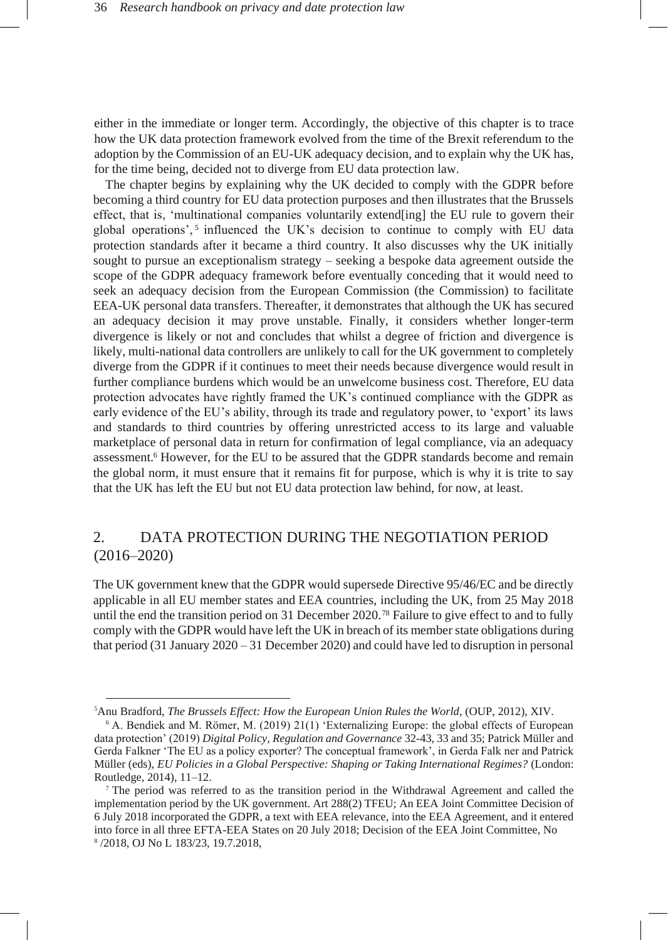either in the immediate or longer term. Accordingly, the objective of this chapter is to trace how the UK data protection framework evolved from the time of the Brexit referendum to the adoption by the Commission of an EU-UK adequacy decision, and to explain why the UK has, for the time being, decided not to diverge from EU data protection law.

The chapter begins by explaining why the UK decided to comply with the GDPR before becoming a third country for EU data protection purposes and then illustrates that the Brussels effect, that is, 'multinational companies voluntarily extend[ing] the EU rule to govern their global operations',<sup>5</sup> influenced the UK's decision to continue to comply with EU data protection standards after it became a third country. It also discusses why the UK initially sought to pursue an exceptionalism strategy – seeking a bespoke data agreement outside the scope of the GDPR adequacy framework before eventually conceding that it would need to seek an adequacy decision from the European Commission (the Commission) to facilitate EEA-UK personal data transfers. Thereafter, it demonstrates that although the UK has secured an adequacy decision it may prove unstable. Finally, it considers whether longer-term divergence is likely or not and concludes that whilst a degree of friction and divergence is likely, multi-national data controllers are unlikely to call for the UK government to completely diverge from the GDPR if it continues to meet their needs because divergence would result in further compliance burdens which would be an unwelcome business cost. Therefore, EU data protection advocates have rightly framed the UK's continued compliance with the GDPR as early evidence of the EU's ability, through its trade and regulatory power, to 'export' its laws and standards to third countries by offering unrestricted access to its large and valuable marketplace of personal data in return for confirmation of legal compliance, via an adequacy assessment.<sup>6</sup> However, for the EU to be assured that the GDPR standards become and remain the global norm, it must ensure that it remains fit for purpose, which is why it is trite to say that the UK has left the EU but not EU data protection law behind, for now, at least.

# 2. DATA PROTECTION DURING THE NEGOTIATION PERIOD (2016–2020)

The UK government knew that the GDPR would supersede Directive 95/46/EC and be directly applicable in all EU member states and EEA countries, including the UK, from 25 May 2018 until the end the transition period on 31 December 2020.<sup>78</sup> Failure to give effect to and to fully comply with the GDPR would have left the UK in breach of its member state obligations during that period (31 January 2020 – 31 December 2020) and could have led to disruption in personal

<sup>5</sup>Anu Bradford, *The Brussels Effect: How the European Union Rules the World*, (OUP, 2012), XIV.

<sup>6</sup> A. Bendiek and M. Römer, M. (2019) 21(1) 'Externalizing Europe: the global effects of European data protection' (2019) *Digital Policy, Regulation and Governance* 32-43, 33 and 35; Patrick Müller and Gerda Falkner 'The EU as a policy exporter? The conceptual framework', in Gerda Falk ner and Patrick Müller (eds), *EU Policies in a Global Perspective: Shaping or Taking International Regimes?* (London: Routledge, 2014), 11–12.

<sup>7</sup> The period was referred to as the transition period in the Withdrawal Agreement and called the implementation period by the UK government. Art 288(2) TFEU; An EEA Joint Committee Decision of 6 July 2018 incorporated the GDPR, a text with EEA relevance, into the EEA Agreement, and it entered into force in all three EFTA-EEA States on 20 July 2018; Decision of the EEA Joint Committee, No 8 /2018, OJ No L 183/23, 19.7.2018,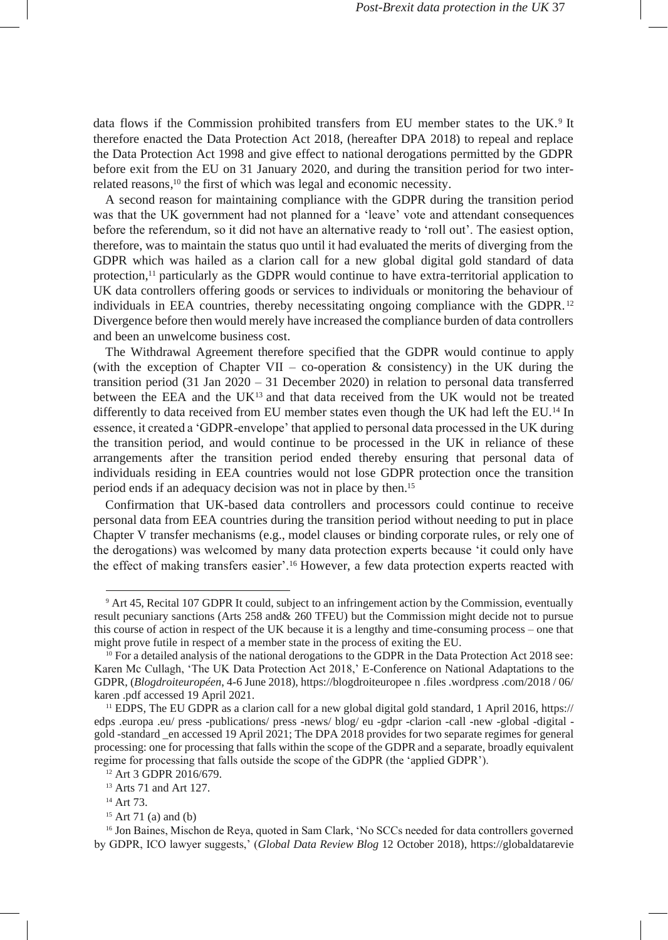data flows if the Commission prohibited transfers from EU member states to the UK.<sup>9</sup> It therefore enacted the Data Protection Act 2018, (hereafter DPA 2018) to repeal and replace the Data Protection Act 1998 and give effect to national derogations permitted by the GDPR before exit from the EU on 31 January 2020, and during the transition period for two interrelated reasons, <sup>10</sup> the first of which was legal and economic necessity.

A second reason for maintaining compliance with the GDPR during the transition period was that the UK government had not planned for a 'leave' vote and attendant consequences before the referendum, so it did not have an alternative ready to 'roll out'. The easiest option, therefore, was to maintain the status quo until it had evaluated the merits of diverging from the GDPR which was hailed as a clarion call for a new global digital gold standard of data protection,<sup>11</sup> particularly as the GDPR would continue to have extra-territorial application to UK data controllers offering goods or services to individuals or monitoring the behaviour of individuals in EEA countries, thereby necessitating ongoing compliance with the GDPR.<sup>12</sup> Divergence before then would merely have increased the compliance burden of data controllers and been an unwelcome business cost.

The Withdrawal Agreement therefore specified that the GDPR would continue to apply (with the exception of Chapter VII – co-operation  $\&$  consistency) in the UK during the transition period  $(31 \text{ Jan } 2020 - 31 \text{ December } 2020)$  in relation to personal data transferred between the EEA and the  $UK<sup>13</sup>$  and that data received from the UK would not be treated differently to data received from EU member states even though the UK had left the EU.<sup>14</sup> In essence, it created a 'GDPR-envelope' that applied to personal data processed in the UK during the transition period, and would continue to be processed in the UK in reliance of these arrangements after the transition period ended thereby ensuring that personal data of individuals residing in EEA countries would not lose GDPR protection once the transition period ends if an adequacy decision was not in place by then.<sup>15</sup>

Confirmation that UK-based data controllers and processors could continue to receive personal data from EEA countries during the transition period without needing to put in place Chapter V transfer mechanisms (e.g., model clauses or binding corporate rules, or rely one of the derogations) was welcomed by many data protection experts because 'it could only have the effect of making transfers easier'.<sup>16</sup> However, a few data protection experts reacted with

<sup>9</sup> Art 45, Recital 107 GDPR It could, subject to an infringement action by the Commission, eventually result pecuniary sanctions (Arts 258 and& 260 TFEU) but the Commission might decide not to pursue this course of action in respect of the UK because it is a lengthy and time-consuming process – one that might prove futile in respect of a member state in the process of exiting the EU.

<sup>&</sup>lt;sup>10</sup> For a detailed analysis of the national derogations to the GDPR in the Data Protection Act 2018 see: Karen Mc Cullagh, 'The UK Data Protection Act 2018,' E-Conference on National Adaptations to the GDPR, (*Blogdroiteuropéen*, 4-6 June 2018), [https://blogdroiteuropee](https://blogdroiteuropeen.files.wordpress.com/2018/06/karen.pdf) [n](https://blogdroiteuropeen.files.wordpress.com/2018/06/karen.pdf) [.files](https://blogdroiteuropeen.files.wordpress.com/2018/06/karen.pdf) [.wordpress](https://blogdroiteuropeen.files.wordpress.com/2018/06/karen.pdf) [.com/2018](https://blogdroiteuropeen.files.wordpress.com/2018/06/karen.pdf) [/](https://blogdroiteuropeen.files.wordpress.com/2018/06/karen.pdf) [06/](https://blogdroiteuropeen.files.wordpress.com/2018/06/karen.pdf) [karen](https://blogdroiteuropeen.files.wordpress.com/2018/06/karen.pdf) [.pdf](https://blogdroiteuropeen.files.wordpress.com/2018/06/karen.pdf) accessed 19 April 2021.

<sup>11</sup> EDPS, The EU GDPR as a clarion call for a new global digital gold standard, 1 April 2016[, https://](https://edps.europa.eu/press-publications/press-news/blog/eu-gdpr-clarion-call-new-global-digital-gold-standard_en) [edps](https://edps.europa.eu/press-publications/press-news/blog/eu-gdpr-clarion-call-new-global-digital-gold-standard_en) [.europa](https://edps.europa.eu/press-publications/press-news/blog/eu-gdpr-clarion-call-new-global-digital-gold-standard_en) [.eu/](https://edps.europa.eu/press-publications/press-news/blog/eu-gdpr-clarion-call-new-global-digital-gold-standard_en) [press](https://edps.europa.eu/press-publications/press-news/blog/eu-gdpr-clarion-call-new-global-digital-gold-standard_en) [-publications/](https://edps.europa.eu/press-publications/press-news/blog/eu-gdpr-clarion-call-new-global-digital-gold-standard_en) [press](https://edps.europa.eu/press-publications/press-news/blog/eu-gdpr-clarion-call-new-global-digital-gold-standard_en) [-news/](https://edps.europa.eu/press-publications/press-news/blog/eu-gdpr-clarion-call-new-global-digital-gold-standard_en) [blog/](https://edps.europa.eu/press-publications/press-news/blog/eu-gdpr-clarion-call-new-global-digital-gold-standard_en) [eu](https://edps.europa.eu/press-publications/press-news/blog/eu-gdpr-clarion-call-new-global-digital-gold-standard_en) [-gdpr](https://edps.europa.eu/press-publications/press-news/blog/eu-gdpr-clarion-call-new-global-digital-gold-standard_en) [-clarion](https://edps.europa.eu/press-publications/press-news/blog/eu-gdpr-clarion-call-new-global-digital-gold-standard_en) [-call](https://edps.europa.eu/press-publications/press-news/blog/eu-gdpr-clarion-call-new-global-digital-gold-standard_en) [-new](https://edps.europa.eu/press-publications/press-news/blog/eu-gdpr-clarion-call-new-global-digital-gold-standard_en) [-global](https://edps.europa.eu/press-publications/press-news/blog/eu-gdpr-clarion-call-new-global-digital-gold-standard_en) [-digital](https://edps.europa.eu/press-publications/press-news/blog/eu-gdpr-clarion-call-new-global-digital-gold-standard_en)  [gold](https://edps.europa.eu/press-publications/press-news/blog/eu-gdpr-clarion-call-new-global-digital-gold-standard_en) [-standard](https://edps.europa.eu/press-publications/press-news/blog/eu-gdpr-clarion-call-new-global-digital-gold-standard_en) [\\_en](https://edps.europa.eu/press-publications/press-news/blog/eu-gdpr-clarion-call-new-global-digital-gold-standard_en) accessed 19 April 2021; The DPA 2018 provides for two separate regimes for general processing: one for processing that falls within the scope of the GDPR and a separate, broadly equivalent regime for processing that falls outside the scope of the GDPR (the 'applied GDPR').

<sup>12</sup> Art 3 GDPR 2016/679.

<sup>&</sup>lt;sup>13</sup> Arts 71 and Art 127.

<sup>14</sup> Art 73.

 $15$  Art 71 (a) and (b)

<sup>&</sup>lt;sup>16</sup> Jon Baines, Mischon de Reya, quoted in Sam Clark, 'No SCCs needed for data controllers governed by GDPR, ICO lawyer suggests,' (*Global Data Review Blog* 12 October 2018), [https://globaldatarevie](https://globaldatareview.com/data-privacy/no-sccs-needed-data-controllers-governed-gdpr-ico-lawyer-suggests)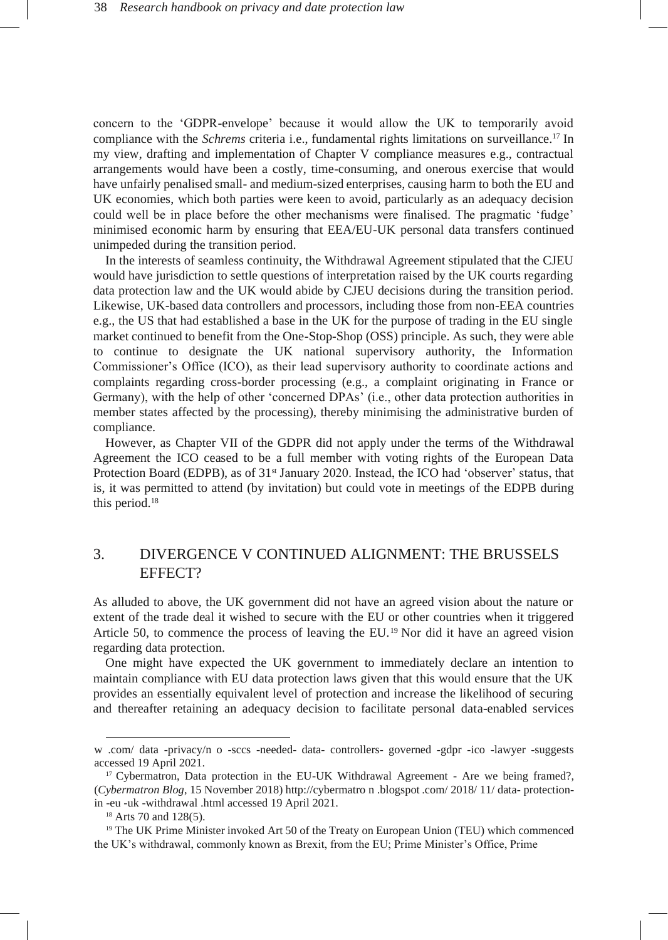concern to the 'GDPR-envelope' because it would allow the UK to temporarily avoid compliance with the *Schrems* criteria i.e., fundamental rights limitations on surveillance.<sup>17</sup> In my view, drafting and implementation of Chapter V compliance measures e.g., contractual arrangements would have been a costly, time-consuming, and onerous exercise that would have unfairly penalised small- and medium-sized enterprises, causing harm to both the EU and UK economies, which both parties were keen to avoid, particularly as an adequacy decision could well be in place before the other mechanisms were finalised. The pragmatic 'fudge' minimised economic harm by ensuring that EEA/EU-UK personal data transfers continued unimpeded during the transition period.

In the interests of seamless continuity, the Withdrawal Agreement stipulated that the CJEU would have jurisdiction to settle questions of interpretation raised by the UK courts regarding data protection law and the UK would abide by CJEU decisions during the transition period. Likewise, UK-based data controllers and processors, including those from non-EEA countries e.g., the US that had established a base in the UK for the purpose of trading in the EU single market continued to benefit from the One-Stop-Shop (OSS) principle. As such, they were able to continue to designate the UK national supervisory authority, the Information Commissioner's Office (ICO), as their lead supervisory authority to coordinate actions and complaints regarding cross-border processing (e.g., a complaint originating in France or Germany), with the help of other 'concerned DPAs' (i.e., other data protection authorities in member states affected by the processing), thereby minimising the administrative burden of compliance.

However, as Chapter VII of the GDPR did not apply under the terms of the Withdrawal Agreement the ICO ceased to be a full member with voting rights of the European Data Protection Board (EDPB), as of 31<sup>st</sup> January 2020. Instead, the ICO had 'observer' status, that is, it was permitted to attend (by invitation) but could vote in meetings of the EDPB during this period.<sup>18</sup>

# 3. DIVERGENCE V CONTINUED ALIGNMENT: THE BRUSSELS EFFECT?

As alluded to above, the UK government did not have an agreed vision about the nature or extent of the trade deal it wished to secure with the EU or other countries when it triggered Article 50, to commence the process of leaving the EU.<sup>19</sup> Nor did it have an agreed vision regarding data protection.

One might have expected the UK government to immediately declare an intention to maintain compliance with EU data protection laws given that this would ensure that the UK provides an essentially equivalent level of protection and increase the likelihood of securing and thereafter retaining an adequacy decision to facilitate personal data-enabled services

[w](https://globaldatareview.com/data-privacy/no-sccs-needed-data-controllers-governed-gdpr-ico-lawyer-suggests) [.com/](https://globaldatareview.com/data-privacy/no-sccs-needed-data-controllers-governed-gdpr-ico-lawyer-suggests) [data](https://globaldatareview.com/data-privacy/no-sccs-needed-data-controllers-governed-gdpr-ico-lawyer-suggests) [-privacy/n](https://globaldatareview.com/data-privacy/no-sccs-needed-data-controllers-governed-gdpr-ico-lawyer-suggests) [o](https://globaldatareview.com/data-privacy/no-sccs-needed-data-controllers-governed-gdpr-ico-lawyer-suggests) [-sccs](https://globaldatareview.com/data-privacy/no-sccs-needed-data-controllers-governed-gdpr-ico-lawyer-suggests) [-needed-](https://globaldatareview.com/data-privacy/no-sccs-needed-data-controllers-governed-gdpr-ico-lawyer-suggests) [data-](https://globaldatareview.com/data-privacy/no-sccs-needed-data-controllers-governed-gdpr-ico-lawyer-suggests) [controllers-](https://globaldatareview.com/data-privacy/no-sccs-needed-data-controllers-governed-gdpr-ico-lawyer-suggests) [governed](https://globaldatareview.com/data-privacy/no-sccs-needed-data-controllers-governed-gdpr-ico-lawyer-suggests) [-gdpr](https://globaldatareview.com/data-privacy/no-sccs-needed-data-controllers-governed-gdpr-ico-lawyer-suggests) [-ico](https://globaldatareview.com/data-privacy/no-sccs-needed-data-controllers-governed-gdpr-ico-lawyer-suggests) [-lawyer](https://globaldatareview.com/data-privacy/no-sccs-needed-data-controllers-governed-gdpr-ico-lawyer-suggests) [-suggests](https://globaldatareview.com/data-privacy/no-sccs-needed-data-controllers-governed-gdpr-ico-lawyer-suggests) accessed 19 April 2021.

<sup>&</sup>lt;sup>17</sup> Cybermatron, Data protection in the EU-UK Withdrawal Agreement - Are we being framed?, (*Cybermatron Blog*, 15 November 2018[\) http://cybermatro](http://cybermatron.blogspot.com/2018/11/data-protection-in-eu-uk-withdrawal.html) [n](http://cybermatron.blogspot.com/2018/11/data-protection-in-eu-uk-withdrawal.html) [.blogspot](http://cybermatron.blogspot.com/2018/11/data-protection-in-eu-uk-withdrawal.html) [.com/](http://cybermatron.blogspot.com/2018/11/data-protection-in-eu-uk-withdrawal.html) [2018/](http://cybermatron.blogspot.com/2018/11/data-protection-in-eu-uk-withdrawal.html) [11/](http://cybermatron.blogspot.com/2018/11/data-protection-in-eu-uk-withdrawal.html) [data-](http://cybermatron.blogspot.com/2018/11/data-protection-in-eu-uk-withdrawal.html) [protection](http://cybermatron.blogspot.com/2018/11/data-protection-in-eu-uk-withdrawal.html)[in](http://cybermatron.blogspot.com/2018/11/data-protection-in-eu-uk-withdrawal.html) [-eu](http://cybermatron.blogspot.com/2018/11/data-protection-in-eu-uk-withdrawal.html) [-uk](http://cybermatron.blogspot.com/2018/11/data-protection-in-eu-uk-withdrawal.html) [-withdrawal](http://cybermatron.blogspot.com/2018/11/data-protection-in-eu-uk-withdrawal.html) [.html](http://cybermatron.blogspot.com/2018/11/data-protection-in-eu-uk-withdrawal.html) accessed 19 April 2021.

<sup>&</sup>lt;sup>18</sup> Arts 70 and 128(5).

<sup>19</sup> The UK Prime Minister invoked Art 50 of the Treaty on European Union (TEU) which commenced the UK's withdrawal, commonly known as Brexit, from the EU; Prime Minister's Office, Prime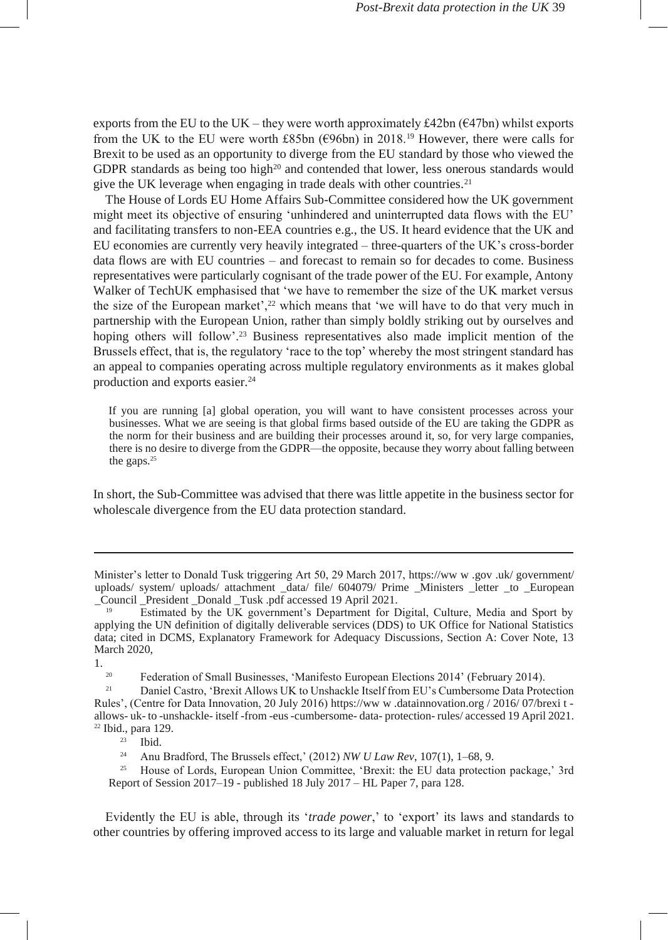exports from the EU to the UK – they were worth approximately  $\text{\pounds}42\text{bn}$  ( $\text{\pounds}47\text{bn}$ ) whilst exports from the UK to the EU were worth £85bn ( $\epsilon$ 96bn) in 2018.<sup>19</sup> However, there were calls for Brexit to be used as an opportunity to diverge from the EU standard by those who viewed the GDPR standards as being too high<sup>20</sup> and contended that lower, less onerous standards would give the UK leverage when engaging in trade deals with other countries.<sup>21</sup>

The House of Lords EU Home Affairs Sub-Committee considered how the UK government might meet its objective of ensuring 'unhindered and uninterrupted data flows with the EU' and facilitating transfers to non-EEA countries e.g., the US. It heard evidence that the UK and EU economies are currently very heavily integrated – three-quarters of the UK's cross-border data flows are with EU countries – and forecast to remain so for decades to come. Business representatives were particularly cognisant of the trade power of the EU. For example, Antony Walker of TechUK emphasised that 'we have to remember the size of the UK market versus the size of the European market', $2<sup>2</sup>$  which means that 'we will have to do that very much in partnership with the European Union, rather than simply boldly striking out by ourselves and hoping others will follow'.<sup>23</sup> Business representatives also made implicit mention of the Brussels effect, that is, the regulatory 'race to the top' whereby the most stringent standard has an appeal to companies operating across multiple regulatory environments as it makes global production and exports easier.<sup>24</sup>

If you are running [a] global operation, you will want to have consistent processes across your businesses. What we are seeing is that global firms based outside of the EU are taking the GDPR as the norm for their business and are building their processes around it, so, for very large companies, there is no desire to diverge from the GDPR—the opposite, because they worry about falling between the gaps.<sup>25</sup>

In short, the Sub-Committee was advised that there was little appetite in the business sector for wholescale divergence from the EU data protection standard.

 $1.$ <sub>20</sub>

<sup>20</sup> Federation of Small Businesses, 'Manifesto European Elections 2014' (February 2014).

<sup>21</sup> Daniel Castro, 'Brexit Allows UK to Unshackle Itself from EU's Cumbersome Data Protection Rules', (Centre for Data Innovation, 20 July 2016) [https://ww](https://www.datainnovation.org/2016/07/brexit-allows-uk-to-unshackle-itself-from-eus-cumbersome-data-protection-rules/) [w](https://www.datainnovation.org/2016/07/brexit-allows-uk-to-unshackle-itself-from-eus-cumbersome-data-protection-rules/) [.datainnovation.org](https://www.datainnovation.org/2016/07/brexit-allows-uk-to-unshackle-itself-from-eus-cumbersome-data-protection-rules/) [/](https://www.datainnovation.org/2016/07/brexit-allows-uk-to-unshackle-itself-from-eus-cumbersome-data-protection-rules/) [2016/](https://www.datainnovation.org/2016/07/brexit-allows-uk-to-unshackle-itself-from-eus-cumbersome-data-protection-rules/) [07/brexi](https://www.datainnovation.org/2016/07/brexit-allows-uk-to-unshackle-itself-from-eus-cumbersome-data-protection-rules/) [t](https://www.datainnovation.org/2016/07/brexit-allows-uk-to-unshackle-itself-from-eus-cumbersome-data-protection-rules/)  [allows-](https://www.datainnovation.org/2016/07/brexit-allows-uk-to-unshackle-itself-from-eus-cumbersome-data-protection-rules/) [uk-](https://www.datainnovation.org/2016/07/brexit-allows-uk-to-unshackle-itself-from-eus-cumbersome-data-protection-rules/) [to](https://www.datainnovation.org/2016/07/brexit-allows-uk-to-unshackle-itself-from-eus-cumbersome-data-protection-rules/) [-unshackle-](https://www.datainnovation.org/2016/07/brexit-allows-uk-to-unshackle-itself-from-eus-cumbersome-data-protection-rules/) [itself](https://www.datainnovation.org/2016/07/brexit-allows-uk-to-unshackle-itself-from-eus-cumbersome-data-protection-rules/) [-from](https://www.datainnovation.org/2016/07/brexit-allows-uk-to-unshackle-itself-from-eus-cumbersome-data-protection-rules/) [-eus-cumbersome-](https://www.datainnovation.org/2016/07/brexit-allows-uk-to-unshackle-itself-from-eus-cumbersome-data-protection-rules/) [data-](https://www.datainnovation.org/2016/07/brexit-allows-uk-to-unshackle-itself-from-eus-cumbersome-data-protection-rules/) [protection-](https://www.datainnovation.org/2016/07/brexit-allows-uk-to-unshackle-itself-from-eus-cumbersome-data-protection-rules/) [rules/](https://www.datainnovation.org/2016/07/brexit-allows-uk-to-unshackle-itself-from-eus-cumbersome-data-protection-rules/) accessed 19 April 2021. <sup>22</sup> Ibid., para 129.

Ibid.

<sup>24</sup> Anu Bradford, The Brussels effect,' (2012) *NW U Law Rev*, 107(1), 1–68, 9.<br><sup>25</sup> House of Lords, Furonean Union Committee 'Brevit: the FU data protective

<sup>25</sup> House of Lords, European Union Committee, 'Brexit: the EU data protection package,' 3rd Report of Session 2017–19 - published 18 July 2017 – HL Paper 7, para 128.

Evidently the EU is able, through its '*trade power*,' to 'export' its laws and standards to other countries by offering improved access to its large and valuable market in return for legal

Minister's letter to Donald Tusk triggering Art 50, 29 March 2017[, https://ww](https://www.gov.uk/government/uploads/system/uploads/attachment_data/file/604079/Prime_Ministers_letter_to_European_Council_President_Donald_Tusk.pdf) [w](https://www.gov.uk/government/uploads/system/uploads/attachment_data/file/604079/Prime_Ministers_letter_to_European_Council_President_Donald_Tusk.pdf) [.gov](https://www.gov.uk/government/uploads/system/uploads/attachment_data/file/604079/Prime_Ministers_letter_to_European_Council_President_Donald_Tusk.pdf) [.uk/](https://www.gov.uk/government/uploads/system/uploads/attachment_data/file/604079/Prime_Ministers_letter_to_European_Council_President_Donald_Tusk.pdf) [government/](https://www.gov.uk/government/uploads/system/uploads/attachment_data/file/604079/Prime_Ministers_letter_to_European_Council_President_Donald_Tusk.pdf) [uploads/](https://www.gov.uk/government/uploads/system/uploads/attachment_data/file/604079/Prime_Ministers_letter_to_European_Council_President_Donald_Tusk.pdf) [system/](https://www.gov.uk/government/uploads/system/uploads/attachment_data/file/604079/Prime_Ministers_letter_to_European_Council_President_Donald_Tusk.pdf) [uploads/](https://www.gov.uk/government/uploads/system/uploads/attachment_data/file/604079/Prime_Ministers_letter_to_European_Council_President_Donald_Tusk.pdf) [attachment](https://www.gov.uk/government/uploads/system/uploads/attachment_data/file/604079/Prime_Ministers_letter_to_European_Council_President_Donald_Tusk.pdf) [\\_data/](https://www.gov.uk/government/uploads/system/uploads/attachment_data/file/604079/Prime_Ministers_letter_to_European_Council_President_Donald_Tusk.pdf) [file/](https://www.gov.uk/government/uploads/system/uploads/attachment_data/file/604079/Prime_Ministers_letter_to_European_Council_President_Donald_Tusk.pdf) [604079/](https://www.gov.uk/government/uploads/system/uploads/attachment_data/file/604079/Prime_Ministers_letter_to_European_Council_President_Donald_Tusk.pdf) [Prime](https://www.gov.uk/government/uploads/system/uploads/attachment_data/file/604079/Prime_Ministers_letter_to_European_Council_President_Donald_Tusk.pdf) [\\_Ministers](https://www.gov.uk/government/uploads/system/uploads/attachment_data/file/604079/Prime_Ministers_letter_to_European_Council_President_Donald_Tusk.pdf) [\\_letter](https://www.gov.uk/government/uploads/system/uploads/attachment_data/file/604079/Prime_Ministers_letter_to_European_Council_President_Donald_Tusk.pdf) [\\_to](https://www.gov.uk/government/uploads/system/uploads/attachment_data/file/604079/Prime_Ministers_letter_to_European_Council_President_Donald_Tusk.pdf) [\\_European](https://www.gov.uk/government/uploads/system/uploads/attachment_data/file/604079/Prime_Ministers_letter_to_European_Council_President_Donald_Tusk.pdf) [\\_Council](https://www.gov.uk/government/uploads/system/uploads/attachment_data/file/604079/Prime_Ministers_letter_to_European_Council_President_Donald_Tusk.pdf) [\\_President](https://www.gov.uk/government/uploads/system/uploads/attachment_data/file/604079/Prime_Ministers_letter_to_European_Council_President_Donald_Tusk.pdf) [\\_Donald](https://www.gov.uk/government/uploads/system/uploads/attachment_data/file/604079/Prime_Ministers_letter_to_European_Council_President_Donald_Tusk.pdf) [\\_Tusk](https://www.gov.uk/government/uploads/system/uploads/attachment_data/file/604079/Prime_Ministers_letter_to_European_Council_President_Donald_Tusk.pdf) [.pdf a](https://www.gov.uk/government/uploads/system/uploads/attachment_data/file/604079/Prime_Ministers_letter_to_European_Council_President_Donald_Tusk.pdf)ccessed 19 April 2021.

<sup>19</sup> Estimated by the UK government's Department for Digital, Culture, Media and Sport by applying the UN definition of digitally deliverable services (DDS) to UK Office for National Statistics data; cited in DCMS, Explanatory Framework for Adequacy Discussions, Section A: Cover Note, 13 March 2020,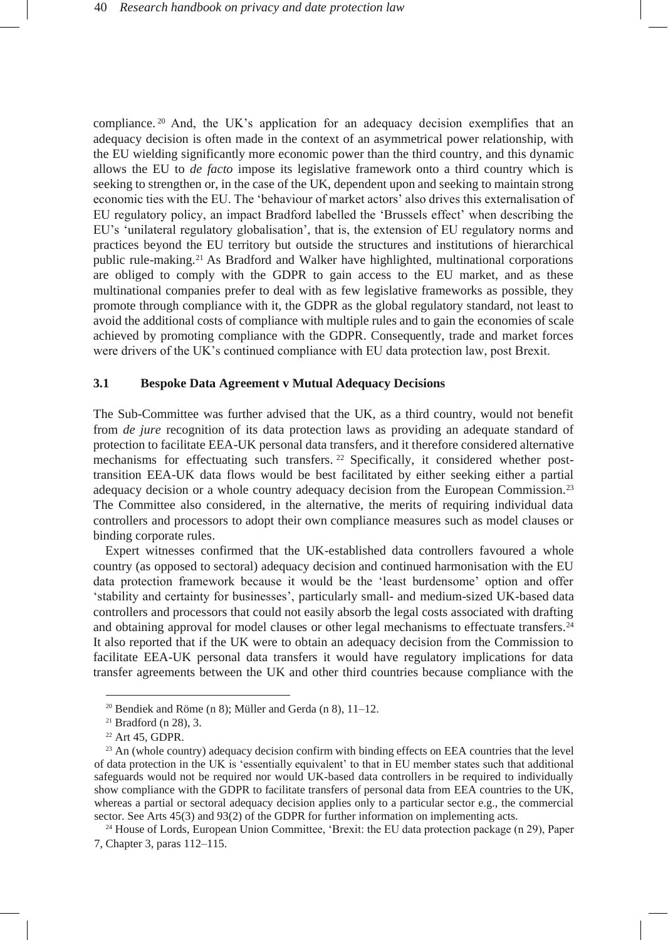compliance. <sup>20</sup> And, the UK's application for an adequacy decision exemplifies that an adequacy decision is often made in the context of an asymmetrical power relationship, with the EU wielding significantly more economic power than the third country, and this dynamic allows the EU to *de facto* impose its legislative framework onto a third country which is seeking to strengthen or, in the case of the UK, dependent upon and seeking to maintain strong economic ties with the EU. The 'behaviour of market actors' also drives this externalisation of EU regulatory policy, an impact Bradford labelled the 'Brussels effect' when describing the EU's 'unilateral regulatory globalisation', that is, the extension of EU regulatory norms and practices beyond the EU territory but outside the structures and institutions of hierarchical public rule-making.<sup>21</sup> As Bradford and Walker have highlighted, multinational corporations are obliged to comply with the GDPR to gain access to the EU market, and as these multinational companies prefer to deal with as few legislative frameworks as possible, they promote through compliance with it, the GDPR as the global regulatory standard, not least to avoid the additional costs of compliance with multiple rules and to gain the economies of scale achieved by promoting compliance with the GDPR. Consequently, trade and market forces were drivers of the UK's continued compliance with EU data protection law, post Brexit.

#### **3.1 Bespoke Data Agreement v Mutual Adequacy Decisions**

The Sub-Committee was further advised that the UK, as a third country, would not benefit from *de jure* recognition of its data protection laws as providing an adequate standard of protection to facilitate EEA-UK personal data transfers, and it therefore considered alternative mechanisms for effectuating such transfers. <sup>22</sup> Specifically, it considered whether posttransition EEA-UK data flows would be best facilitated by either seeking either a partial adequacy decision or a whole country adequacy decision from the European Commission.<sup>23</sup> The Committee also considered, in the alternative, the merits of requiring individual data controllers and processors to adopt their own compliance measures such as model clauses or binding corporate rules.

Expert witnesses confirmed that the UK-established data controllers favoured a whole country (as opposed to sectoral) adequacy decision and continued harmonisation with the EU data protection framework because it would be the 'least burdensome' option and offer 'stability and certainty for businesses', particularly small- and medium-sized UK-based data controllers and processors that could not easily absorb the legal costs associated with drafting and obtaining approval for model clauses or other legal mechanisms to effectuate transfers.<sup>24</sup> It also reported that if the UK were to obtain an adequacy decision from the Commission to facilitate EEA-UK personal data transfers it would have regulatory implications for data transfer agreements between the UK and other third countries because compliance with the

<sup>&</sup>lt;sup>20</sup> Bendiek and Röme (n 8); Müller and Gerda (n 8),  $11-12$ .

<sup>21</sup> Bradford (n 28), 3.

<sup>22</sup> Art 45, GDPR.

<sup>&</sup>lt;sup>23</sup> An (whole country) adequacy decision confirm with binding effects on EEA countries that the level of data protection in the UK is 'essentially equivalent' to that in EU member states such that additional safeguards would not be required nor would UK-based data controllers in be required to individually show compliance with the GDPR to facilitate transfers of personal data from EEA countries to the UK, whereas a partial or sectoral adequacy decision applies only to a particular sector e.g., the commercial sector. See Arts 45(3) and 93(2) of the GDPR for further information on implementing acts.

<sup>&</sup>lt;sup>24</sup> House of Lords, European Union Committee, 'Brexit: the EU data protection package (n 29), Paper 7, Chapter 3, paras 112–115.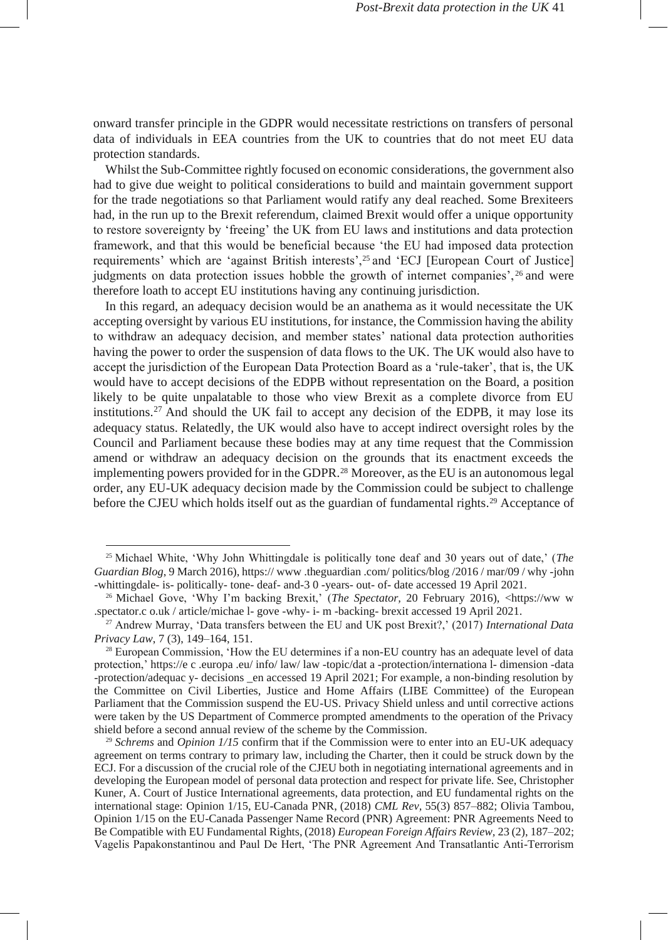onward transfer principle in the GDPR would necessitate restrictions on transfers of personal data of individuals in EEA countries from the UK to countries that do not meet EU data protection standards.

Whilst the Sub-Committee rightly focused on economic considerations, the government also had to give due weight to political considerations to build and maintain government support for the trade negotiations so that Parliament would ratify any deal reached. Some Brexiteers had, in the run up to the Brexit referendum, claimed Brexit would offer a unique opportunity to restore sovereignty by 'freeing' the UK from EU laws and institutions and data protection framework, and that this would be beneficial because 'the EU had imposed data protection requirements' which are 'against British interests',<sup>25</sup> and 'ECJ [European Court of Justice] judgments on data protection issues hobble the growth of internet companies', <sup>26</sup> and were therefore loath to accept EU institutions having any continuing jurisdiction.

In this regard, an adequacy decision would be an anathema as it would necessitate the UK accepting oversight by various EU institutions, for instance, the Commission having the ability to withdraw an adequacy decision, and member states' national data protection authorities having the power to order the suspension of data flows to the UK. The UK would also have to accept the jurisdiction of the European Data Protection Board as a 'rule-taker', that is, the UK would have to accept decisions of the EDPB without representation on the Board, a position likely to be quite unpalatable to those who view Brexit as a complete divorce from EU institutions.<sup>27</sup> And should the UK fail to accept any decision of the EDPB, it may lose its adequacy status. Relatedly, the UK would also have to accept indirect oversight roles by the Council and Parliament because these bodies may at any time request that the Commission amend or withdraw an adequacy decision on the grounds that its enactment exceeds the implementing powers provided for in the GDPR.<sup>28</sup> Moreover, as the EU is an autonomous legal order, any EU-UK adequacy decision made by the Commission could be subject to challenge before the CJEU which holds itself out as the guardian of fundamental rights.<sup>29</sup> Acceptance of

<sup>25</sup> Michael White, 'Why John Whittingdale is politically tone deaf and 30 years out of date,' (*The Guardian Blog*, 9 March 2016), [https://](https://www.theguardian.com/politics/blog/2016/mar/09/why-john-whittingdale-is-politically-tone-deaf-and-30-years-out-of-date) [www](https://www.theguardian.com/politics/blog/2016/mar/09/why-john-whittingdale-is-politically-tone-deaf-and-30-years-out-of-date) [.theguardian](https://www.theguardian.com/politics/blog/2016/mar/09/why-john-whittingdale-is-politically-tone-deaf-and-30-years-out-of-date) [.com/](https://www.theguardian.com/politics/blog/2016/mar/09/why-john-whittingdale-is-politically-tone-deaf-and-30-years-out-of-date) [politics/blog](https://www.theguardian.com/politics/blog/2016/mar/09/why-john-whittingdale-is-politically-tone-deaf-and-30-years-out-of-date) [/2016](https://www.theguardian.com/politics/blog/2016/mar/09/why-john-whittingdale-is-politically-tone-deaf-and-30-years-out-of-date) [/](https://www.theguardian.com/politics/blog/2016/mar/09/why-john-whittingdale-is-politically-tone-deaf-and-30-years-out-of-date) [mar/09](https://www.theguardian.com/politics/blog/2016/mar/09/why-john-whittingdale-is-politically-tone-deaf-and-30-years-out-of-date) [/](https://www.theguardian.com/politics/blog/2016/mar/09/why-john-whittingdale-is-politically-tone-deaf-and-30-years-out-of-date) [why](https://www.theguardian.com/politics/blog/2016/mar/09/why-john-whittingdale-is-politically-tone-deaf-and-30-years-out-of-date) [-john](https://www.theguardian.com/politics/blog/2016/mar/09/why-john-whittingdale-is-politically-tone-deaf-and-30-years-out-of-date) [-whittingdale-](https://www.theguardian.com/politics/blog/2016/mar/09/why-john-whittingdale-is-politically-tone-deaf-and-30-years-out-of-date) [is-](https://www.theguardian.com/politics/blog/2016/mar/09/why-john-whittingdale-is-politically-tone-deaf-and-30-years-out-of-date) [politically-](https://www.theguardian.com/politics/blog/2016/mar/09/why-john-whittingdale-is-politically-tone-deaf-and-30-years-out-of-date) [tone-](https://www.theguardian.com/politics/blog/2016/mar/09/why-john-whittingdale-is-politically-tone-deaf-and-30-years-out-of-date) [deaf-](https://www.theguardian.com/politics/blog/2016/mar/09/why-john-whittingdale-is-politically-tone-deaf-and-30-years-out-of-date) [and-3 0 -years-](https://www.theguardian.com/politics/blog/2016/mar/09/why-john-whittingdale-is-politically-tone-deaf-and-30-years-out-of-date) [out-](https://www.theguardian.com/politics/blog/2016/mar/09/why-john-whittingdale-is-politically-tone-deaf-and-30-years-out-of-date) [of-](https://www.theguardian.com/politics/blog/2016/mar/09/why-john-whittingdale-is-politically-tone-deaf-and-30-years-out-of-date) [date](https://www.theguardian.com/politics/blog/2016/mar/09/why-john-whittingdale-is-politically-tone-deaf-and-30-years-out-of-date) accessed 19 April 2021.

<sup>&</sup>lt;sup>26</sup> Michael Gove, 'Why I'm backing Brexit,' (*The Spectator*, 20 February 2016), [<https://ww](https://www.spectator.co.uk/article/michael-gove-why-i-m-backing-brexit) [w](https://www.spectator.co.uk/article/michael-gove-why-i-m-backing-brexit) [.spectator.c](https://www.spectator.co.uk/article/michael-gove-why-i-m-backing-brexit) [o.uk](https://www.spectator.co.uk/article/michael-gove-why-i-m-backing-brexit) [/](https://www.spectator.co.uk/article/michael-gove-why-i-m-backing-brexit) [article/michae](https://www.spectator.co.uk/article/michael-gove-why-i-m-backing-brexit) [l-](https://www.spectator.co.uk/article/michael-gove-why-i-m-backing-brexit) [gove](https://www.spectator.co.uk/article/michael-gove-why-i-m-backing-brexit) [-why-](https://www.spectator.co.uk/article/michael-gove-why-i-m-backing-brexit) [i-](https://www.spectator.co.uk/article/michael-gove-why-i-m-backing-brexit) [m](https://www.spectator.co.uk/article/michael-gove-why-i-m-backing-brexit) [-backing-](https://www.spectator.co.uk/article/michael-gove-why-i-m-backing-brexit) [brexit](https://www.spectator.co.uk/article/michael-gove-why-i-m-backing-brexit) accessed 19 April 2021.

<sup>27</sup> Andrew Murray, 'Data transfers between the EU and UK post Brexit?,' (2017) *International Data Privacy Law*, 7 (3), 149–164, 151.

<sup>&</sup>lt;sup>28</sup> European Commission, 'How the EU determines if a non-EU country has an adequate level of data protection,[' https://e](https://ec.europa.eu/info/law/law-topic/data-protection/international-dimension-data-protection/adequacy-decisions_en) [c](https://ec.europa.eu/info/law/law-topic/data-protection/international-dimension-data-protection/adequacy-decisions_en) [.europa](https://ec.europa.eu/info/law/law-topic/data-protection/international-dimension-data-protection/adequacy-decisions_en) [.eu/](https://ec.europa.eu/info/law/law-topic/data-protection/international-dimension-data-protection/adequacy-decisions_en) [info/](https://ec.europa.eu/info/law/law-topic/data-protection/international-dimension-data-protection/adequacy-decisions_en) [law/](https://ec.europa.eu/info/law/law-topic/data-protection/international-dimension-data-protection/adequacy-decisions_en) [law](https://ec.europa.eu/info/law/law-topic/data-protection/international-dimension-data-protection/adequacy-decisions_en) [-topic/dat](https://ec.europa.eu/info/law/law-topic/data-protection/international-dimension-data-protection/adequacy-decisions_en) [a](https://ec.europa.eu/info/law/law-topic/data-protection/international-dimension-data-protection/adequacy-decisions_en) [-protection/internationa](https://ec.europa.eu/info/law/law-topic/data-protection/international-dimension-data-protection/adequacy-decisions_en) [l-](https://ec.europa.eu/info/law/law-topic/data-protection/international-dimension-data-protection/adequacy-decisions_en) [dimension](https://ec.europa.eu/info/law/law-topic/data-protection/international-dimension-data-protection/adequacy-decisions_en) [-data](https://ec.europa.eu/info/law/law-topic/data-protection/international-dimension-data-protection/adequacy-decisions_en) [-protection/adequac](https://ec.europa.eu/info/law/law-topic/data-protection/international-dimension-data-protection/adequacy-decisions_en) [y-](https://ec.europa.eu/info/law/law-topic/data-protection/international-dimension-data-protection/adequacy-decisions_en) [decisions](https://ec.europa.eu/info/law/law-topic/data-protection/international-dimension-data-protection/adequacy-decisions_en) [\\_en](https://ec.europa.eu/info/law/law-topic/data-protection/international-dimension-data-protection/adequacy-decisions_en) accessed 19 April 2021; For example, a non-binding resolution by the Committee on Civil Liberties, Justice and Home Affairs (LIBE Committee) of the European Parliament that the Commission suspend the EU-US. Privacy Shield unless and until corrective actions were taken by the US Department of Commerce prompted amendments to the operation of the Privacy shield before a second annual review of the scheme by the Commission.

<sup>29</sup> *Schrems* and *Opinion 1/15* confirm that if the Commission were to enter into an EU-UK adequacy agreement on terms contrary to primary law, including the Charter, then it could be struck down by the ECJ. For a discussion of the crucial role of the CJEU both in negotiating international agreements and in developing the European model of personal data protection and respect for private life. See, Christopher Kuner, A. Court of Justice International agreements, data protection, and EU fundamental rights on the international stage: Opinion 1/15, EU-Canada PNR, (2018) *CML Rev,* 55(3) 857–882; Olivia Tambou, Opinion 1/15 on the EU-Canada Passenger Name Record (PNR) Agreement: PNR Agreements Need to Be Compatible with EU Fundamental Rights, (2018) *European Foreign Affairs Review,* 23 (2), 187–202; Vagelis Papakonstantinou and Paul De Hert, 'The PNR Agreement And Transatlantic Anti-Terrorism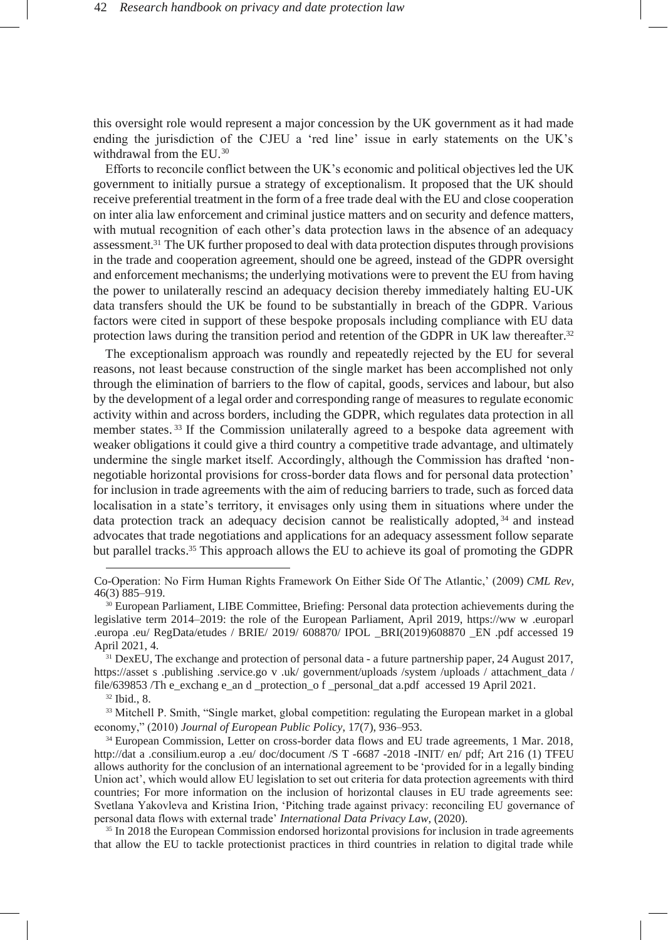this oversight role would represent a major concession by the UK government as it had made ending the jurisdiction of the CJEU a 'red line' issue in early statements on the UK's withdrawal from the EU.<sup>30</sup>

Efforts to reconcile conflict between the UK's economic and political objectives led the UK government to initially pursue a strategy of exceptionalism. It proposed that the UK should receive preferential treatment in the form of a free trade deal with the EU and close cooperation on inter alia law enforcement and criminal justice matters and on security and defence matters, with mutual recognition of each other's data protection laws in the absence of an adequacy assessment.<sup>31</sup> The UK further proposed to deal with data protection disputes through provisions in the trade and cooperation agreement, should one be agreed, instead of the GDPR oversight and enforcement mechanisms; the underlying motivations were to prevent the EU from having the power to unilaterally rescind an adequacy decision thereby immediately halting EU-UK data transfers should the UK be found to be substantially in breach of the GDPR. Various factors were cited in support of these bespoke proposals including compliance with EU data protection laws during the transition period and retention of the GDPR in UK law thereafter.<sup>32</sup>

The exceptionalism approach was roundly and repeatedly rejected by the EU for several reasons, not least because construction of the single market has been accomplished not only through the elimination of barriers to the flow of capital, goods, services and labour, but also by the development of a legal order and corresponding range of measures to regulate economic activity within and across borders, including the GDPR, which regulates data protection in all member states.<sup>33</sup> If the Commission unilaterally agreed to a bespoke data agreement with weaker obligations it could give a third country a competitive trade advantage, and ultimately undermine the single market itself. Accordingly, although the Commission has drafted 'nonnegotiable horizontal provisions for cross-border data flows and for personal data protection' for inclusion in trade agreements with the aim of reducing barriers to trade, such as forced data localisation in a state's territory, it envisages only using them in situations where under the data protection track an adequacy decision cannot be realistically adopted,  $34$  and instead advocates that trade negotiations and applications for an adequacy assessment follow separate but parallel tracks.<sup>35</sup> This approach allows the EU to achieve its goal of promoting the GDPR

<sup>32</sup> Ibid., 8.

<sup>35</sup> In 2018 the European Commission endorsed horizontal provisions for inclusion in trade agreements that allow the EU to tackle protectionist practices in third countries in relation to digital trade while

Co-Operation: No Firm Human Rights Framework On Either Side Of The Atlantic,' (2009) *CML Rev*, 46(3) 885–919.

<sup>&</sup>lt;sup>30</sup> European Parliament, LIBE Committee, Briefing: Personal data protection achievements during the legislative term 2014–2019: the role of the European Parliament, April 2019, [https://ww](https://www.europarl.europa.eu/RegData/etudes/BRIE/2019/608870/IPOL_BRI(2019)608870_EN.pdf) [w](https://www.europarl.europa.eu/RegData/etudes/BRIE/2019/608870/IPOL_BRI(2019)608870_EN.pdf) [.europarl](https://www.europarl.europa.eu/RegData/etudes/BRIE/2019/608870/IPOL_BRI(2019)608870_EN.pdf) [.europa](https://www.europarl.europa.eu/RegData/etudes/BRIE/2019/608870/IPOL_BRI(2019)608870_EN.pdf) [.eu/](https://www.europarl.europa.eu/RegData/etudes/BRIE/2019/608870/IPOL_BRI(2019)608870_EN.pdf) [RegData/etudes](https://www.europarl.europa.eu/RegData/etudes/BRIE/2019/608870/IPOL_BRI(2019)608870_EN.pdf) [/](https://www.europarl.europa.eu/RegData/etudes/BRIE/2019/608870/IPOL_BRI(2019)608870_EN.pdf) [BRIE/](https://www.europarl.europa.eu/RegData/etudes/BRIE/2019/608870/IPOL_BRI(2019)608870_EN.pdf) [2019/](https://www.europarl.europa.eu/RegData/etudes/BRIE/2019/608870/IPOL_BRI(2019)608870_EN.pdf) [608870/](https://www.europarl.europa.eu/RegData/etudes/BRIE/2019/608870/IPOL_BRI(2019)608870_EN.pdf) [IPOL](https://www.europarl.europa.eu/RegData/etudes/BRIE/2019/608870/IPOL_BRI(2019)608870_EN.pdf) [\\_BRI\(2019\)608870](https://www.europarl.europa.eu/RegData/etudes/BRIE/2019/608870/IPOL_BRI(2019)608870_EN.pdf) [\\_EN](https://www.europarl.europa.eu/RegData/etudes/BRIE/2019/608870/IPOL_BRI(2019)608870_EN.pdf) [.pdf](https://www.europarl.europa.eu/RegData/etudes/BRIE/2019/608870/IPOL_BRI(2019)608870_EN.pdf) accessed 19 April 2021, 4.

<sup>&</sup>lt;sup>31</sup> DexEU, The exchange and protection of personal data - a future partnership paper, 24 August 2017, [https://asset](https://assets.publishing.service.gov.uk/government/uploads/system/uploads/attachment_data/file/639853/The_exchange_and_protection_of_personal_data.pdf) [s](https://assets.publishing.service.gov.uk/government/uploads/system/uploads/attachment_data/file/639853/The_exchange_and_protection_of_personal_data.pdf) [.publishing](https://assets.publishing.service.gov.uk/government/uploads/system/uploads/attachment_data/file/639853/The_exchange_and_protection_of_personal_data.pdf) [.service.go](https://assets.publishing.service.gov.uk/government/uploads/system/uploads/attachment_data/file/639853/The_exchange_and_protection_of_personal_data.pdf) [v](https://assets.publishing.service.gov.uk/government/uploads/system/uploads/attachment_data/file/639853/The_exchange_and_protection_of_personal_data.pdf) [.uk/](https://assets.publishing.service.gov.uk/government/uploads/system/uploads/attachment_data/file/639853/The_exchange_and_protection_of_personal_data.pdf) [government/uploads](https://assets.publishing.service.gov.uk/government/uploads/system/uploads/attachment_data/file/639853/The_exchange_and_protection_of_personal_data.pdf) [/system](https://assets.publishing.service.gov.uk/government/uploads/system/uploads/attachment_data/file/639853/The_exchange_and_protection_of_personal_data.pdf) [/uploads](https://assets.publishing.service.gov.uk/government/uploads/system/uploads/attachment_data/file/639853/The_exchange_and_protection_of_personal_data.pdf) [/](https://assets.publishing.service.gov.uk/government/uploads/system/uploads/attachment_data/file/639853/The_exchange_and_protection_of_personal_data.pdf) [attachment\\_data](https://assets.publishing.service.gov.uk/government/uploads/system/uploads/attachment_data/file/639853/The_exchange_and_protection_of_personal_data.pdf) / [file/639853](https://assets.publishing.service.gov.uk/government/uploads/system/uploads/attachment_data/file/639853/The_exchange_and_protection_of_personal_data.pdf) [/Th](https://assets.publishing.service.gov.uk/government/uploads/system/uploads/attachment_data/file/639853/The_exchange_and_protection_of_personal_data.pdf) [e\\_exchang](https://assets.publishing.service.gov.uk/government/uploads/system/uploads/attachment_data/file/639853/The_exchange_and_protection_of_personal_data.pdf) [e\\_an](https://assets.publishing.service.gov.uk/government/uploads/system/uploads/attachment_data/file/639853/The_exchange_and_protection_of_personal_data.pdf) [d](https://assets.publishing.service.gov.uk/government/uploads/system/uploads/attachment_data/file/639853/The_exchange_and_protection_of_personal_data.pdf) [\\_protection\\_o](https://assets.publishing.service.gov.uk/government/uploads/system/uploads/attachment_data/file/639853/The_exchange_and_protection_of_personal_data.pdf) [f](https://assets.publishing.service.gov.uk/government/uploads/system/uploads/attachment_data/file/639853/The_exchange_and_protection_of_personal_data.pdf) [\\_personal\\_dat](https://assets.publishing.service.gov.uk/government/uploads/system/uploads/attachment_data/file/639853/The_exchange_and_protection_of_personal_data.pdf) [a.pdf a](https://assets.publishing.service.gov.uk/government/uploads/system/uploads/attachment_data/file/639853/The_exchange_and_protection_of_personal_data.pdf)ccessed 19 April 2021.

<sup>&</sup>lt;sup>33</sup> Mitchell P. Smith, "Single market, global competition: regulating the European market in a global economy," (2010) *Journal of European Public Policy*, 17(7), 936–953.

<sup>&</sup>lt;sup>34</sup> European Commission, Letter on cross-border data flows and EU trade agreements, 1 Mar. 2018, [http://dat](http://data.consilium.europa.eu/doc/document/ST-6687-2018-INIT/en/pdf) [a](http://data.consilium.europa.eu/doc/document/ST-6687-2018-INIT/en/pdf) [.consilium.europ](http://data.consilium.europa.eu/doc/document/ST-6687-2018-INIT/en/pdf) [a](http://data.consilium.europa.eu/doc/document/ST-6687-2018-INIT/en/pdf) [.eu/](http://data.consilium.europa.eu/doc/document/ST-6687-2018-INIT/en/pdf) [doc/document](http://data.consilium.europa.eu/doc/document/ST-6687-2018-INIT/en/pdf) [/S](http://data.consilium.europa.eu/doc/document/ST-6687-2018-INIT/en/pdf) [T](http://data.consilium.europa.eu/doc/document/ST-6687-2018-INIT/en/pdf) [-6687 -2018 -INIT/](http://data.consilium.europa.eu/doc/document/ST-6687-2018-INIT/en/pdf) [en/](http://data.consilium.europa.eu/doc/document/ST-6687-2018-INIT/en/pdf) [pdf;](http://data.consilium.europa.eu/doc/document/ST-6687-2018-INIT/en/pdf) Art 216 (1) TFEU allows authority for the conclusion of an international agreement to be 'provided for in a legally binding Union act', which would allow EU legislation to set out criteria for data protection agreements with third countries; For more information on the inclusion of horizontal clauses in EU trade agreements see: Svetlana Yakovleva and Kristina Irion, 'Pitching trade against privacy: reconciling EU governance of personal data flows with external trade' *International Data Privacy Law*, (2020).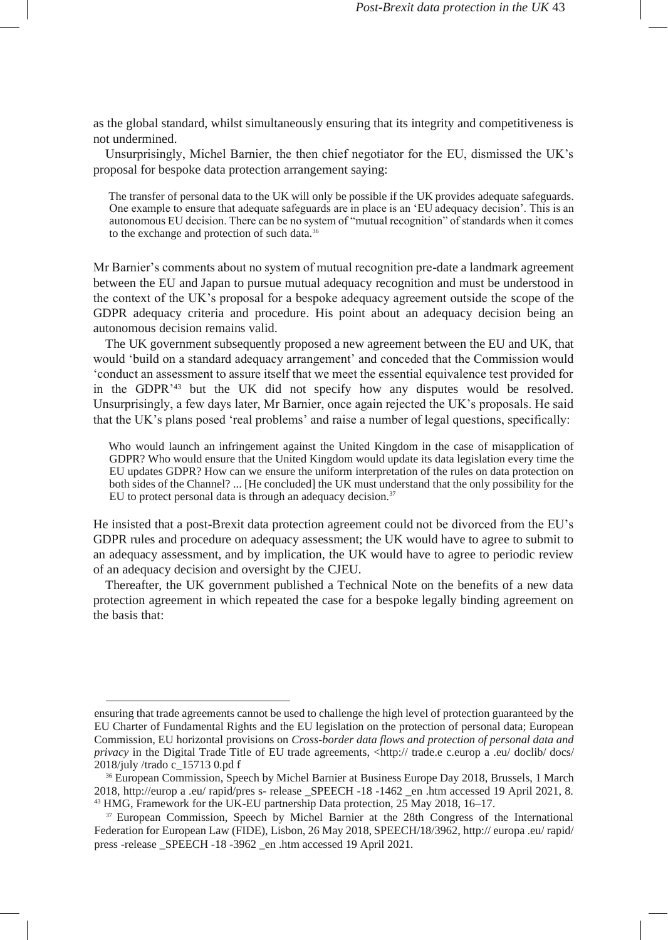as the global standard, whilst simultaneously ensuring that its integrity and competitiveness is not undermined.

Unsurprisingly, Michel Barnier, the then chief negotiator for the EU, dismissed the UK's proposal for bespoke data protection arrangement saying:

The transfer of personal data to the UK will only be possible if the UK provides adequate safeguards. One example to ensure that adequate safeguards are in place is an 'EU adequacy decision'. This is an autonomous EU decision. There can be no system of "mutual recognition" of standards when it comes to the exchange and protection of such data.<sup>36</sup>

Mr Barnier's comments about no system of mutual recognition pre-date a landmark agreement between the EU and Japan to pursue mutual adequacy recognition and must be understood in the context of the UK's proposal for a bespoke adequacy agreement outside the scope of the GDPR adequacy criteria and procedure. His point about an adequacy decision being an autonomous decision remains valid.

The UK government subsequently proposed a new agreement between the EU and UK, that would 'build on a standard adequacy arrangement' and conceded that the Commission would 'conduct an assessment to assure itself that we meet the essential equivalence test provided for in the GDPR'<sup>43</sup> but the UK did not specify how any disputes would be resolved. Unsurprisingly, a few days later, Mr Barnier, once again rejected the UK's proposals. He said that the UK's plans posed 'real problems' and raise a number of legal questions, specifically:

Who would launch an infringement against the United Kingdom in the case of misapplication of GDPR? Who would ensure that the United Kingdom would update its data legislation every time the EU updates GDPR? How can we ensure the uniform interpretation of the rules on data protection on both sides of the Channel? ... [He concluded] the UK must understand that the only possibility for the EU to protect personal data is through an adequacy decision.<sup>37</sup>

He insisted that a post-Brexit data protection agreement could not be divorced from the EU's GDPR rules and procedure on adequacy assessment; the UK would have to agree to submit to an adequacy assessment, and by implication, the UK would have to agree to periodic review of an adequacy decision and oversight by the CJEU.

Thereafter, the UK government published a Technical Note on the benefits of a new data protection agreement in which repeated the case for a bespoke legally binding agreement on the basis that:

ensuring that trade agreements cannot be used to challenge the high level of protection guaranteed by the EU Charter of Fundamental Rights and the EU legislation on the protection of personal data; European Commission, EU horizontal provisions on *Cross-border data flows and protection of personal data and priv[a](http://trade.ec.europa.eu/doclib/docs/2018/july/tradoc_157130.pdf)cy* in the Digital Trade Title of EU trade agreements, [<http://](http://trade.ec.europa.eu/doclib/docs/2018/july/tradoc_157130.pdf) [trade.e](http://trade.ec.europa.eu/doclib/docs/2018/july/tradoc_157130.pdf) [c.europ](http://trade.ec.europa.eu/doclib/docs/2018/july/tradoc_157130.pdf) a [.eu/](http://trade.ec.europa.eu/doclib/docs/2018/july/tradoc_157130.pdf) [doclib/](http://trade.ec.europa.eu/doclib/docs/2018/july/tradoc_157130.pdf) [docs/](http://trade.ec.europa.eu/doclib/docs/2018/july/tradoc_157130.pdf) [2018/july](http://trade.ec.europa.eu/doclib/docs/2018/july/tradoc_157130.pdf) [/trado](http://trade.ec.europa.eu/doclib/docs/2018/july/tradoc_157130.pdf) [c\\_15713 0.pd](http://trade.ec.europa.eu/doclib/docs/2018/july/tradoc_157130.pdf) [f](http://trade.ec.europa.eu/doclib/docs/2018/july/tradoc_157130.pdf)

<sup>36</sup> European Commission, Speech by Michel Barnier at Business Europe Day 2018, Brussels, 1 March 2018, [http://europ](http://europa.eu/rapid/press-release_SPEECH-18-1462_en.htm) [a](http://europa.eu/rapid/press-release_SPEECH-18-1462_en.htm) [.eu/](http://europa.eu/rapid/press-release_SPEECH-18-1462_en.htm) [rapid/pres](http://europa.eu/rapid/press-release_SPEECH-18-1462_en.htm) [s-](http://europa.eu/rapid/press-release_SPEECH-18-1462_en.htm) [release](http://europa.eu/rapid/press-release_SPEECH-18-1462_en.htm) [\\_SPEECH](http://europa.eu/rapid/press-release_SPEECH-18-1462_en.htm) [-18 -1462 \\_en](http://europa.eu/rapid/press-release_SPEECH-18-1462_en.htm) [.htm](http://europa.eu/rapid/press-release_SPEECH-18-1462_en.htm) accessed 19 April 2021, 8. <sup>43</sup> HMG, Framework for the UK-EU partnership Data protection, 25 May 2018, 16–17.

<sup>&</sup>lt;sup>37</sup> European Commission, Speech by Michel Barnier at the 28th Congress of the International Federation for European Law (FIDE), Lisbon, 26 May 2018, SPEECH/18/3962[, http://](http://europa.eu/rapid/press-release_SPEECH-18-3962_en.htm) [europa](http://europa.eu/rapid/press-release_SPEECH-18-3962_en.htm) [.eu/](http://europa.eu/rapid/press-release_SPEECH-18-3962_en.htm) [rapid/](http://europa.eu/rapid/press-release_SPEECH-18-3962_en.htm) [press](http://europa.eu/rapid/press-release_SPEECH-18-3962_en.htm) [-release](http://europa.eu/rapid/press-release_SPEECH-18-3962_en.htm) [\\_SPEECH](http://europa.eu/rapid/press-release_SPEECH-18-3962_en.htm) [-18 -3962 \\_en](http://europa.eu/rapid/press-release_SPEECH-18-3962_en.htm) [.htm](http://europa.eu/rapid/press-release_SPEECH-18-3962_en.htm) accessed 19 April 2021.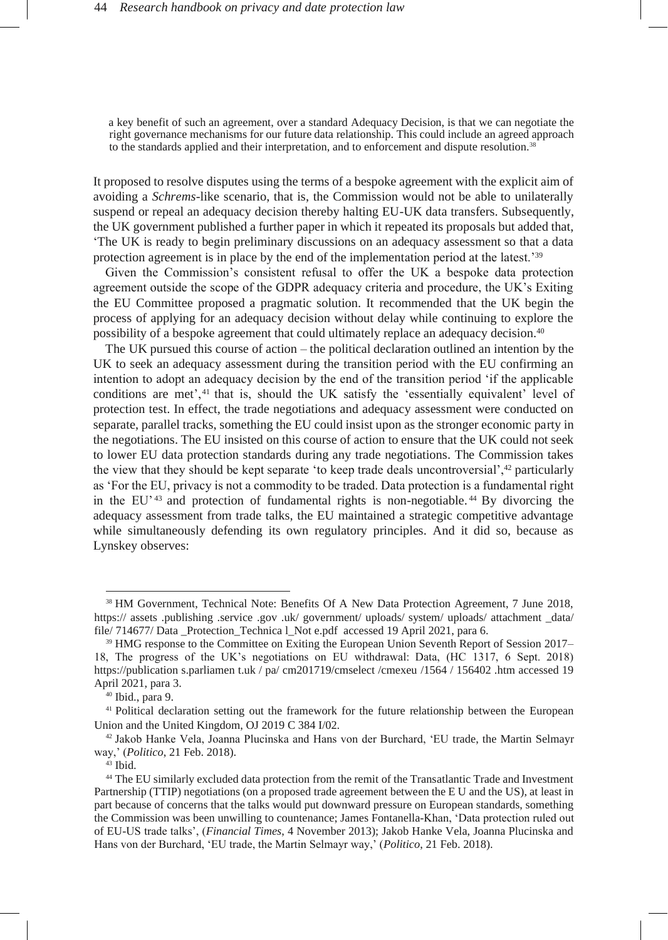a key benefit of such an agreement, over a standard Adequacy Decision, is that we can negotiate the right governance mechanisms for our future data relationship. This could include an agreed approach to the standards applied and their interpretation, and to enforcement and dispute resolution.<sup>38</sup>

It proposed to resolve disputes using the terms of a bespoke agreement with the explicit aim of avoiding a *Schrems*-like scenario, that is, the Commission would not be able to unilaterally suspend or repeal an adequacy decision thereby halting EU-UK data transfers. Subsequently, the UK government published a further paper in which it repeated its proposals but added that, 'The UK is ready to begin preliminary discussions on an adequacy assessment so that a data protection agreement is in place by the end of the implementation period at the latest.'<sup>39</sup>

Given the Commission's consistent refusal to offer the UK a bespoke data protection agreement outside the scope of the GDPR adequacy criteria and procedure, the UK's Exiting the EU Committee proposed a pragmatic solution. It recommended that the UK begin the process of applying for an adequacy decision without delay while continuing to explore the possibility of a bespoke agreement that could ultimately replace an adequacy decision.<sup>40</sup>

The UK pursued this course of action – the political declaration outlined an intention by the UK to seek an adequacy assessment during the transition period with the EU confirming an intention to adopt an adequacy decision by the end of the transition period 'if the applicable conditions are met<sup> $,41$ </sup> that is, should the UK satisfy the 'essentially equivalent' level of protection test. In effect, the trade negotiations and adequacy assessment were conducted on separate, parallel tracks, something the EU could insist upon as the stronger economic party in the negotiations. The EU insisted on this course of action to ensure that the UK could not seek to lower EU data protection standards during any trade negotiations. The Commission takes the view that they should be kept separate 'to keep trade deals uncontroversial',<sup>42</sup> particularly as 'For the EU, privacy is not a commodity to be traded. Data protection is a fundamental right in the EU<sup> $143$ </sup> and protection of fundamental rights is non-negotiable.<sup>44</sup> By divorcing the adequacy assessment from trade talks, the EU maintained a strategic competitive advantage while simultaneously defending its own regulatory principles. And it did so, because as Lynskey observes:

<sup>38</sup> HM Government, Technical Note: Benefits Of A New Data Protection Agreement, 7 June 2018, [https://](https://assets.publishing.service.gov.uk/government/uploads/system/uploads/attachment_data/file/714677/Data_Protection_Technical_Note.pdf) [assets](https://assets.publishing.service.gov.uk/government/uploads/system/uploads/attachment_data/file/714677/Data_Protection_Technical_Note.pdf) [.publishing](https://assets.publishing.service.gov.uk/government/uploads/system/uploads/attachment_data/file/714677/Data_Protection_Technical_Note.pdf) [.service](https://assets.publishing.service.gov.uk/government/uploads/system/uploads/attachment_data/file/714677/Data_Protection_Technical_Note.pdf) [.gov](https://assets.publishing.service.gov.uk/government/uploads/system/uploads/attachment_data/file/714677/Data_Protection_Technical_Note.pdf) [.uk/](https://assets.publishing.service.gov.uk/government/uploads/system/uploads/attachment_data/file/714677/Data_Protection_Technical_Note.pdf) [government/](https://assets.publishing.service.gov.uk/government/uploads/system/uploads/attachment_data/file/714677/Data_Protection_Technical_Note.pdf) [uploads/](https://assets.publishing.service.gov.uk/government/uploads/system/uploads/attachment_data/file/714677/Data_Protection_Technical_Note.pdf) [system/](https://assets.publishing.service.gov.uk/government/uploads/system/uploads/attachment_data/file/714677/Data_Protection_Technical_Note.pdf) uploads/ [attachment](https://assets.publishing.service.gov.uk/government/uploads/system/uploads/attachment_data/file/714677/Data_Protection_Technical_Note.pdf) [\\_data/](https://assets.publishing.service.gov.uk/government/uploads/system/uploads/attachment_data/file/714677/Data_Protection_Technical_Note.pdf) [file/](https://assets.publishing.service.gov.uk/government/uploads/system/uploads/attachment_data/file/714677/Data_Protection_Technical_Note.pdf) [714677/](https://assets.publishing.service.gov.uk/government/uploads/system/uploads/attachment_data/file/714677/Data_Protection_Technical_Note.pdf) [Data](https://assets.publishing.service.gov.uk/government/uploads/system/uploads/attachment_data/file/714677/Data_Protection_Technical_Note.pdf) Protection Technica [l\\_Not](https://assets.publishing.service.gov.uk/government/uploads/system/uploads/attachment_data/file/714677/Data_Protection_Technical_Note.pdf) [e.pdf](https://assets.publishing.service.gov.uk/government/uploads/system/uploads/attachment_data/file/714677/Data_Protection_Technical_Note.pdf) accessed 19 April 2021, para 6.

<sup>&</sup>lt;sup>39</sup> HMG response to the Committee on Exiting the European Union Seventh Report of Session 2017– 18, The progress of the UK's negotiations on EU withdrawal: Data, (HC 1317, 6 Sept. 2018) [https://publication](https://publications.parliament.uk/pa/cm201719/cmselect/cmexeu/1564/156402.htm) [s.parliamen](https://publications.parliament.uk/pa/cm201719/cmselect/cmexeu/1564/156402.htm) [t.uk](https://publications.parliament.uk/pa/cm201719/cmselect/cmexeu/1564/156402.htm) [/](https://publications.parliament.uk/pa/cm201719/cmselect/cmexeu/1564/156402.htm) [pa/](https://publications.parliament.uk/pa/cm201719/cmselect/cmexeu/1564/156402.htm) [cm201719/cmselect](https://publications.parliament.uk/pa/cm201719/cmselect/cmexeu/1564/156402.htm) [/cmexeu](https://publications.parliament.uk/pa/cm201719/cmselect/cmexeu/1564/156402.htm) [/1564](https://publications.parliament.uk/pa/cm201719/cmselect/cmexeu/1564/156402.htm) [/](https://publications.parliament.uk/pa/cm201719/cmselect/cmexeu/1564/156402.htm) [156402](https://publications.parliament.uk/pa/cm201719/cmselect/cmexeu/1564/156402.htm) [.htm a](https://publications.parliament.uk/pa/cm201719/cmselect/cmexeu/1564/156402.htm)ccessed 19 April 2021, para 3.

 $40$  Ibid., para 9.

<sup>41</sup> Political declaration setting out the framework for the future relationship between the European Union and the United Kingdom, OJ 2019 C 384 I/02.

<sup>42</sup> Jakob Hanke Vela, Joanna Plucinska and Hans von der Burchard, 'EU trade, the Martin Selmayr way,' (*Politico*, 21 Feb. 2018).

 $43$  Ibid.

<sup>44</sup> The EU similarly excluded data protection from the remit of the Transatlantic Trade and Investment Partnership (TTIP) negotiations (on a proposed trade agreement between the E U and the US), at least in part because of concerns that the talks would put downward pressure on European standards, something the Commission was been unwilling to countenance; James Fontanella-Khan, 'Data protection ruled out of EU-US trade talks', (*Financial Times*, 4 November 2013); Jakob Hanke Vela, Joanna Plucinska and Hans von der Burchard, 'EU trade, the Martin Selmayr way,' (*Politico*, 21 Feb. 2018).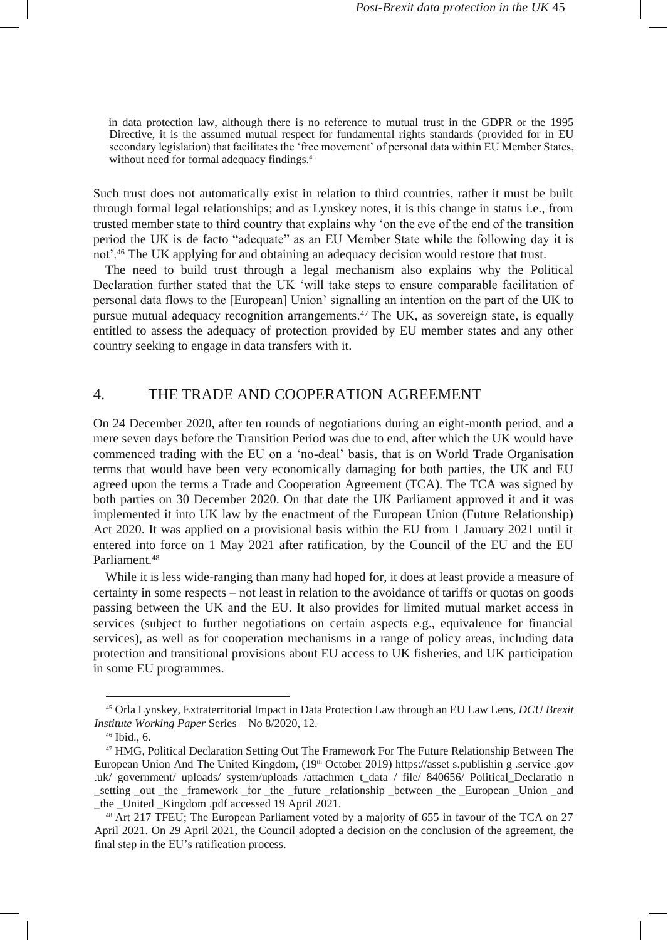in data protection law, although there is no reference to mutual trust in the GDPR or the 1995 Directive, it is the assumed mutual respect for fundamental rights standards (provided for in EU secondary legislation) that facilitates the 'free movement' of personal data within EU Member States, without need for formal adequacy findings.<sup>45</sup>

Such trust does not automatically exist in relation to third countries, rather it must be built through formal legal relationships; and as Lynskey notes, it is this change in status i.e., from trusted member state to third country that explains why 'on the eve of the end of the transition period the UK is de facto "adequate" as an EU Member State while the following day it is not'.<sup>46</sup> The UK applying for and obtaining an adequacy decision would restore that trust.

The need to build trust through a legal mechanism also explains why the Political Declaration further stated that the UK 'will take steps to ensure comparable facilitation of personal data flows to the [European] Union' signalling an intention on the part of the UK to pursue mutual adequacy recognition arrangements.<sup>47</sup> The UK, as sovereign state, is equally entitled to assess the adequacy of protection provided by EU member states and any other country seeking to engage in data transfers with it.

### 4. THE TRADE AND COOPERATION AGREEMENT

On 24 December 2020, after ten rounds of negotiations during an eight-month period, and a mere seven days before the Transition Period was due to end, after which the UK would have commenced trading with the EU on a 'no-deal' basis, that is on World Trade Organisation terms that would have been very economically damaging for both parties, the UK and EU agreed upon the terms a Trade and Cooperation Agreement (TCA). The TCA was signed by both parties on 30 December 2020. On that date the UK Parliament approved it and it was implemented it into UK law by the enactment of the European Union (Future Relationship) Act 2020. It was applied on a provisional basis within the EU from 1 January 2021 until it entered into force on 1 May 2021 after ratification, by the Council of the EU and the EU Parliament.<sup>48</sup>

While it is less wide-ranging than many had hoped for, it does at least provide a measure of certainty in some respects – not least in relation to the avoidance of tariffs or quotas on goods passing between the UK and the EU. It also provides for limited mutual market access in services (subject to further negotiations on certain aspects e.g., equivalence for financial services), as well as for cooperation mechanisms in a range of policy areas, including data protection and transitional provisions about EU access to UK fisheries, and UK participation in some EU programmes.

<sup>45</sup> Orla Lynskey, Extraterritorial Impact in Data Protection Law through an EU Law Lens, *DCU Brexit Institute Working Paper* Series – No 8/2020, 12.

<sup>46</sup> Ibid., 6.

<sup>47</sup> HMG, Political Declaration Setting Out The Framework For The Future Relationship Between The European Union And The United Kingdom, (19th October 2019[\) https://asset](https://assets.publishing.service.gov.uk/government/uploads/system/uploads/attachment_data/file/840656/Political_Declaration_setting_out_the_framework_for_the_future_relationship_between_the_European_Union_and_the_United_Kingdom.pdf) [s.publishin](https://assets.publishing.service.gov.uk/government/uploads/system/uploads/attachment_data/file/840656/Political_Declaration_setting_out_the_framework_for_the_future_relationship_between_the_European_Union_and_the_United_Kingdom.pdf) [g](https://assets.publishing.service.gov.uk/government/uploads/system/uploads/attachment_data/file/840656/Political_Declaration_setting_out_the_framework_for_the_future_relationship_between_the_European_Union_and_the_United_Kingdom.pdf) [.service](https://assets.publishing.service.gov.uk/government/uploads/system/uploads/attachment_data/file/840656/Political_Declaration_setting_out_the_framework_for_the_future_relationship_between_the_European_Union_and_the_United_Kingdom.pdf) [.gov](https://assets.publishing.service.gov.uk/government/uploads/system/uploads/attachment_data/file/840656/Political_Declaration_setting_out_the_framework_for_the_future_relationship_between_the_European_Union_and_the_United_Kingdom.pdf) [.uk/](https://assets.publishing.service.gov.uk/government/uploads/system/uploads/attachment_data/file/840656/Political_Declaration_setting_out_the_framework_for_the_future_relationship_between_the_European_Union_and_the_United_Kingdom.pdf) [government/](https://assets.publishing.service.gov.uk/government/uploads/system/uploads/attachment_data/file/840656/Political_Declaration_setting_out_the_framework_for_the_future_relationship_between_the_European_Union_and_the_United_Kingdom.pdf) [uploads/](https://assets.publishing.service.gov.uk/government/uploads/system/uploads/attachment_data/file/840656/Political_Declaration_setting_out_the_framework_for_the_future_relationship_between_the_European_Union_and_the_United_Kingdom.pdf) [system/uploads](https://assets.publishing.service.gov.uk/government/uploads/system/uploads/attachment_data/file/840656/Political_Declaration_setting_out_the_framework_for_the_future_relationship_between_the_European_Union_and_the_United_Kingdom.pdf) [/attachmen](https://assets.publishing.service.gov.uk/government/uploads/system/uploads/attachment_data/file/840656/Political_Declaration_setting_out_the_framework_for_the_future_relationship_between_the_European_Union_and_the_United_Kingdom.pdf) [t\\_data](https://assets.publishing.service.gov.uk/government/uploads/system/uploads/attachment_data/file/840656/Political_Declaration_setting_out_the_framework_for_the_future_relationship_between_the_European_Union_and_the_United_Kingdom.pdf) [/](https://assets.publishing.service.gov.uk/government/uploads/system/uploads/attachment_data/file/840656/Political_Declaration_setting_out_the_framework_for_the_future_relationship_between_the_European_Union_and_the_United_Kingdom.pdf) [file/](https://assets.publishing.service.gov.uk/government/uploads/system/uploads/attachment_data/file/840656/Political_Declaration_setting_out_the_framework_for_the_future_relationship_between_the_European_Union_and_the_United_Kingdom.pdf) [840656/](https://assets.publishing.service.gov.uk/government/uploads/system/uploads/attachment_data/file/840656/Political_Declaration_setting_out_the_framework_for_the_future_relationship_between_the_European_Union_and_the_United_Kingdom.pdf) [Political\\_Declaratio](https://assets.publishing.service.gov.uk/government/uploads/system/uploads/attachment_data/file/840656/Political_Declaration_setting_out_the_framework_for_the_future_relationship_between_the_European_Union_and_the_United_Kingdom.pdf) [n](https://assets.publishing.service.gov.uk/government/uploads/system/uploads/attachment_data/file/840656/Political_Declaration_setting_out_the_framework_for_the_future_relationship_between_the_European_Union_and_the_United_Kingdom.pdf) [\\_setting](https://assets.publishing.service.gov.uk/government/uploads/system/uploads/attachment_data/file/840656/Political_Declaration_setting_out_the_framework_for_the_future_relationship_between_the_European_Union_and_the_United_Kingdom.pdf) [\\_out](https://assets.publishing.service.gov.uk/government/uploads/system/uploads/attachment_data/file/840656/Political_Declaration_setting_out_the_framework_for_the_future_relationship_between_the_European_Union_and_the_United_Kingdom.pdf) [\\_the](https://assets.publishing.service.gov.uk/government/uploads/system/uploads/attachment_data/file/840656/Political_Declaration_setting_out_the_framework_for_the_future_relationship_between_the_European_Union_and_the_United_Kingdom.pdf) [\\_framework](https://assets.publishing.service.gov.uk/government/uploads/system/uploads/attachment_data/file/840656/Political_Declaration_setting_out_the_framework_for_the_future_relationship_between_the_European_Union_and_the_United_Kingdom.pdf) [\\_for](https://assets.publishing.service.gov.uk/government/uploads/system/uploads/attachment_data/file/840656/Political_Declaration_setting_out_the_framework_for_the_future_relationship_between_the_European_Union_and_the_United_Kingdom.pdf) [\\_the](https://assets.publishing.service.gov.uk/government/uploads/system/uploads/attachment_data/file/840656/Political_Declaration_setting_out_the_framework_for_the_future_relationship_between_the_European_Union_and_the_United_Kingdom.pdf) [\\_future](https://assets.publishing.service.gov.uk/government/uploads/system/uploads/attachment_data/file/840656/Political_Declaration_setting_out_the_framework_for_the_future_relationship_between_the_European_Union_and_the_United_Kingdom.pdf) [\\_relationship](https://assets.publishing.service.gov.uk/government/uploads/system/uploads/attachment_data/file/840656/Political_Declaration_setting_out_the_framework_for_the_future_relationship_between_the_European_Union_and_the_United_Kingdom.pdf) [\\_between](https://assets.publishing.service.gov.uk/government/uploads/system/uploads/attachment_data/file/840656/Political_Declaration_setting_out_the_framework_for_the_future_relationship_between_the_European_Union_and_the_United_Kingdom.pdf) [\\_the](https://assets.publishing.service.gov.uk/government/uploads/system/uploads/attachment_data/file/840656/Political_Declaration_setting_out_the_framework_for_the_future_relationship_between_the_European_Union_and_the_United_Kingdom.pdf) [\\_European](https://assets.publishing.service.gov.uk/government/uploads/system/uploads/attachment_data/file/840656/Political_Declaration_setting_out_the_framework_for_the_future_relationship_between_the_European_Union_and_the_United_Kingdom.pdf) [\\_Union](https://assets.publishing.service.gov.uk/government/uploads/system/uploads/attachment_data/file/840656/Political_Declaration_setting_out_the_framework_for_the_future_relationship_between_the_European_Union_and_the_United_Kingdom.pdf) [\\_and](https://assets.publishing.service.gov.uk/government/uploads/system/uploads/attachment_data/file/840656/Political_Declaration_setting_out_the_framework_for_the_future_relationship_between_the_European_Union_and_the_United_Kingdom.pdf) [\\_the](https://assets.publishing.service.gov.uk/government/uploads/system/uploads/attachment_data/file/840656/Political_Declaration_setting_out_the_framework_for_the_future_relationship_between_the_European_Union_and_the_United_Kingdom.pdf) [\\_United](https://assets.publishing.service.gov.uk/government/uploads/system/uploads/attachment_data/file/840656/Political_Declaration_setting_out_the_framework_for_the_future_relationship_between_the_European_Union_and_the_United_Kingdom.pdf) [\\_Kingdom](https://assets.publishing.service.gov.uk/government/uploads/system/uploads/attachment_data/file/840656/Political_Declaration_setting_out_the_framework_for_the_future_relationship_between_the_European_Union_and_the_United_Kingdom.pdf) [.pdf a](https://assets.publishing.service.gov.uk/government/uploads/system/uploads/attachment_data/file/840656/Political_Declaration_setting_out_the_framework_for_the_future_relationship_between_the_European_Union_and_the_United_Kingdom.pdf)ccessed 19 April 2021.

<sup>&</sup>lt;sup>48</sup> Art 217 TFEU; The European Parliament voted by a majority of 655 in favour of the TCA on 27 April 2021. On 29 April 2021, the Council adopted a decision on the conclusion of the agreement, the final step in the EU's ratification process.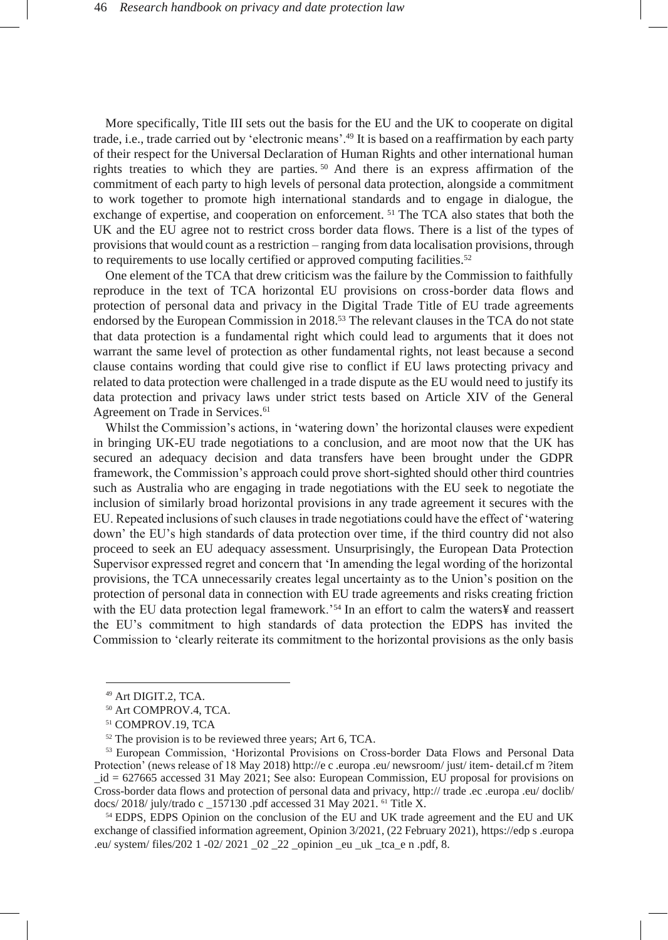More specifically, Title III sets out the basis for the EU and the UK to cooperate on digital trade, i.e., trade carried out by 'electronic means'.<sup>49</sup> It is based on a reaffirmation by each party of their respect for the Universal Declaration of Human Rights and other international human rights treaties to which they are parties.  $50$  And there is an express affirmation of the commitment of each party to high levels of personal data protection, alongside a commitment to work together to promote high international standards and to engage in dialogue, the exchange of expertise, and cooperation on enforcement. <sup>51</sup> The TCA also states that both the UK and the EU agree not to restrict cross border data flows. There is a list of the types of provisions that would count as a restriction – ranging from data localisation provisions, through to requirements to use locally certified or approved computing facilities.<sup>52</sup>

One element of the TCA that drew criticism was the failure by the Commission to faithfully reproduce in the text of TCA horizontal EU provisions on cross-border data flows and protection of personal data and privacy in the Digital Trade Title of EU trade agreements endorsed by the European Commission in 2018.<sup>53</sup> The relevant clauses in the TCA do not state that data protection is a fundamental right which could lead to arguments that it does not warrant the same level of protection as other fundamental rights, not least because a second clause contains wording that could give rise to conflict if EU laws protecting privacy and related to data protection were challenged in a trade dispute as the EU would need to justify its data protection and privacy laws under strict tests based on Article XIV of the General Agreement on Trade in Services.<sup>61</sup>

Whilst the Commission's actions, in 'watering down' the horizontal clauses were expedient in bringing UK-EU trade negotiations to a conclusion, and are moot now that the UK has secured an adequacy decision and data transfers have been brought under the GDPR framework, the Commission's approach could prove short-sighted should other third countries such as Australia who are engaging in trade negotiations with the EU seek to negotiate the inclusion of similarly broad horizontal provisions in any trade agreement it secures with the EU. Repeated inclusions of such clauses in trade negotiations could have the effect of 'watering down' the EU's high standards of data protection over time, if the third country did not also proceed to seek an EU adequacy assessment. Unsurprisingly, the European Data Protection Supervisor expressed regret and concern that 'In amending the legal wording of the horizontal provisions, the TCA unnecessarily creates legal uncertainty as to the Union's position on the protection of personal data in connection with EU trade agreements and risks creating friction with the EU data protection legal framework.'<sup>54</sup> In an effort to calm the waters¥ and reassert the EU's commitment to high standards of data protection the EDPS has invited the Commission to 'clearly reiterate its commitment to the horizontal provisions as the only basis

<sup>54</sup> EDPS, EDPS Opinion on the conclusion of the EU and UK trade agreement and the EU and UK exchange of classified information agreement, Opinion 3/2021, (22 February 2021)[, https://edp](https://edps.europa.eu/system/files/2021-02/2021_02_22_opinion_eu_uk_tca_en.pdf) [s](https://edps.europa.eu/system/files/2021-02/2021_02_22_opinion_eu_uk_tca_en.pdf) [.europa](https://edps.europa.eu/system/files/2021-02/2021_02_22_opinion_eu_uk_tca_en.pdf) [.eu/](https://edps.europa.eu/system/files/2021-02/2021_02_22_opinion_eu_uk_tca_en.pdf) [system/](https://edps.europa.eu/system/files/2021-02/2021_02_22_opinion_eu_uk_tca_en.pdf) [files/202](https://edps.europa.eu/system/files/2021-02/2021_02_22_opinion_eu_uk_tca_en.pdf) [1](https://edps.europa.eu/system/files/2021-02/2021_02_22_opinion_eu_uk_tca_en.pdf) [-02/ 2021](https://edps.europa.eu/system/files/2021-02/2021_02_22_opinion_eu_uk_tca_en.pdf) [\\_02 \\_22 \\_opinion](https://edps.europa.eu/system/files/2021-02/2021_02_22_opinion_eu_uk_tca_en.pdf) [\\_eu](https://edps.europa.eu/system/files/2021-02/2021_02_22_opinion_eu_uk_tca_en.pdf) [\\_uk](https://edps.europa.eu/system/files/2021-02/2021_02_22_opinion_eu_uk_tca_en.pdf) [\\_tca\\_e](https://edps.europa.eu/system/files/2021-02/2021_02_22_opinion_eu_uk_tca_en.pdf) [n](https://edps.europa.eu/system/files/2021-02/2021_02_22_opinion_eu_uk_tca_en.pdf) [.pdf,](https://edps.europa.eu/system/files/2021-02/2021_02_22_opinion_eu_uk_tca_en.pdf) 8.

<sup>49</sup> Art DIGIT.2, TCA.

<sup>50</sup> Art COMPROV.4, TCA.

<sup>51</sup> COMPROV.19, TCA

<sup>&</sup>lt;sup>52</sup> The provision is to be reviewed three years; Art 6, TCA.

<sup>53</sup> European Commission, 'Horizontal Provisions on Cross-border Data Flows and Personal Data Protection' (news release of 18 May 2018[\) http://e](http://ec.europa.eu/newsroom/just/item-detail.cfm?item_id=627665) [c](http://ec.europa.eu/newsroom/just/item-detail.cfm?item_id=627665) [.europa](http://ec.europa.eu/newsroom/just/item-detail.cfm?item_id=627665) [.eu/](http://ec.europa.eu/newsroom/just/item-detail.cfm?item_id=627665) [newsroom/](http://ec.europa.eu/newsroom/just/item-detail.cfm?item_id=627665) [just/](http://ec.europa.eu/newsroom/just/item-detail.cfm?item_id=627665) [item-](http://ec.europa.eu/newsroom/just/item-detail.cfm?item_id=627665) [detail.cf](http://ec.europa.eu/newsroom/just/item-detail.cfm?item_id=627665) [m](http://ec.europa.eu/newsroom/just/item-detail.cfm?item_id=627665) [?item](http://ec.europa.eu/newsroom/just/item-detail.cfm?item_id=627665) [\\_id](http://ec.europa.eu/newsroom/just/item-detail.cfm?item_id=627665) [= 627665](http://ec.europa.eu/newsroom/just/item-detail.cfm?item_id=627665) accessed 31 May 2021; See also: European Commission, EU proposal for provisions on Cross-border data flows and protection of personal data and privacy[, http://](http://trade.ec.europa.eu/doclib/docs/2018/july/tradoc_157130.pdf) [trade](http://trade.ec.europa.eu/doclib/docs/2018/july/tradoc_157130.pdf) [.ec](http://trade.ec.europa.eu/doclib/docs/2018/july/tradoc_157130.pdf) [.europa](http://trade.ec.europa.eu/doclib/docs/2018/july/tradoc_157130.pdf) [.eu/](http://trade.ec.europa.eu/doclib/docs/2018/july/tradoc_157130.pdf) [doclib/](http://trade.ec.europa.eu/doclib/docs/2018/july/tradoc_157130.pdf) [docs/](http://trade.ec.europa.eu/doclib/docs/2018/july/tradoc_157130.pdf) [2018/](http://trade.ec.europa.eu/doclib/docs/2018/july/tradoc_157130.pdf) [july/trado](http://trade.ec.europa.eu/doclib/docs/2018/july/tradoc_157130.pdf) [c](http://trade.ec.europa.eu/doclib/docs/2018/july/tradoc_157130.pdf) [\\_157130 .pdf](http://trade.ec.europa.eu/doclib/docs/2018/july/tradoc_157130.pdf) accessed 31 May 2021. <sup>61</sup> Title X.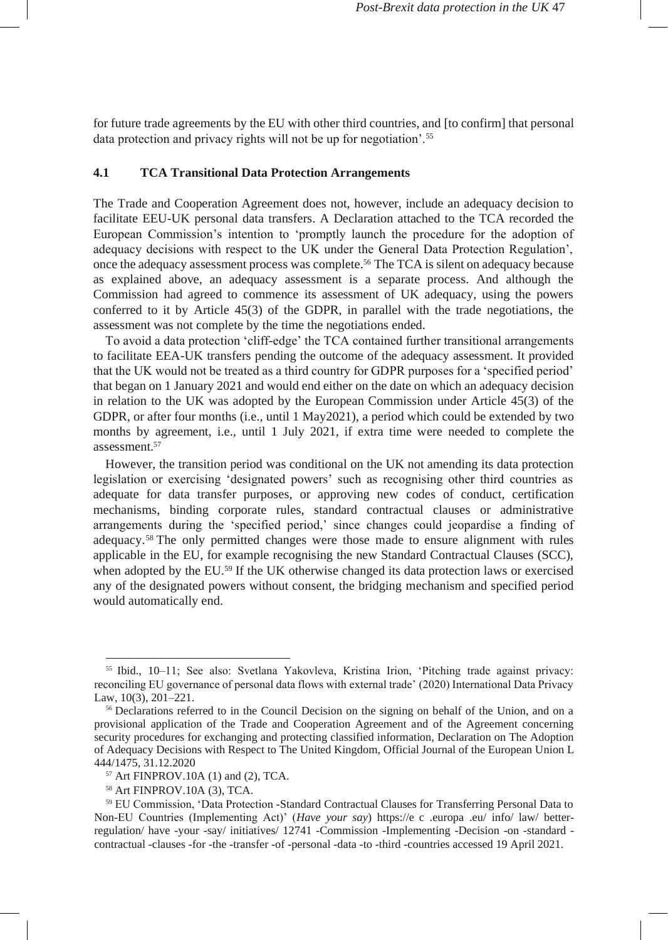for future trade agreements by the EU with other third countries, and [to confirm] that personal data protection and privacy rights will not be up for negotiation'.<sup>55</sup>

#### **4.1 TCA Transitional Data Protection Arrangements**

The Trade and Cooperation Agreement does not, however, include an adequacy decision to facilitate EEU-UK personal data transfers. A Declaration attached to the TCA recorded the European Commission's intention to 'promptly launch the procedure for the adoption of adequacy decisions with respect to the UK under the General Data Protection Regulation', once the adequacy assessment process was complete.<sup>56</sup> The TCA is silent on adequacy because as explained above, an adequacy assessment is a separate process. And although the Commission had agreed to commence its assessment of UK adequacy, using the powers conferred to it by Article 45(3) of the GDPR, in parallel with the trade negotiations, the assessment was not complete by the time the negotiations ended.

To avoid a data protection 'cliff-edge' the TCA contained further transitional arrangements to facilitate EEA-UK transfers pending the outcome of the adequacy assessment. It provided that the UK would not be treated as a third country for GDPR purposes for a 'specified period' that began on 1 January 2021 and would end either on the date on which an adequacy decision in relation to the UK was adopted by the European Commission under Article 45(3) of the GDPR, or after four months (i.e., until 1 May2021), a period which could be extended by two months by agreement, i.e., until 1 July 2021, if extra time were needed to complete the assessment.<sup>57</sup>

However, the transition period was conditional on the UK not amending its data protection legislation or exercising 'designated powers' such as recognising other third countries as adequate for data transfer purposes, or approving new codes of conduct, certification mechanisms, binding corporate rules, standard contractual clauses or administrative arrangements during the 'specified period,' since changes could jeopardise a finding of adequacy.<sup>58</sup> The only permitted changes were those made to ensure alignment with rules applicable in the EU, for example recognising the new Standard Contractual Clauses (SCC), when adopted by the EU.<sup>59</sup> If the UK otherwise changed its data protection laws or exercised any of the designated powers without consent, the bridging mechanism and specified period would automatically end.

<sup>55</sup> Ibid., 10–11; See also: Svetlana Yakovleva, Kristina Irion, 'Pitching trade against privacy: reconciling EU governance of personal data flows with external trade' (2020) International Data Privacy Law, 10(3), 201–221.

<sup>&</sup>lt;sup>56</sup> Declarations referred to in the Council Decision on the signing on behalf of the Union, and on a provisional application of the Trade and Cooperation Agreement and of the Agreement concerning security procedures for exchanging and protecting classified information, Declaration on The Adoption of Adequacy Decisions with Respect to The United Kingdom, Official Journal of the European Union L 444/1475, 31.12.2020

<sup>57</sup> Art FINPROV.10A (1) and (2), TCA.

<sup>58</sup> Art FINPROV.10A (3), TCA.

<sup>59</sup> EU Commission, 'Data Protection -Standard Contractual Clauses for Transferring Personal Data to Non-EU Countries (Implementing Act)' (*Have your say*) [https://e](https://ec.europa.eu/info/law/better-regulation/have-your-say/initiatives/12741-Commission-Implementing-Decision-on-standard-contractual-clauses-for-the-transfer-of-personal-data-to-third-countries) [c](https://ec.europa.eu/info/law/better-regulation/have-your-say/initiatives/12741-Commission-Implementing-Decision-on-standard-contractual-clauses-for-the-transfer-of-personal-data-to-third-countries) [.europa](https://ec.europa.eu/info/law/better-regulation/have-your-say/initiatives/12741-Commission-Implementing-Decision-on-standard-contractual-clauses-for-the-transfer-of-personal-data-to-third-countries) [.eu/](https://ec.europa.eu/info/law/better-regulation/have-your-say/initiatives/12741-Commission-Implementing-Decision-on-standard-contractual-clauses-for-the-transfer-of-personal-data-to-third-countries) [info/](https://ec.europa.eu/info/law/better-regulation/have-your-say/initiatives/12741-Commission-Implementing-Decision-on-standard-contractual-clauses-for-the-transfer-of-personal-data-to-third-countries) [law/](https://ec.europa.eu/info/law/better-regulation/have-your-say/initiatives/12741-Commission-Implementing-Decision-on-standard-contractual-clauses-for-the-transfer-of-personal-data-to-third-countries) [better](https://ec.europa.eu/info/law/better-regulation/have-your-say/initiatives/12741-Commission-Implementing-Decision-on-standard-contractual-clauses-for-the-transfer-of-personal-data-to-third-countries)[regulation/](https://ec.europa.eu/info/law/better-regulation/have-your-say/initiatives/12741-Commission-Implementing-Decision-on-standard-contractual-clauses-for-the-transfer-of-personal-data-to-third-countries) [have](https://ec.europa.eu/info/law/better-regulation/have-your-say/initiatives/12741-Commission-Implementing-Decision-on-standard-contractual-clauses-for-the-transfer-of-personal-data-to-third-countries) [-your](https://ec.europa.eu/info/law/better-regulation/have-your-say/initiatives/12741-Commission-Implementing-Decision-on-standard-contractual-clauses-for-the-transfer-of-personal-data-to-third-countries) [-say/](https://ec.europa.eu/info/law/better-regulation/have-your-say/initiatives/12741-Commission-Implementing-Decision-on-standard-contractual-clauses-for-the-transfer-of-personal-data-to-third-countries) [initiatives/](https://ec.europa.eu/info/law/better-regulation/have-your-say/initiatives/12741-Commission-Implementing-Decision-on-standard-contractual-clauses-for-the-transfer-of-personal-data-to-third-countries) [12741](https://ec.europa.eu/info/law/better-regulation/have-your-say/initiatives/12741-Commission-Implementing-Decision-on-standard-contractual-clauses-for-the-transfer-of-personal-data-to-third-countries) [-Commission](https://ec.europa.eu/info/law/better-regulation/have-your-say/initiatives/12741-Commission-Implementing-Decision-on-standard-contractual-clauses-for-the-transfer-of-personal-data-to-third-countries) [-Implementing](https://ec.europa.eu/info/law/better-regulation/have-your-say/initiatives/12741-Commission-Implementing-Decision-on-standard-contractual-clauses-for-the-transfer-of-personal-data-to-third-countries) [-Decision](https://ec.europa.eu/info/law/better-regulation/have-your-say/initiatives/12741-Commission-Implementing-Decision-on-standard-contractual-clauses-for-the-transfer-of-personal-data-to-third-countries) [-on](https://ec.europa.eu/info/law/better-regulation/have-your-say/initiatives/12741-Commission-Implementing-Decision-on-standard-contractual-clauses-for-the-transfer-of-personal-data-to-third-countries) [-standard](https://ec.europa.eu/info/law/better-regulation/have-your-say/initiatives/12741-Commission-Implementing-Decision-on-standard-contractual-clauses-for-the-transfer-of-personal-data-to-third-countries)  [contractual](https://ec.europa.eu/info/law/better-regulation/have-your-say/initiatives/12741-Commission-Implementing-Decision-on-standard-contractual-clauses-for-the-transfer-of-personal-data-to-third-countries) [-clauses](https://ec.europa.eu/info/law/better-regulation/have-your-say/initiatives/12741-Commission-Implementing-Decision-on-standard-contractual-clauses-for-the-transfer-of-personal-data-to-third-countries) [-for](https://ec.europa.eu/info/law/better-regulation/have-your-say/initiatives/12741-Commission-Implementing-Decision-on-standard-contractual-clauses-for-the-transfer-of-personal-data-to-third-countries) [-the](https://ec.europa.eu/info/law/better-regulation/have-your-say/initiatives/12741-Commission-Implementing-Decision-on-standard-contractual-clauses-for-the-transfer-of-personal-data-to-third-countries) [-transfer](https://ec.europa.eu/info/law/better-regulation/have-your-say/initiatives/12741-Commission-Implementing-Decision-on-standard-contractual-clauses-for-the-transfer-of-personal-data-to-third-countries) [-of](https://ec.europa.eu/info/law/better-regulation/have-your-say/initiatives/12741-Commission-Implementing-Decision-on-standard-contractual-clauses-for-the-transfer-of-personal-data-to-third-countries) [-personal](https://ec.europa.eu/info/law/better-regulation/have-your-say/initiatives/12741-Commission-Implementing-Decision-on-standard-contractual-clauses-for-the-transfer-of-personal-data-to-third-countries) [-data](https://ec.europa.eu/info/law/better-regulation/have-your-say/initiatives/12741-Commission-Implementing-Decision-on-standard-contractual-clauses-for-the-transfer-of-personal-data-to-third-countries) [-to](https://ec.europa.eu/info/law/better-regulation/have-your-say/initiatives/12741-Commission-Implementing-Decision-on-standard-contractual-clauses-for-the-transfer-of-personal-data-to-third-countries) [-third](https://ec.europa.eu/info/law/better-regulation/have-your-say/initiatives/12741-Commission-Implementing-Decision-on-standard-contractual-clauses-for-the-transfer-of-personal-data-to-third-countries) [-countries](https://ec.europa.eu/info/law/better-regulation/have-your-say/initiatives/12741-Commission-Implementing-Decision-on-standard-contractual-clauses-for-the-transfer-of-personal-data-to-third-countries) accessed 19 April 2021.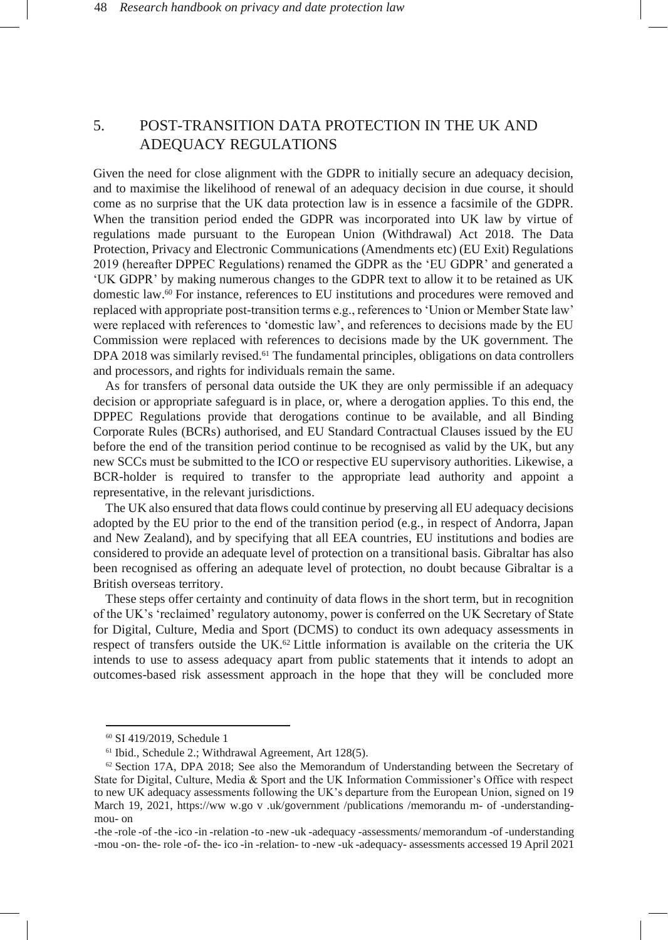# 5. POST-TRANSITION DATA PROTECTION IN THE UK AND ADEQUACY REGULATIONS

Given the need for close alignment with the GDPR to initially secure an adequacy decision, and to maximise the likelihood of renewal of an adequacy decision in due course, it should come as no surprise that the UK data protection law is in essence a facsimile of the GDPR. When the transition period ended the GDPR was incorporated into UK law by virtue of regulations made pursuant to the European Union (Withdrawal) Act 2018. The Data Protection, Privacy and Electronic Communications (Amendments etc) (EU Exit) Regulations 2019 (hereafter DPPEC Regulations) renamed the GDPR as the 'EU GDPR' and generated a 'UK GDPR' by making numerous changes to the GDPR text to allow it to be retained as UK domestic law.<sup>60</sup> For instance, references to EU institutions and procedures were removed and replaced with appropriate post-transition terms e.g., references to 'Union or Member State law' were replaced with references to 'domestic law', and references to decisions made by the EU Commission were replaced with references to decisions made by the UK government. The DPA 2018 was similarly revised.<sup>61</sup> The fundamental principles, obligations on data controllers and processors, and rights for individuals remain the same.

As for transfers of personal data outside the UK they are only permissible if an adequacy decision or appropriate safeguard is in place, or, where a derogation applies. To this end, the DPPEC Regulations provide that derogations continue to be available, and all Binding Corporate Rules (BCRs) authorised, and EU Standard Contractual Clauses issued by the EU before the end of the transition period continue to be recognised as valid by the UK, but any new SCCs must be submitted to the ICO or respective EU supervisory authorities. Likewise, a BCR-holder is required to transfer to the appropriate lead authority and appoint a representative, in the relevant jurisdictions.

The UK also ensured that data flows could continue by preserving all EU adequacy decisions adopted by the EU prior to the end of the transition period (e.g., in respect of Andorra, Japan and New Zealand), and by specifying that all EEA countries, EU institutions and bodies are considered to provide an adequate level of protection on a transitional basis. Gibraltar has also been recognised as offering an adequate level of protection, no doubt because Gibraltar is a British overseas territory.

These steps offer certainty and continuity of data flows in the short term, but in recognition of the UK's 'reclaimed' regulatory autonomy, power is conferred on the UK Secretary of State for Digital, Culture, Media and Sport (DCMS) to conduct its own adequacy assessments in respect of transfers outside the UK.<sup>62</sup> Little information is available on the criteria the UK intends to use to assess adequacy apart from public statements that it intends to adopt an outcomes-based risk assessment approach in the hope that they will be concluded more

<sup>60</sup> SI 419/2019, Schedule 1

<sup>61</sup> Ibid., Schedule 2.; Withdrawal Agreement, Art 128(5).

 $62$  Section 17A, DPA 2018; See also the Memorandum of Understanding between the Secretary of State for Digital, Culture, Media & Sport and the UK Information Commissioner's Office with respect to new UK adequacy assessments following the UK's departure from the European Union, signed on 19 March 19, 2021, [https://ww](https://www.gov.uk/government/publications/memorandum-of-understanding-mou-on-the-role-of-the-ico-in-relation-to-new-uk-adequacy-assessments/memorandum-of-understanding-mou-on-the-role-of-the-ico-in-relation-to-new-uk-adequacy-assessments)[w.go](https://www.gov.uk/government/publications/memorandum-of-understanding-mou-on-the-role-of-the-ico-in-relation-to-new-uk-adequacy-assessments/memorandum-of-understanding-mou-on-the-role-of-the-ico-in-relation-to-new-uk-adequacy-assessments)[v](https://www.gov.uk/government/publications/memorandum-of-understanding-mou-on-the-role-of-the-ico-in-relation-to-new-uk-adequacy-assessments/memorandum-of-understanding-mou-on-the-role-of-the-ico-in-relation-to-new-uk-adequacy-assessments)[.uk/government](https://www.gov.uk/government/publications/memorandum-of-understanding-mou-on-the-role-of-the-ico-in-relation-to-new-uk-adequacy-assessments/memorandum-of-understanding-mou-on-the-role-of-the-ico-in-relation-to-new-uk-adequacy-assessments) [/publications](https://www.gov.uk/government/publications/memorandum-of-understanding-mou-on-the-role-of-the-ico-in-relation-to-new-uk-adequacy-assessments/memorandum-of-understanding-mou-on-the-role-of-the-ico-in-relation-to-new-uk-adequacy-assessments) [/memorandu](https://www.gov.uk/government/publications/memorandum-of-understanding-mou-on-the-role-of-the-ico-in-relation-to-new-uk-adequacy-assessments/memorandum-of-understanding-mou-on-the-role-of-the-ico-in-relation-to-new-uk-adequacy-assessments) [m-](https://www.gov.uk/government/publications/memorandum-of-understanding-mou-on-the-role-of-the-ico-in-relation-to-new-uk-adequacy-assessments/memorandum-of-understanding-mou-on-the-role-of-the-ico-in-relation-to-new-uk-adequacy-assessments) [of](https://www.gov.uk/government/publications/memorandum-of-understanding-mou-on-the-role-of-the-ico-in-relation-to-new-uk-adequacy-assessments/memorandum-of-understanding-mou-on-the-role-of-the-ico-in-relation-to-new-uk-adequacy-assessments) [-understanding](https://www.gov.uk/government/publications/memorandum-of-understanding-mou-on-the-role-of-the-ico-in-relation-to-new-uk-adequacy-assessments/memorandum-of-understanding-mou-on-the-role-of-the-ico-in-relation-to-new-uk-adequacy-assessments)[mou-](https://www.gov.uk/government/publications/memorandum-of-understanding-mou-on-the-role-of-the-ico-in-relation-to-new-uk-adequacy-assessments/memorandum-of-understanding-mou-on-the-role-of-the-ico-in-relation-to-new-uk-adequacy-assessments) [on](https://www.gov.uk/government/publications/memorandum-of-understanding-mou-on-the-role-of-the-ico-in-relation-to-new-uk-adequacy-assessments/memorandum-of-understanding-mou-on-the-role-of-the-ico-in-relation-to-new-uk-adequacy-assessments)

[<sup>-</sup>the](https://www.gov.uk/government/publications/memorandum-of-understanding-mou-on-the-role-of-the-ico-in-relation-to-new-uk-adequacy-assessments/memorandum-of-understanding-mou-on-the-role-of-the-ico-in-relation-to-new-uk-adequacy-assessments) [-role](https://www.gov.uk/government/publications/memorandum-of-understanding-mou-on-the-role-of-the-ico-in-relation-to-new-uk-adequacy-assessments/memorandum-of-understanding-mou-on-the-role-of-the-ico-in-relation-to-new-uk-adequacy-assessments) [-of](https://www.gov.uk/government/publications/memorandum-of-understanding-mou-on-the-role-of-the-ico-in-relation-to-new-uk-adequacy-assessments/memorandum-of-understanding-mou-on-the-role-of-the-ico-in-relation-to-new-uk-adequacy-assessments) [-the](https://www.gov.uk/government/publications/memorandum-of-understanding-mou-on-the-role-of-the-ico-in-relation-to-new-uk-adequacy-assessments/memorandum-of-understanding-mou-on-the-role-of-the-ico-in-relation-to-new-uk-adequacy-assessments) [-ico](https://www.gov.uk/government/publications/memorandum-of-understanding-mou-on-the-role-of-the-ico-in-relation-to-new-uk-adequacy-assessments/memorandum-of-understanding-mou-on-the-role-of-the-ico-in-relation-to-new-uk-adequacy-assessments) [-in](https://www.gov.uk/government/publications/memorandum-of-understanding-mou-on-the-role-of-the-ico-in-relation-to-new-uk-adequacy-assessments/memorandum-of-understanding-mou-on-the-role-of-the-ico-in-relation-to-new-uk-adequacy-assessments) [-relation](https://www.gov.uk/government/publications/memorandum-of-understanding-mou-on-the-role-of-the-ico-in-relation-to-new-uk-adequacy-assessments/memorandum-of-understanding-mou-on-the-role-of-the-ico-in-relation-to-new-uk-adequacy-assessments) [-to](https://www.gov.uk/government/publications/memorandum-of-understanding-mou-on-the-role-of-the-ico-in-relation-to-new-uk-adequacy-assessments/memorandum-of-understanding-mou-on-the-role-of-the-ico-in-relation-to-new-uk-adequacy-assessments) [-new](https://www.gov.uk/government/publications/memorandum-of-understanding-mou-on-the-role-of-the-ico-in-relation-to-new-uk-adequacy-assessments/memorandum-of-understanding-mou-on-the-role-of-the-ico-in-relation-to-new-uk-adequacy-assessments) [-uk](https://www.gov.uk/government/publications/memorandum-of-understanding-mou-on-the-role-of-the-ico-in-relation-to-new-uk-adequacy-assessments/memorandum-of-understanding-mou-on-the-role-of-the-ico-in-relation-to-new-uk-adequacy-assessments) [-adequacy](https://www.gov.uk/government/publications/memorandum-of-understanding-mou-on-the-role-of-the-ico-in-relation-to-new-uk-adequacy-assessments/memorandum-of-understanding-mou-on-the-role-of-the-ico-in-relation-to-new-uk-adequacy-assessments) [-assessments/](https://www.gov.uk/government/publications/memorandum-of-understanding-mou-on-the-role-of-the-ico-in-relation-to-new-uk-adequacy-assessments/memorandum-of-understanding-mou-on-the-role-of-the-ico-in-relation-to-new-uk-adequacy-assessments) [memorandum](https://www.gov.uk/government/publications/memorandum-of-understanding-mou-on-the-role-of-the-ico-in-relation-to-new-uk-adequacy-assessments/memorandum-of-understanding-mou-on-the-role-of-the-ico-in-relation-to-new-uk-adequacy-assessments) [-of](https://www.gov.uk/government/publications/memorandum-of-understanding-mou-on-the-role-of-the-ico-in-relation-to-new-uk-adequacy-assessments/memorandum-of-understanding-mou-on-the-role-of-the-ico-in-relation-to-new-uk-adequacy-assessments) [-understanding](https://www.gov.uk/government/publications/memorandum-of-understanding-mou-on-the-role-of-the-ico-in-relation-to-new-uk-adequacy-assessments/memorandum-of-understanding-mou-on-the-role-of-the-ico-in-relation-to-new-uk-adequacy-assessments) [-mou](https://www.gov.uk/government/publications/memorandum-of-understanding-mou-on-the-role-of-the-ico-in-relation-to-new-uk-adequacy-assessments/memorandum-of-understanding-mou-on-the-role-of-the-ico-in-relation-to-new-uk-adequacy-assessments) [-on-](https://www.gov.uk/government/publications/memorandum-of-understanding-mou-on-the-role-of-the-ico-in-relation-to-new-uk-adequacy-assessments/memorandum-of-understanding-mou-on-the-role-of-the-ico-in-relation-to-new-uk-adequacy-assessments) [the-](https://www.gov.uk/government/publications/memorandum-of-understanding-mou-on-the-role-of-the-ico-in-relation-to-new-uk-adequacy-assessments/memorandum-of-understanding-mou-on-the-role-of-the-ico-in-relation-to-new-uk-adequacy-assessments) [role](https://www.gov.uk/government/publications/memorandum-of-understanding-mou-on-the-role-of-the-ico-in-relation-to-new-uk-adequacy-assessments/memorandum-of-understanding-mou-on-the-role-of-the-ico-in-relation-to-new-uk-adequacy-assessments) [-of-](https://www.gov.uk/government/publications/memorandum-of-understanding-mou-on-the-role-of-the-ico-in-relation-to-new-uk-adequacy-assessments/memorandum-of-understanding-mou-on-the-role-of-the-ico-in-relation-to-new-uk-adequacy-assessments) [the-](https://www.gov.uk/government/publications/memorandum-of-understanding-mou-on-the-role-of-the-ico-in-relation-to-new-uk-adequacy-assessments/memorandum-of-understanding-mou-on-the-role-of-the-ico-in-relation-to-new-uk-adequacy-assessments) [ico](https://www.gov.uk/government/publications/memorandum-of-understanding-mou-on-the-role-of-the-ico-in-relation-to-new-uk-adequacy-assessments/memorandum-of-understanding-mou-on-the-role-of-the-ico-in-relation-to-new-uk-adequacy-assessments) [-in](https://www.gov.uk/government/publications/memorandum-of-understanding-mou-on-the-role-of-the-ico-in-relation-to-new-uk-adequacy-assessments/memorandum-of-understanding-mou-on-the-role-of-the-ico-in-relation-to-new-uk-adequacy-assessments) [-relation-](https://www.gov.uk/government/publications/memorandum-of-understanding-mou-on-the-role-of-the-ico-in-relation-to-new-uk-adequacy-assessments/memorandum-of-understanding-mou-on-the-role-of-the-ico-in-relation-to-new-uk-adequacy-assessments) [to](https://www.gov.uk/government/publications/memorandum-of-understanding-mou-on-the-role-of-the-ico-in-relation-to-new-uk-adequacy-assessments/memorandum-of-understanding-mou-on-the-role-of-the-ico-in-relation-to-new-uk-adequacy-assessments) [-new](https://www.gov.uk/government/publications/memorandum-of-understanding-mou-on-the-role-of-the-ico-in-relation-to-new-uk-adequacy-assessments/memorandum-of-understanding-mou-on-the-role-of-the-ico-in-relation-to-new-uk-adequacy-assessments) [-uk](https://www.gov.uk/government/publications/memorandum-of-understanding-mou-on-the-role-of-the-ico-in-relation-to-new-uk-adequacy-assessments/memorandum-of-understanding-mou-on-the-role-of-the-ico-in-relation-to-new-uk-adequacy-assessments) [-adequacy-](https://www.gov.uk/government/publications/memorandum-of-understanding-mou-on-the-role-of-the-ico-in-relation-to-new-uk-adequacy-assessments/memorandum-of-understanding-mou-on-the-role-of-the-ico-in-relation-to-new-uk-adequacy-assessments) [assessments](https://www.gov.uk/government/publications/memorandum-of-understanding-mou-on-the-role-of-the-ico-in-relation-to-new-uk-adequacy-assessments/memorandum-of-understanding-mou-on-the-role-of-the-ico-in-relation-to-new-uk-adequacy-assessments) accessed 19 April 2021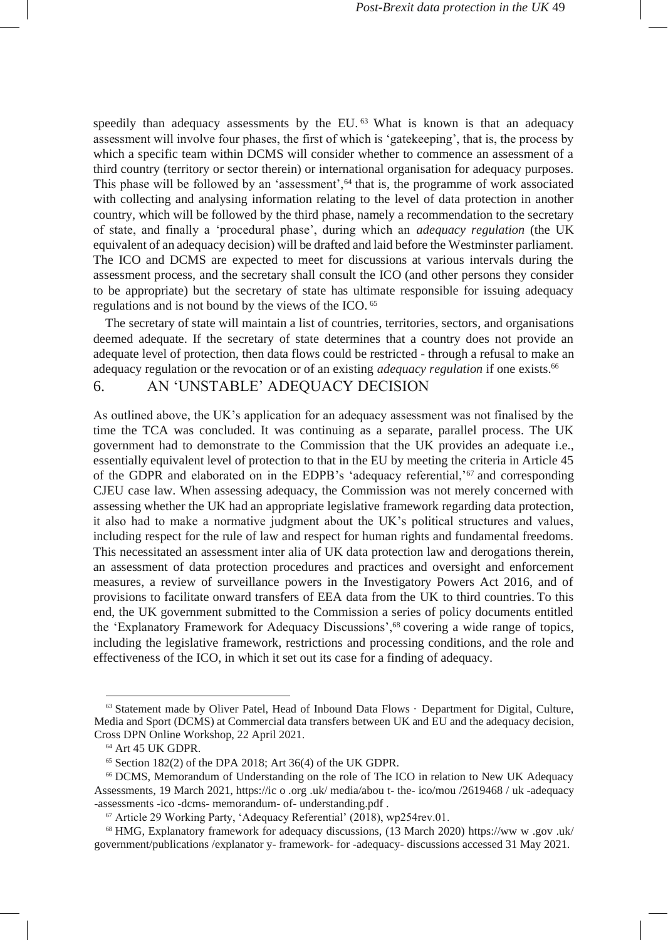speedily than adequacy assessments by the EU.<sup>63</sup> What is known is that an adequacy assessment will involve four phases, the first of which is 'gatekeeping', that is, the process by which a specific team within DCMS will consider whether to commence an assessment of a third country (territory or sector therein) or international organisation for adequacy purposes. This phase will be followed by an 'assessment',<sup>64</sup> that is, the programme of work associated with collecting and analysing information relating to the level of data protection in another country, which will be followed by the third phase, namely a recommendation to the secretary of state, and finally a 'procedural phase', during which an *adequacy regulation* (the UK equivalent of an adequacy decision) will be drafted and laid before the Westminster parliament. The ICO and DCMS are expected to meet for discussions at various intervals during the assessment process, and the secretary shall consult the ICO (and other persons they consider to be appropriate) but the secretary of state has ultimate responsible for issuing adequacy regulations and is not bound by the views of the ICO. <sup>65</sup>

The secretary of state will maintain a list of countries, territories, sectors, and organisations deemed adequate. If the secretary of state determines that a country does not provide an adequate level of protection, then data flows could be restricted - through a refusal to make an adequacy regulation or the revocation or of an existing *adequacy regulation* if one exists.<sup>66</sup>

### 6. AN 'UNSTABLE' ADEQUACY DECISION

As outlined above, the UK's application for an adequacy assessment was not finalised by the time the TCA was concluded. It was continuing as a separate, parallel process. The UK government had to demonstrate to the Commission that the UK provides an adequate i.e., essentially equivalent level of protection to that in the EU by meeting the criteria in Article 45 of the GDPR and elaborated on in the EDPB's 'adequacy referential,'<sup>67</sup> and corresponding CJEU case law. When assessing adequacy, the Commission was not merely concerned with assessing whether the UK had an appropriate legislative framework regarding data protection, it also had to make a normative judgment about the UK's political structures and values, including respect for the rule of law and respect for human rights and fundamental freedoms. This necessitated an assessment inter alia of UK data protection law and derogations therein, an assessment of data protection procedures and practices and oversight and enforcement measures, a review of surveillance powers in the Investigatory Powers Act 2016, and of provisions to facilitate onward transfers of EEA data from the UK to third countries. To this end, the UK government submitted to the Commission a series of policy documents entitled the 'Explanatory Framework for Adequacy Discussions',<sup>68</sup> covering a wide range of topics, including the legislative framework, restrictions and processing conditions, and the role and effectiveness of the ICO, in which it set out its case for a finding of adequacy.

<sup>&</sup>lt;sup>63</sup> Statement made by Oliver Patel, Head of Inbound Data Flows · Department for Digital, Culture, Media and Sport (DCMS) at Commercial data transfers between UK and EU and the adequacy decision, Cross DPN Online Workshop, 22 April 2021.

<sup>64</sup> Art 45 UK GDPR.

 $65$  Section 182(2) of the DPA 2018; Art 36(4) of the UK GDPR.

<sup>66</sup> DCMS, Memorandum of Understanding on the role of The ICO in relation to New UK Adequacy Assessments, 19 March 2021[, https://ic](https://ico.org.uk/media/about-the-ico/mou/2619468/uk-adequacy-assessments-ico-dcms-memorandum-of-understanding.pdf) [o](https://ico.org.uk/media/about-the-ico/mou/2619468/uk-adequacy-assessments-ico-dcms-memorandum-of-understanding.pdf) [.org](https://ico.org.uk/media/about-the-ico/mou/2619468/uk-adequacy-assessments-ico-dcms-memorandum-of-understanding.pdf) [.uk/](https://ico.org.uk/media/about-the-ico/mou/2619468/uk-adequacy-assessments-ico-dcms-memorandum-of-understanding.pdf) [media/abou](https://ico.org.uk/media/about-the-ico/mou/2619468/uk-adequacy-assessments-ico-dcms-memorandum-of-understanding.pdf) [t-](https://ico.org.uk/media/about-the-ico/mou/2619468/uk-adequacy-assessments-ico-dcms-memorandum-of-understanding.pdf) [the-](https://ico.org.uk/media/about-the-ico/mou/2619468/uk-adequacy-assessments-ico-dcms-memorandum-of-understanding.pdf) [ico/mou](https://ico.org.uk/media/about-the-ico/mou/2619468/uk-adequacy-assessments-ico-dcms-memorandum-of-understanding.pdf) [/2619468](https://ico.org.uk/media/about-the-ico/mou/2619468/uk-adequacy-assessments-ico-dcms-memorandum-of-understanding.pdf) [/](https://ico.org.uk/media/about-the-ico/mou/2619468/uk-adequacy-assessments-ico-dcms-memorandum-of-understanding.pdf) [uk](https://ico.org.uk/media/about-the-ico/mou/2619468/uk-adequacy-assessments-ico-dcms-memorandum-of-understanding.pdf) [-adequacy](https://ico.org.uk/media/about-the-ico/mou/2619468/uk-adequacy-assessments-ico-dcms-memorandum-of-understanding.pdf) [-assessments](https://ico.org.uk/media/about-the-ico/mou/2619468/uk-adequacy-assessments-ico-dcms-memorandum-of-understanding.pdf) [-ico](https://ico.org.uk/media/about-the-ico/mou/2619468/uk-adequacy-assessments-ico-dcms-memorandum-of-understanding.pdf) [-dcms-](https://ico.org.uk/media/about-the-ico/mou/2619468/uk-adequacy-assessments-ico-dcms-memorandum-of-understanding.pdf) [memorandum-](https://ico.org.uk/media/about-the-ico/mou/2619468/uk-adequacy-assessments-ico-dcms-memorandum-of-understanding.pdf) [of-](https://ico.org.uk/media/about-the-ico/mou/2619468/uk-adequacy-assessments-ico-dcms-memorandum-of-understanding.pdf) [understanding.pdf](https://ico.org.uk/media/about-the-ico/mou/2619468/uk-adequacy-assessments-ico-dcms-memorandum-of-understanding.pdf) .

<sup>67</sup> Article 29 Working Party, 'Adequacy Referential' (2018), wp254rev.01.

<sup>68</sup> HMG, Explanatory framework for adequacy discussions, (13 March 2020) [https://ww](https://www.gov.uk/government/publications/explanatory-framework-for-adequacy-discussions) [w](https://www.gov.uk/government/publications/explanatory-framework-for-adequacy-discussions) [.gov](https://www.gov.uk/government/publications/explanatory-framework-for-adequacy-discussions) [.uk/](https://www.gov.uk/government/publications/explanatory-framework-for-adequacy-discussions) [government/publications](https://www.gov.uk/government/publications/explanatory-framework-for-adequacy-discussions) [/explanator](https://www.gov.uk/government/publications/explanatory-framework-for-adequacy-discussions) [y-](https://www.gov.uk/government/publications/explanatory-framework-for-adequacy-discussions) [framework-](https://www.gov.uk/government/publications/explanatory-framework-for-adequacy-discussions) [for](https://www.gov.uk/government/publications/explanatory-framework-for-adequacy-discussions) [-adequacy-](https://www.gov.uk/government/publications/explanatory-framework-for-adequacy-discussions) [discussions](https://www.gov.uk/government/publications/explanatory-framework-for-adequacy-discussions) accessed 31 May 2021.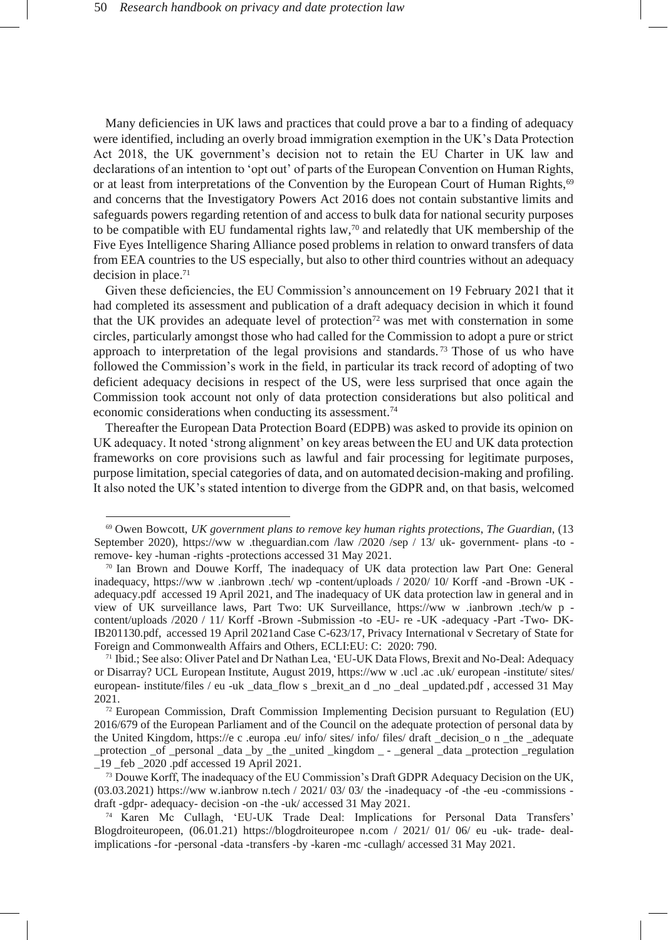Many deficiencies in UK laws and practices that could prove a bar to a finding of adequacy were identified, including an overly broad immigration exemption in the UK's Data Protection Act 2018, the UK government's decision not to retain the EU Charter in UK law and declarations of an intention to 'opt out' of parts of the European Convention on Human Rights, or at least from interpretations of the Convention by the European Court of Human Rights,<sup>69</sup> and concerns that the Investigatory Powers Act 2016 does not contain substantive limits and safeguards powers regarding retention of and access to bulk data for national security purposes to be compatible with EU fundamental rights law,<sup>70</sup> and relatedly that UK membership of the Five Eyes Intelligence Sharing Alliance posed problems in relation to onward transfers of data from EEA countries to the US especially, but also to other third countries without an adequacy decision in place.<sup>71</sup>

Given these deficiencies, the EU Commission's announcement on 19 February 2021 that it had completed its assessment and publication of a draft adequacy decision in which it found that the UK provides an adequate level of protection<sup>72</sup> was met with consternation in some circles, particularly amongst those who had called for the Commission to adopt a pure or strict approach to interpretation of the legal provisions and standards. <sup>73</sup> Those of us who have followed the Commission's work in the field, in particular its track record of adopting of two deficient adequacy decisions in respect of the US, were less surprised that once again the Commission took account not only of data protection considerations but also political and economic considerations when conducting its assessment.<sup>74</sup>

Thereafter the European Data Protection Board (EDPB) was asked to provide its opinion on UK adequacy. It noted 'strong alignment' on key areas between the EU and UK data protection frameworks on core provisions such as lawful and fair processing for legitimate purposes, purpose limitation, special categories of data, and on automated decision-making and profiling. It also noted the UK's stated intention to diverge from the GDPR and, on that basis, welcomed

<sup>69</sup> Owen Bowcott, *UK government plans to remove key human rights protections*, *The Guardian*, (13 September 2020), [https://ww](https://www.theguardian.com/law/2020/sep/13/uk-government-plans-to-remove-key-human-rights-protections) [w](https://www.theguardian.com/law/2020/sep/13/uk-government-plans-to-remove-key-human-rights-protections) [.theguardian.com](https://www.theguardian.com/law/2020/sep/13/uk-government-plans-to-remove-key-human-rights-protections) [/law](https://www.theguardian.com/law/2020/sep/13/uk-government-plans-to-remove-key-human-rights-protections) [/2020](https://www.theguardian.com/law/2020/sep/13/uk-government-plans-to-remove-key-human-rights-protections) [/sep](https://www.theguardian.com/law/2020/sep/13/uk-government-plans-to-remove-key-human-rights-protections) [/](https://www.theguardian.com/law/2020/sep/13/uk-government-plans-to-remove-key-human-rights-protections) [13/](https://www.theguardian.com/law/2020/sep/13/uk-government-plans-to-remove-key-human-rights-protections) [uk-](https://www.theguardian.com/law/2020/sep/13/uk-government-plans-to-remove-key-human-rights-protections) [government-](https://www.theguardian.com/law/2020/sep/13/uk-government-plans-to-remove-key-human-rights-protections) [plans](https://www.theguardian.com/law/2020/sep/13/uk-government-plans-to-remove-key-human-rights-protections) [-to](https://www.theguardian.com/law/2020/sep/13/uk-government-plans-to-remove-key-human-rights-protections)  [remove-](https://www.theguardian.com/law/2020/sep/13/uk-government-plans-to-remove-key-human-rights-protections) [key](https://www.theguardian.com/law/2020/sep/13/uk-government-plans-to-remove-key-human-rights-protections) [-human](https://www.theguardian.com/law/2020/sep/13/uk-government-plans-to-remove-key-human-rights-protections) [-rights](https://www.theguardian.com/law/2020/sep/13/uk-government-plans-to-remove-key-human-rights-protections) [-protections](https://www.theguardian.com/law/2020/sep/13/uk-government-plans-to-remove-key-human-rights-protections) accessed 31 May 2021.

<sup>70</sup> Ian Brown and Douwe Korff, The inadequacy of UK data protection law Part One: General inadequacy, [https://ww](https://www.ianbrown.tech/wp-content/uploads/2020/10/Korff-and-Brown-UK-adequacy.pdf) [w](https://www.ianbrown.tech/wp-content/uploads/2020/10/Korff-and-Brown-UK-adequacy.pdf) [.ianbrown](https://www.ianbrown.tech/wp-content/uploads/2020/10/Korff-and-Brown-UK-adequacy.pdf) [.tech/](https://www.ianbrown.tech/wp-content/uploads/2020/10/Korff-and-Brown-UK-adequacy.pdf) [wp](https://www.ianbrown.tech/wp-content/uploads/2020/10/Korff-and-Brown-UK-adequacy.pdf) [-content/uploads](https://www.ianbrown.tech/wp-content/uploads/2020/10/Korff-and-Brown-UK-adequacy.pdf) [/](https://www.ianbrown.tech/wp-content/uploads/2020/10/Korff-and-Brown-UK-adequacy.pdf) [2020/](https://www.ianbrown.tech/wp-content/uploads/2020/10/Korff-and-Brown-UK-adequacy.pdf) [10/](https://www.ianbrown.tech/wp-content/uploads/2020/10/Korff-and-Brown-UK-adequacy.pdf) [Korff](https://www.ianbrown.tech/wp-content/uploads/2020/10/Korff-and-Brown-UK-adequacy.pdf) [-and](https://www.ianbrown.tech/wp-content/uploads/2020/10/Korff-and-Brown-UK-adequacy.pdf) [-Brown](https://www.ianbrown.tech/wp-content/uploads/2020/10/Korff-and-Brown-UK-adequacy.pdf) [-UK](https://www.ianbrown.tech/wp-content/uploads/2020/10/Korff-and-Brown-UK-adequacy.pdf)  [adequacy.pdf](https://www.ianbrown.tech/wp-content/uploads/2020/10/Korff-and-Brown-UK-adequacy.pdf) [a](https://www.ianbrown.tech/wp-content/uploads/2020/10/Korff-and-Brown-UK-adequacy.pdf)ccessed 19 April 2021, and The inadequacy of UK data protection law in general and in view of UK surveillance laws, Part Two: UK Surveillance, [https://ww](https://www.ianbrown.tech/wp-content/uploads/2020/11/Korff-Brown-Submission-to-EU-re-UK-adequacy-Part-Two-DK-IB201130.pdf) [w](https://www.ianbrown.tech/wp-content/uploads/2020/11/Korff-Brown-Submission-to-EU-re-UK-adequacy-Part-Two-DK-IB201130.pdf) [.ianbrown](https://www.ianbrown.tech/wp-content/uploads/2020/11/Korff-Brown-Submission-to-EU-re-UK-adequacy-Part-Two-DK-IB201130.pdf) [.tech/w](https://www.ianbrown.tech/wp-content/uploads/2020/11/Korff-Brown-Submission-to-EU-re-UK-adequacy-Part-Two-DK-IB201130.pdf) [p](https://www.ianbrown.tech/wp-content/uploads/2020/11/Korff-Brown-Submission-to-EU-re-UK-adequacy-Part-Two-DK-IB201130.pdf)  [content/uploads](https://www.ianbrown.tech/wp-content/uploads/2020/11/Korff-Brown-Submission-to-EU-re-UK-adequacy-Part-Two-DK-IB201130.pdf) [/2020](https://www.ianbrown.tech/wp-content/uploads/2020/11/Korff-Brown-Submission-to-EU-re-UK-adequacy-Part-Two-DK-IB201130.pdf) [/](https://www.ianbrown.tech/wp-content/uploads/2020/11/Korff-Brown-Submission-to-EU-re-UK-adequacy-Part-Two-DK-IB201130.pdf) [11/](https://www.ianbrown.tech/wp-content/uploads/2020/11/Korff-Brown-Submission-to-EU-re-UK-adequacy-Part-Two-DK-IB201130.pdf) [Korff](https://www.ianbrown.tech/wp-content/uploads/2020/11/Korff-Brown-Submission-to-EU-re-UK-adequacy-Part-Two-DK-IB201130.pdf) [-Brown](https://www.ianbrown.tech/wp-content/uploads/2020/11/Korff-Brown-Submission-to-EU-re-UK-adequacy-Part-Two-DK-IB201130.pdf) [-Submission](https://www.ianbrown.tech/wp-content/uploads/2020/11/Korff-Brown-Submission-to-EU-re-UK-adequacy-Part-Two-DK-IB201130.pdf) [-to](https://www.ianbrown.tech/wp-content/uploads/2020/11/Korff-Brown-Submission-to-EU-re-UK-adequacy-Part-Two-DK-IB201130.pdf) [-EU-](https://www.ianbrown.tech/wp-content/uploads/2020/11/Korff-Brown-Submission-to-EU-re-UK-adequacy-Part-Two-DK-IB201130.pdf) [re](https://www.ianbrown.tech/wp-content/uploads/2020/11/Korff-Brown-Submission-to-EU-re-UK-adequacy-Part-Two-DK-IB201130.pdf) [-UK](https://www.ianbrown.tech/wp-content/uploads/2020/11/Korff-Brown-Submission-to-EU-re-UK-adequacy-Part-Two-DK-IB201130.pdf) [-adequacy](https://www.ianbrown.tech/wp-content/uploads/2020/11/Korff-Brown-Submission-to-EU-re-UK-adequacy-Part-Two-DK-IB201130.pdf) [-Part](https://www.ianbrown.tech/wp-content/uploads/2020/11/Korff-Brown-Submission-to-EU-re-UK-adequacy-Part-Two-DK-IB201130.pdf) [-Two-](https://www.ianbrown.tech/wp-content/uploads/2020/11/Korff-Brown-Submission-to-EU-re-UK-adequacy-Part-Two-DK-IB201130.pdf) [DK-](https://www.ianbrown.tech/wp-content/uploads/2020/11/Korff-Brown-Submission-to-EU-re-UK-adequacy-Part-Two-DK-IB201130.pdf)[IB201130.pdf,](https://www.ianbrown.tech/wp-content/uploads/2020/11/Korff-Brown-Submission-to-EU-re-UK-adequacy-Part-Two-DK-IB201130.pdf) accessed 19 April 2021and Case C-623/17, Privacy International v Secretary of State for Foreign and Commonwealth Affairs and Others*,* ECLI:EU: C: 2020: 790.

<sup>71</sup> Ibid.; See also: Oliver Patel and Dr Nathan Lea, 'EU-UK Data Flows, Brexit and No-Deal: Adequacy or Disarray? UCL European Institute, August 2019, [https://ww](https://www.ucl.ac.uk/european-institute/sites/european-institute/files/eu-uk_data_flows_brexit_and_no_deal_updated.pdf) [w](https://www.ucl.ac.uk/european-institute/sites/european-institute/files/eu-uk_data_flows_brexit_and_no_deal_updated.pdf) [.ucl](https://www.ucl.ac.uk/european-institute/sites/european-institute/files/eu-uk_data_flows_brexit_and_no_deal_updated.pdf) [.ac](https://www.ucl.ac.uk/european-institute/sites/european-institute/files/eu-uk_data_flows_brexit_and_no_deal_updated.pdf) [.uk/](https://www.ucl.ac.uk/european-institute/sites/european-institute/files/eu-uk_data_flows_brexit_and_no_deal_updated.pdf) [european](https://www.ucl.ac.uk/european-institute/sites/european-institute/files/eu-uk_data_flows_brexit_and_no_deal_updated.pdf) [-institute/](https://www.ucl.ac.uk/european-institute/sites/european-institute/files/eu-uk_data_flows_brexit_and_no_deal_updated.pdf) [sites/](https://www.ucl.ac.uk/european-institute/sites/european-institute/files/eu-uk_data_flows_brexit_and_no_deal_updated.pdf) [european-](https://www.ucl.ac.uk/european-institute/sites/european-institute/files/eu-uk_data_flows_brexit_and_no_deal_updated.pdf) [institute/files](https://www.ucl.ac.uk/european-institute/sites/european-institute/files/eu-uk_data_flows_brexit_and_no_deal_updated.pdf) [/](https://www.ucl.ac.uk/european-institute/sites/european-institute/files/eu-uk_data_flows_brexit_and_no_deal_updated.pdf) [eu](https://www.ucl.ac.uk/european-institute/sites/european-institute/files/eu-uk_data_flows_brexit_and_no_deal_updated.pdf) [-uk](https://www.ucl.ac.uk/european-institute/sites/european-institute/files/eu-uk_data_flows_brexit_and_no_deal_updated.pdf) [\\_data\\_flow](https://www.ucl.ac.uk/european-institute/sites/european-institute/files/eu-uk_data_flows_brexit_and_no_deal_updated.pdf) [s](https://www.ucl.ac.uk/european-institute/sites/european-institute/files/eu-uk_data_flows_brexit_and_no_deal_updated.pdf) [\\_brexit\\_an](https://www.ucl.ac.uk/european-institute/sites/european-institute/files/eu-uk_data_flows_brexit_and_no_deal_updated.pdf) [d](https://www.ucl.ac.uk/european-institute/sites/european-institute/files/eu-uk_data_flows_brexit_and_no_deal_updated.pdf) [\\_no](https://www.ucl.ac.uk/european-institute/sites/european-institute/files/eu-uk_data_flows_brexit_and_no_deal_updated.pdf) [\\_deal](https://www.ucl.ac.uk/european-institute/sites/european-institute/files/eu-uk_data_flows_brexit_and_no_deal_updated.pdf) [\\_updated.pdf](https://www.ucl.ac.uk/european-institute/sites/european-institute/files/eu-uk_data_flows_brexit_and_no_deal_updated.pdf) , accessed 31 May 2021.

 $72$  European Commission, Draft Commission Implementing Decision pursuant to Regulation (EU) 2016/679 of the European Parliament and of the Council on the adequate protection of personal data by the United Kingdom, [https://e](https://ec.europa.eu/info/sites/info/files/draft_decision_on_the_adequate_protection_of_personal_data_by_the_united_kingdom_-_general_data_protection_regulation_19_feb_2020.pdf) [c](https://ec.europa.eu/info/sites/info/files/draft_decision_on_the_adequate_protection_of_personal_data_by_the_united_kingdom_-_general_data_protection_regulation_19_feb_2020.pdf) [.europa](https://ec.europa.eu/info/sites/info/files/draft_decision_on_the_adequate_protection_of_personal_data_by_the_united_kingdom_-_general_data_protection_regulation_19_feb_2020.pdf) [.eu/](https://ec.europa.eu/info/sites/info/files/draft_decision_on_the_adequate_protection_of_personal_data_by_the_united_kingdom_-_general_data_protection_regulation_19_feb_2020.pdf) [info/](https://ec.europa.eu/info/sites/info/files/draft_decision_on_the_adequate_protection_of_personal_data_by_the_united_kingdom_-_general_data_protection_regulation_19_feb_2020.pdf) [sites/](https://ec.europa.eu/info/sites/info/files/draft_decision_on_the_adequate_protection_of_personal_data_by_the_united_kingdom_-_general_data_protection_regulation_19_feb_2020.pdf) [info/](https://ec.europa.eu/info/sites/info/files/draft_decision_on_the_adequate_protection_of_personal_data_by_the_united_kingdom_-_general_data_protection_regulation_19_feb_2020.pdf) [files/](https://ec.europa.eu/info/sites/info/files/draft_decision_on_the_adequate_protection_of_personal_data_by_the_united_kingdom_-_general_data_protection_regulation_19_feb_2020.pdf) [draft](https://ec.europa.eu/info/sites/info/files/draft_decision_on_the_adequate_protection_of_personal_data_by_the_united_kingdom_-_general_data_protection_regulation_19_feb_2020.pdf) [\\_decision\\_o](https://ec.europa.eu/info/sites/info/files/draft_decision_on_the_adequate_protection_of_personal_data_by_the_united_kingdom_-_general_data_protection_regulation_19_feb_2020.pdf) [n](https://ec.europa.eu/info/sites/info/files/draft_decision_on_the_adequate_protection_of_personal_data_by_the_united_kingdom_-_general_data_protection_regulation_19_feb_2020.pdf) [\\_the](https://ec.europa.eu/info/sites/info/files/draft_decision_on_the_adequate_protection_of_personal_data_by_the_united_kingdom_-_general_data_protection_regulation_19_feb_2020.pdf) [\\_adequate](https://ec.europa.eu/info/sites/info/files/draft_decision_on_the_adequate_protection_of_personal_data_by_the_united_kingdom_-_general_data_protection_regulation_19_feb_2020.pdf) [\\_protection](https://ec.europa.eu/info/sites/info/files/draft_decision_on_the_adequate_protection_of_personal_data_by_the_united_kingdom_-_general_data_protection_regulation_19_feb_2020.pdf) [\\_of](https://ec.europa.eu/info/sites/info/files/draft_decision_on_the_adequate_protection_of_personal_data_by_the_united_kingdom_-_general_data_protection_regulation_19_feb_2020.pdf) [\\_personal](https://ec.europa.eu/info/sites/info/files/draft_decision_on_the_adequate_protection_of_personal_data_by_the_united_kingdom_-_general_data_protection_regulation_19_feb_2020.pdf) [\\_data](https://ec.europa.eu/info/sites/info/files/draft_decision_on_the_adequate_protection_of_personal_data_by_the_united_kingdom_-_general_data_protection_regulation_19_feb_2020.pdf) [\\_by](https://ec.europa.eu/info/sites/info/files/draft_decision_on_the_adequate_protection_of_personal_data_by_the_united_kingdom_-_general_data_protection_regulation_19_feb_2020.pdf) [\\_the](https://ec.europa.eu/info/sites/info/files/draft_decision_on_the_adequate_protection_of_personal_data_by_the_united_kingdom_-_general_data_protection_regulation_19_feb_2020.pdf) [\\_united](https://ec.europa.eu/info/sites/info/files/draft_decision_on_the_adequate_protection_of_personal_data_by_the_united_kingdom_-_general_data_protection_regulation_19_feb_2020.pdf) [\\_kingdom](https://ec.europa.eu/info/sites/info/files/draft_decision_on_the_adequate_protection_of_personal_data_by_the_united_kingdom_-_general_data_protection_regulation_19_feb_2020.pdf) [\\_ -](https://ec.europa.eu/info/sites/info/files/draft_decision_on_the_adequate_protection_of_personal_data_by_the_united_kingdom_-_general_data_protection_regulation_19_feb_2020.pdf) [\\_general](https://ec.europa.eu/info/sites/info/files/draft_decision_on_the_adequate_protection_of_personal_data_by_the_united_kingdom_-_general_data_protection_regulation_19_feb_2020.pdf) [\\_data](https://ec.europa.eu/info/sites/info/files/draft_decision_on_the_adequate_protection_of_personal_data_by_the_united_kingdom_-_general_data_protection_regulation_19_feb_2020.pdf) [\\_protection](https://ec.europa.eu/info/sites/info/files/draft_decision_on_the_adequate_protection_of_personal_data_by_the_united_kingdom_-_general_data_protection_regulation_19_feb_2020.pdf) [\\_regulation](https://ec.europa.eu/info/sites/info/files/draft_decision_on_the_adequate_protection_of_personal_data_by_the_united_kingdom_-_general_data_protection_regulation_19_feb_2020.pdf) [\\_19 \\_feb](https://ec.europa.eu/info/sites/info/files/draft_decision_on_the_adequate_protection_of_personal_data_by_the_united_kingdom_-_general_data_protection_regulation_19_feb_2020.pdf) [\\_2020 .pdf](https://ec.europa.eu/info/sites/info/files/draft_decision_on_the_adequate_protection_of_personal_data_by_the_united_kingdom_-_general_data_protection_regulation_19_feb_2020.pdf) accessed 19 April 2021.

<sup>&</sup>lt;sup>73</sup> Douwe Korff, The inadequacy of the EU Commission's Draft GDPR Adequacy Decision on the UK,  $(03.03.2021)$  [https://ww](https://www.ianbrown.tech/2021/03/03/the-inadequacy-of-the-eu-commissions-draft-gdpr-adequacy-decision-on-the-uk/) [w.ianbrow](https://www.ianbrown.tech/2021/03/03/the-inadequacy-of-the-eu-commissions-draft-gdpr-adequacy-decision-on-the-uk/) [n.tech](https://www.ianbrown.tech/2021/03/03/the-inadequacy-of-the-eu-commissions-draft-gdpr-adequacy-decision-on-the-uk/) [/](https://www.ianbrown.tech/2021/03/03/the-inadequacy-of-the-eu-commissions-draft-gdpr-adequacy-decision-on-the-uk/) [2021/](https://www.ianbrown.tech/2021/03/03/the-inadequacy-of-the-eu-commissions-draft-gdpr-adequacy-decision-on-the-uk/) [03/](https://www.ianbrown.tech/2021/03/03/the-inadequacy-of-the-eu-commissions-draft-gdpr-adequacy-decision-on-the-uk/) 03/ [the](https://www.ianbrown.tech/2021/03/03/the-inadequacy-of-the-eu-commissions-draft-gdpr-adequacy-decision-on-the-uk/) [-inadequacy](https://www.ianbrown.tech/2021/03/03/the-inadequacy-of-the-eu-commissions-draft-gdpr-adequacy-decision-on-the-uk/) [-of](https://www.ianbrown.tech/2021/03/03/the-inadequacy-of-the-eu-commissions-draft-gdpr-adequacy-decision-on-the-uk/) [-the](https://www.ianbrown.tech/2021/03/03/the-inadequacy-of-the-eu-commissions-draft-gdpr-adequacy-decision-on-the-uk/) [-eu](https://www.ianbrown.tech/2021/03/03/the-inadequacy-of-the-eu-commissions-draft-gdpr-adequacy-decision-on-the-uk/) [-commissions](https://www.ianbrown.tech/2021/03/03/the-inadequacy-of-the-eu-commissions-draft-gdpr-adequacy-decision-on-the-uk/)  [draft](https://www.ianbrown.tech/2021/03/03/the-inadequacy-of-the-eu-commissions-draft-gdpr-adequacy-decision-on-the-uk/) [-gdpr-](https://www.ianbrown.tech/2021/03/03/the-inadequacy-of-the-eu-commissions-draft-gdpr-adequacy-decision-on-the-uk/) [adequacy-](https://www.ianbrown.tech/2021/03/03/the-inadequacy-of-the-eu-commissions-draft-gdpr-adequacy-decision-on-the-uk/) [decision](https://www.ianbrown.tech/2021/03/03/the-inadequacy-of-the-eu-commissions-draft-gdpr-adequacy-decision-on-the-uk/) [-on](https://www.ianbrown.tech/2021/03/03/the-inadequacy-of-the-eu-commissions-draft-gdpr-adequacy-decision-on-the-uk/) [-the](https://www.ianbrown.tech/2021/03/03/the-inadequacy-of-the-eu-commissions-draft-gdpr-adequacy-decision-on-the-uk/) [-uk/](https://www.ianbrown.tech/2021/03/03/the-inadequacy-of-the-eu-commissions-draft-gdpr-adequacy-decision-on-the-uk/) accessed 31 May 2021.

<sup>74</sup> Karen Mc Cullagh, 'EU-UK Trade Deal: Implications for Personal Data Transfers' Blogdroiteuropeen, (06.01.21) [https://blogdroiteuropee](https://blogdroiteuropeen.com/2021/01/06/eu-uk-trade-deal-implications-for-personal-data-transfers-by-karen-mc-cullagh/) [n.com](https://blogdroiteuropeen.com/2021/01/06/eu-uk-trade-deal-implications-for-personal-data-transfers-by-karen-mc-cullagh/) [/](https://blogdroiteuropeen.com/2021/01/06/eu-uk-trade-deal-implications-for-personal-data-transfers-by-karen-mc-cullagh/) [2021/](https://blogdroiteuropeen.com/2021/01/06/eu-uk-trade-deal-implications-for-personal-data-transfers-by-karen-mc-cullagh/) [01/](https://blogdroiteuropeen.com/2021/01/06/eu-uk-trade-deal-implications-for-personal-data-transfers-by-karen-mc-cullagh/) [06/](https://blogdroiteuropeen.com/2021/01/06/eu-uk-trade-deal-implications-for-personal-data-transfers-by-karen-mc-cullagh/) [eu](https://blogdroiteuropeen.com/2021/01/06/eu-uk-trade-deal-implications-for-personal-data-transfers-by-karen-mc-cullagh/) [-uk-](https://blogdroiteuropeen.com/2021/01/06/eu-uk-trade-deal-implications-for-personal-data-transfers-by-karen-mc-cullagh/) [trade-](https://blogdroiteuropeen.com/2021/01/06/eu-uk-trade-deal-implications-for-personal-data-transfers-by-karen-mc-cullagh/) [deal](https://blogdroiteuropeen.com/2021/01/06/eu-uk-trade-deal-implications-for-personal-data-transfers-by-karen-mc-cullagh/)[implications](https://blogdroiteuropeen.com/2021/01/06/eu-uk-trade-deal-implications-for-personal-data-transfers-by-karen-mc-cullagh/) [-for](https://blogdroiteuropeen.com/2021/01/06/eu-uk-trade-deal-implications-for-personal-data-transfers-by-karen-mc-cullagh/) [-personal](https://blogdroiteuropeen.com/2021/01/06/eu-uk-trade-deal-implications-for-personal-data-transfers-by-karen-mc-cullagh/) [-data](https://blogdroiteuropeen.com/2021/01/06/eu-uk-trade-deal-implications-for-personal-data-transfers-by-karen-mc-cullagh/) [-transfers](https://blogdroiteuropeen.com/2021/01/06/eu-uk-trade-deal-implications-for-personal-data-transfers-by-karen-mc-cullagh/) [-by](https://blogdroiteuropeen.com/2021/01/06/eu-uk-trade-deal-implications-for-personal-data-transfers-by-karen-mc-cullagh/) [-karen](https://blogdroiteuropeen.com/2021/01/06/eu-uk-trade-deal-implications-for-personal-data-transfers-by-karen-mc-cullagh/) [-mc](https://blogdroiteuropeen.com/2021/01/06/eu-uk-trade-deal-implications-for-personal-data-transfers-by-karen-mc-cullagh/) [-cullagh/](https://blogdroiteuropeen.com/2021/01/06/eu-uk-trade-deal-implications-for-personal-data-transfers-by-karen-mc-cullagh/) accessed 31 May 2021.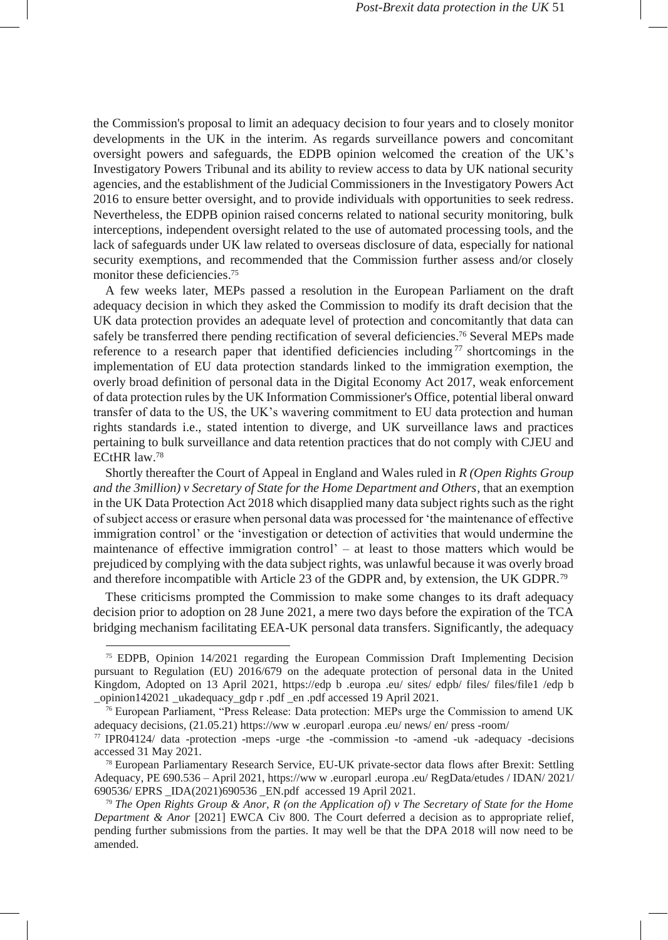the Commission's proposal to limit an adequacy decision to four years and to closely monitor developments in the UK in the interim. As regards surveillance powers and concomitant oversight powers and safeguards, the EDPB opinion welcomed the creation of the UK's Investigatory Powers Tribunal and its ability to review access to data by UK national security agencies, and the establishment of the Judicial Commissioners in the Investigatory Powers Act 2016 to ensure better oversight, and to provide individuals with opportunities to seek redress. Nevertheless, the EDPB opinion raised concerns related to national security monitoring, bulk interceptions, independent oversight related to the use of automated processing tools, and the lack of safeguards under UK law related to overseas disclosure of data, especially for national security exemptions, and recommended that the Commission further assess and/or closely monitor these deficiencies.<sup>75</sup>

A few weeks later, MEPs passed a resolution in the European Parliament on the draft adequacy decision in which they asked the Commission to modify its draft decision that the UK data protection provides an adequate level of protection and concomitantly that data can safely be transferred there pending rectification of several deficiencies.<sup>76</sup> Several MEPs made reference to a research paper that identified deficiencies including<sup>77</sup> shortcomings in the implementation of EU data protection standards linked to the immigration exemption, the overly broad definition of personal data in the Digital Economy Act 2017, weak enforcement of data protection rules by the UK Information Commissioner's Office, potential liberal onward transfer of data to the US, the UK's wavering commitment to EU data protection and human rights standards i.e., stated intention to diverge, and UK surveillance laws and practices pertaining to bulk surveillance and data retention practices that do not comply with CJEU and ECtHR law.<sup>78</sup>

Shortly thereafter the Court of Appeal in England and Wales ruled in *R (Open Rights Group and the 3million) v Secretary of State for the Home Department and Others*, that an exemption in the UK Data Protection Act 2018 which disapplied many data subject rights such as the right of subject access or erasure when personal data was processed for 'the maintenance of effective immigration control' or the 'investigation or detection of activities that would undermine the maintenance of effective immigration control' – at least to those matters which would be prejudiced by complying with the data subject rights, was unlawful because it was overly broad and therefore incompatible with Article 23 of the GDPR and, by extension, the UK GDPR.<sup>79</sup>

These criticisms prompted the Commission to make some changes to its draft adequacy decision prior to adoption on 28 June 2021, a mere two days before the expiration of the TCA bridging mechanism facilitating EEA-UK personal data transfers. Significantly, the adequacy

<sup>75</sup> EDPB, Opinion 14/2021 regarding the European Commission Draft Implementing Decision pursuant to Regulation (EU) 2016/679 on the adequate protection of personal data in the United Kingdom, Adopted on 13 April 2021, [https://edp](https://edpb.europa.eu/sites/edpb/files/files/file1/edpb_opinion142021_ukadequacy_gdpr.pdf_en.pdf) [b](https://edpb.europa.eu/sites/edpb/files/files/file1/edpb_opinion142021_ukadequacy_gdpr.pdf_en.pdf) [.europa](https://edpb.europa.eu/sites/edpb/files/files/file1/edpb_opinion142021_ukadequacy_gdpr.pdf_en.pdf) [.eu/](https://edpb.europa.eu/sites/edpb/files/files/file1/edpb_opinion142021_ukadequacy_gdpr.pdf_en.pdf) [sites/](https://edpb.europa.eu/sites/edpb/files/files/file1/edpb_opinion142021_ukadequacy_gdpr.pdf_en.pdf) [edpb/](https://edpb.europa.eu/sites/edpb/files/files/file1/edpb_opinion142021_ukadequacy_gdpr.pdf_en.pdf) [files/](https://edpb.europa.eu/sites/edpb/files/files/file1/edpb_opinion142021_ukadequacy_gdpr.pdf_en.pdf) [files/file1](https://edpb.europa.eu/sites/edpb/files/files/file1/edpb_opinion142021_ukadequacy_gdpr.pdf_en.pdf) [/edp](https://edpb.europa.eu/sites/edpb/files/files/file1/edpb_opinion142021_ukadequacy_gdpr.pdf_en.pdf) [b](https://edpb.europa.eu/sites/edpb/files/files/file1/edpb_opinion142021_ukadequacy_gdpr.pdf_en.pdf) [\\_opinion142021](https://edpb.europa.eu/sites/edpb/files/files/file1/edpb_opinion142021_ukadequacy_gdpr.pdf_en.pdf) [\\_ukadequacy\\_gdp](https://edpb.europa.eu/sites/edpb/files/files/file1/edpb_opinion142021_ukadequacy_gdpr.pdf_en.pdf) [r](https://edpb.europa.eu/sites/edpb/files/files/file1/edpb_opinion142021_ukadequacy_gdpr.pdf_en.pdf) [.pdf](https://edpb.europa.eu/sites/edpb/files/files/file1/edpb_opinion142021_ukadequacy_gdpr.pdf_en.pdf) [\\_en](https://edpb.europa.eu/sites/edpb/files/files/file1/edpb_opinion142021_ukadequacy_gdpr.pdf_en.pdf) [.pdf a](https://edpb.europa.eu/sites/edpb/files/files/file1/edpb_opinion142021_ukadequacy_gdpr.pdf_en.pdf)ccessed 19 April 2021.

<sup>76</sup> European Parliament, "Press Release: Data protection: MEPs urge the Commission to amend UK adequacy decisions, (21.05.21[\) https://ww](https://www.europarl.europa.eu/news/en/press-room/20210517IPR04124/data-protection-meps-urge-the-commission-to-amend-uk-adequacy-decisions) [w](https://www.europarl.europa.eu/news/en/press-room/20210517IPR04124/data-protection-meps-urge-the-commission-to-amend-uk-adequacy-decisions) [.europarl](https://www.europarl.europa.eu/news/en/press-room/20210517IPR04124/data-protection-meps-urge-the-commission-to-amend-uk-adequacy-decisions) [.europa](https://www.europarl.europa.eu/news/en/press-room/20210517IPR04124/data-protection-meps-urge-the-commission-to-amend-uk-adequacy-decisions) [.eu/](https://www.europarl.europa.eu/news/en/press-room/20210517IPR04124/data-protection-meps-urge-the-commission-to-amend-uk-adequacy-decisions) [news/](https://www.europarl.europa.eu/news/en/press-room/20210517IPR04124/data-protection-meps-urge-the-commission-to-amend-uk-adequacy-decisions) [en/](https://www.europarl.europa.eu/news/en/press-room/20210517IPR04124/data-protection-meps-urge-the-commission-to-amend-uk-adequacy-decisions) [press](https://www.europarl.europa.eu/news/en/press-room/20210517IPR04124/data-protection-meps-urge-the-commission-to-amend-uk-adequacy-decisions) [-room/](https://www.europarl.europa.eu/news/en/press-room/20210517IPR04124/data-protection-meps-urge-the-commission-to-amend-uk-adequacy-decisions)

<sup>77</sup> [IPR04124/](https://www.europarl.europa.eu/news/en/press-room/20210517IPR04124/data-protection-meps-urge-the-commission-to-amend-uk-adequacy-decisions) [data](https://www.europarl.europa.eu/news/en/press-room/20210517IPR04124/data-protection-meps-urge-the-commission-to-amend-uk-adequacy-decisions) [-protection](https://www.europarl.europa.eu/news/en/press-room/20210517IPR04124/data-protection-meps-urge-the-commission-to-amend-uk-adequacy-decisions) [-meps](https://www.europarl.europa.eu/news/en/press-room/20210517IPR04124/data-protection-meps-urge-the-commission-to-amend-uk-adequacy-decisions) [-urge](https://www.europarl.europa.eu/news/en/press-room/20210517IPR04124/data-protection-meps-urge-the-commission-to-amend-uk-adequacy-decisions) [-the](https://www.europarl.europa.eu/news/en/press-room/20210517IPR04124/data-protection-meps-urge-the-commission-to-amend-uk-adequacy-decisions) [-commission](https://www.europarl.europa.eu/news/en/press-room/20210517IPR04124/data-protection-meps-urge-the-commission-to-amend-uk-adequacy-decisions) [-to](https://www.europarl.europa.eu/news/en/press-room/20210517IPR04124/data-protection-meps-urge-the-commission-to-amend-uk-adequacy-decisions) [-amend](https://www.europarl.europa.eu/news/en/press-room/20210517IPR04124/data-protection-meps-urge-the-commission-to-amend-uk-adequacy-decisions) [-uk](https://www.europarl.europa.eu/news/en/press-room/20210517IPR04124/data-protection-meps-urge-the-commission-to-amend-uk-adequacy-decisions) [-adequacy](https://www.europarl.europa.eu/news/en/press-room/20210517IPR04124/data-protection-meps-urge-the-commission-to-amend-uk-adequacy-decisions) [-decisions](https://www.europarl.europa.eu/news/en/press-room/20210517IPR04124/data-protection-meps-urge-the-commission-to-amend-uk-adequacy-decisions) accessed 31 May 2021.

<sup>78</sup> European Parliamentary Research Service, EU-UK private-sector data flows after Brexit: Settling Adequacy, PE 690.536 – April 2021[, https://ww](https://www.europarl.europa.eu/RegData/etudes/IDAN/2021/690536/EPRS_IDA(2021)690536_EN.pdf) [w](https://www.europarl.europa.eu/RegData/etudes/IDAN/2021/690536/EPRS_IDA(2021)690536_EN.pdf) [.europarl](https://www.europarl.europa.eu/RegData/etudes/IDAN/2021/690536/EPRS_IDA(2021)690536_EN.pdf) [.europa](https://www.europarl.europa.eu/RegData/etudes/IDAN/2021/690536/EPRS_IDA(2021)690536_EN.pdf) [.eu/](https://www.europarl.europa.eu/RegData/etudes/IDAN/2021/690536/EPRS_IDA(2021)690536_EN.pdf) [RegData/etudes](https://www.europarl.europa.eu/RegData/etudes/IDAN/2021/690536/EPRS_IDA(2021)690536_EN.pdf) [/](https://www.europarl.europa.eu/RegData/etudes/IDAN/2021/690536/EPRS_IDA(2021)690536_EN.pdf) [IDAN/](https://www.europarl.europa.eu/RegData/etudes/IDAN/2021/690536/EPRS_IDA(2021)690536_EN.pdf) [2021/](https://www.europarl.europa.eu/RegData/etudes/IDAN/2021/690536/EPRS_IDA(2021)690536_EN.pdf) [690536/](https://www.europarl.europa.eu/RegData/etudes/IDAN/2021/690536/EPRS_IDA(2021)690536_EN.pdf) [EPRS](https://www.europarl.europa.eu/RegData/etudes/IDAN/2021/690536/EPRS_IDA(2021)690536_EN.pdf) [\\_IDA\(2021\)690536](https://www.europarl.europa.eu/RegData/etudes/IDAN/2021/690536/EPRS_IDA(2021)690536_EN.pdf) [\\_EN.pdf a](https://www.europarl.europa.eu/RegData/etudes/IDAN/2021/690536/EPRS_IDA(2021)690536_EN.pdf)ccessed 19 April 2021.

<sup>79</sup> *The Open Rights Group & Anor, R (on the Application of) v The Secretary of State for the Home Department & Anor* [2021] EWCA Civ 800. The Court deferred a decision as to appropriate relief, pending further submissions from the parties. It may well be that the DPA 2018 will now need to be amended.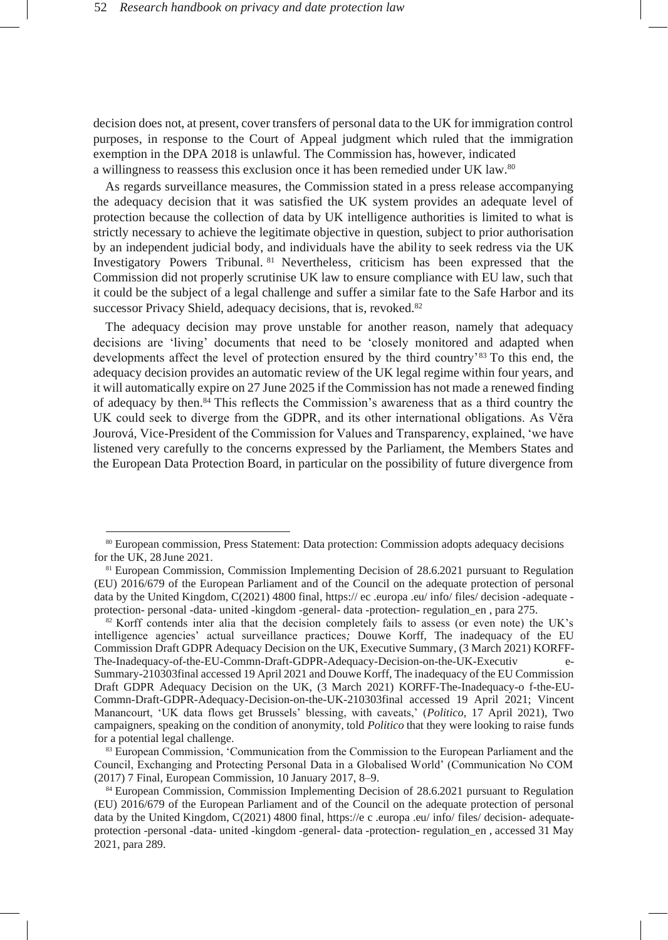decision does not, at present, cover transfers of personal data to the UK for immigration control purposes, in response to the Court of Appeal judgment which ruled that the immigration exemption in the DPA 2018 is unlawful. The Commission has, however, indicated a willingness to reassess this exclusion once it has been remedied under UK law.<sup>80</sup>

As regards surveillance measures, the Commission stated in a press release accompanying the adequacy decision that it was satisfied the UK system provides an adequate level of protection because the collection of data by UK intelligence authorities is limited to what is strictly necessary to achieve the legitimate objective in question, subject to prior authorisation by an independent judicial body, and individuals have the ability to seek redress via the UK Investigatory Powers Tribunal. <sup>81</sup> Nevertheless, criticism has been expressed that the Commission did not properly scrutinise UK law to ensure compliance with EU law, such that it could be the subject of a legal challenge and suffer a similar fate to the Safe Harbor and its successor Privacy Shield, adequacy decisions, that is, revoked.<sup>82</sup>

The adequacy decision may prove unstable for another reason, namely that adequacy decisions are 'living' documents that need to be 'closely monitored and adapted when developments affect the level of protection ensured by the third country'<sup>83</sup> To this end, the adequacy decision provides an automatic review of the UK legal regime within four years, and it will automatically expire on 27 June 2025 if the Commission has not made a renewed finding of adequacy by then.<sup>84</sup> This reflects the Commission's awareness that as a third country the UK could seek to diverge from the GDPR, and its other international obligations. As Věra Jourová, Vice-President of the Commission for Values and Transparency, explained, 'we have listened very carefully to the concerns expressed by the Parliament, the Members States and the European Data Protection Board, in particular on the possibility of future divergence from

<sup>80</sup> European commission, Press Statement: Data protection: Commission adopts adequacy decisions for the UK, 28 June 2021.

<sup>81</sup> European Commission, Commission Implementing Decision of 28.6.2021 pursuant to Regulation (EU) 2016/679 of the European Parliament and of the Council on the adequate protection of personal data by the United Kingdom, C(2021) 4800 final, [https://](https://ec.europa.eu/info/files/decision-adequate-protection-personal-data-united-kingdom-general-data-protection-regulation_en) [ec](https://ec.europa.eu/info/files/decision-adequate-protection-personal-data-united-kingdom-general-data-protection-regulation_en) [.europa](https://ec.europa.eu/info/files/decision-adequate-protection-personal-data-united-kingdom-general-data-protection-regulation_en) [.eu/](https://ec.europa.eu/info/files/decision-adequate-protection-personal-data-united-kingdom-general-data-protection-regulation_en) [info/](https://ec.europa.eu/info/files/decision-adequate-protection-personal-data-united-kingdom-general-data-protection-regulation_en) [files/](https://ec.europa.eu/info/files/decision-adequate-protection-personal-data-united-kingdom-general-data-protection-regulation_en) [decision](https://ec.europa.eu/info/files/decision-adequate-protection-personal-data-united-kingdom-general-data-protection-regulation_en) [-adequate](https://ec.europa.eu/info/files/decision-adequate-protection-personal-data-united-kingdom-general-data-protection-regulation_en)  [protection-](https://ec.europa.eu/info/files/decision-adequate-protection-personal-data-united-kingdom-general-data-protection-regulation_en) [personal](https://ec.europa.eu/info/files/decision-adequate-protection-personal-data-united-kingdom-general-data-protection-regulation_en) [-data-](https://ec.europa.eu/info/files/decision-adequate-protection-personal-data-united-kingdom-general-data-protection-regulation_en) [united](https://ec.europa.eu/info/files/decision-adequate-protection-personal-data-united-kingdom-general-data-protection-regulation_en) [-kingdom](https://ec.europa.eu/info/files/decision-adequate-protection-personal-data-united-kingdom-general-data-protection-regulation_en) [-general-](https://ec.europa.eu/info/files/decision-adequate-protection-personal-data-united-kingdom-general-data-protection-regulation_en) [data](https://ec.europa.eu/info/files/decision-adequate-protection-personal-data-united-kingdom-general-data-protection-regulation_en) [-protection-](https://ec.europa.eu/info/files/decision-adequate-protection-personal-data-united-kingdom-general-data-protection-regulation_en) [regulation\\_en](https://ec.europa.eu/info/files/decision-adequate-protection-personal-data-united-kingdom-general-data-protection-regulation_en) , para 275.

<sup>&</sup>lt;sup>82</sup> Korff contends inter alia that the decision completely fails to assess (or even note) the UK's intelligence agencies' actual surveillance practices*;* Douwe Korff, The inadequacy of the EU Commission Draft GDPR Adequacy Decision on the UK, Executive Summary, (3 March 2021) [KORFF-](https://www.ianbrown.tech/wp-content/uploads/2021/03/KORFF-The-Inadequacy-of-the-EU-Commn-Draft-GDPR-Adequacy-Decision-on-the-UK-Executive-Summary-210303final.pdf)[The-Inadequacy-of-the-EU-Commn-Draft-GDPR-Adequacy-Decision-on-the-UK-Executiv e-](https://www.ianbrown.tech/wp-content/uploads/2021/03/KORFF-The-Inadequacy-of-the-EU-Commn-Draft-GDPR-Adequacy-Decision-on-the-UK-Executive-Summary-210303final.pdf)[Summary-210303final](https://www.ianbrown.tech/wp-content/uploads/2021/03/KORFF-The-Inadequacy-of-the-EU-Commn-Draft-GDPR-Adequacy-Decision-on-the-UK-Executive-Summary-210303final.pdf) accessed 19 April 2021 and Douwe Korff, The inadequacy of the EU Commission

Draft GDPR Adequacy Decision on the UK, (3 March 2021) [KORFF-The-Inadequacy-o f-the-EU-](https://www.ianbrown.tech/wp-content/uploads/2021/03/KORFF-The-Inadequacy-of-the-EU-Commn-Draft-GDPR-Adequacy-Decision-on-the-UK-210303final.pdf)[Commn-Draft-GDPR-Adequacy-Decision-on-the-UK-210303final](https://www.ianbrown.tech/wp-content/uploads/2021/03/KORFF-The-Inadequacy-of-the-EU-Commn-Draft-GDPR-Adequacy-Decision-on-the-UK-210303final.pdf) accessed 19 April 2021; Vincent Manancourt, 'UK data flows get Brussels' blessing, with caveats,' (*Politico*, 17 April 2021), Two campaigners, speaking on the condition of anonymity, told *Politico* that they were looking to raise funds for a potential legal challenge.

<sup>83</sup> European Commission, 'Communication from the Commission to the European Parliament and the Council, Exchanging and Protecting Personal Data in a Globalised World' (Communication No COM (2017) 7 Final, European Commission, 10 January 2017, 8–9.

<sup>84</sup> European Commission, Commission Implementing Decision of 28.6.2021 pursuant to Regulation (EU) 2016/679 of the European Parliament and of the Council on the adequate protection of personal data by the United Kingdom, C(2021) 4800 final, [https://e](https://ec.europa.eu/info/files/decision-adequate-protection-personal-data-united-kingdom-general-data-protection-regulation_en) [c](https://ec.europa.eu/info/files/decision-adequate-protection-personal-data-united-kingdom-general-data-protection-regulation_en) [.europa](https://ec.europa.eu/info/files/decision-adequate-protection-personal-data-united-kingdom-general-data-protection-regulation_en) [.eu/](https://ec.europa.eu/info/files/decision-adequate-protection-personal-data-united-kingdom-general-data-protection-regulation_en) [info/](https://ec.europa.eu/info/files/decision-adequate-protection-personal-data-united-kingdom-general-data-protection-regulation_en) [files/](https://ec.europa.eu/info/files/decision-adequate-protection-personal-data-united-kingdom-general-data-protection-regulation_en) [decision-](https://ec.europa.eu/info/files/decision-adequate-protection-personal-data-united-kingdom-general-data-protection-regulation_en) [adequate](https://ec.europa.eu/info/files/decision-adequate-protection-personal-data-united-kingdom-general-data-protection-regulation_en)[protection](https://ec.europa.eu/info/files/decision-adequate-protection-personal-data-united-kingdom-general-data-protection-regulation_en) [-personal](https://ec.europa.eu/info/files/decision-adequate-protection-personal-data-united-kingdom-general-data-protection-regulation_en) [-data-](https://ec.europa.eu/info/files/decision-adequate-protection-personal-data-united-kingdom-general-data-protection-regulation_en) [united](https://ec.europa.eu/info/files/decision-adequate-protection-personal-data-united-kingdom-general-data-protection-regulation_en) [-kingdom](https://ec.europa.eu/info/files/decision-adequate-protection-personal-data-united-kingdom-general-data-protection-regulation_en) [-general-](https://ec.europa.eu/info/files/decision-adequate-protection-personal-data-united-kingdom-general-data-protection-regulation_en) [data](https://ec.europa.eu/info/files/decision-adequate-protection-personal-data-united-kingdom-general-data-protection-regulation_en) [-protection-](https://ec.europa.eu/info/files/decision-adequate-protection-personal-data-united-kingdom-general-data-protection-regulation_en) [regulation\\_en](https://ec.europa.eu/info/files/decision-adequate-protection-personal-data-united-kingdom-general-data-protection-regulation_en) , accessed 31 May 2021, para 289.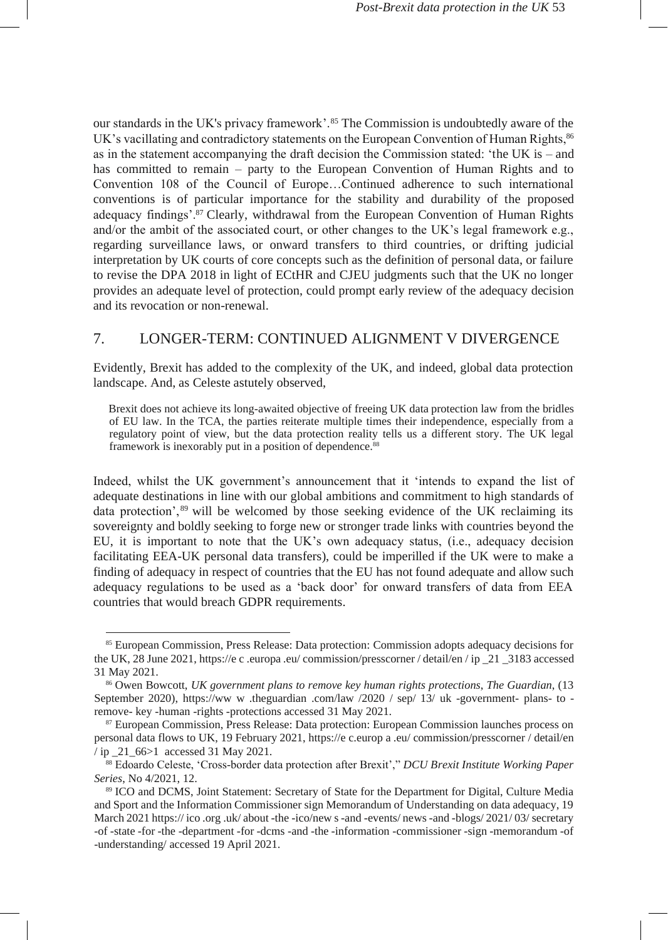our standards in the UK's privacy framework'.<sup>85</sup> The Commission is undoubtedly aware of the UK's vacillating and contradictory statements on the European Convention of Human Rights,  $86$ as in the statement accompanying the draft decision the Commission stated: 'the UK is – and has committed to remain – party to the European Convention of Human Rights and to Convention 108 of the Council of Europe…Continued adherence to such international conventions is of particular importance for the stability and durability of the proposed adequacy findings'.<sup>87</sup> Clearly, withdrawal from the European Convention of Human Rights and/or the ambit of the associated court, or other changes to the UK's legal framework e.g., regarding surveillance laws, or onward transfers to third countries, or drifting judicial interpretation by UK courts of core concepts such as the definition of personal data, or failure to revise the DPA 2018 in light of ECtHR and CJEU judgments such that the UK no longer provides an adequate level of protection, could prompt early review of the adequacy decision and its revocation or non-renewal.

# 7. LONGER-TERM: CONTINUED ALIGNMENT V DIVERGENCE

Evidently, Brexit has added to the complexity of the UK, and indeed, global data protection landscape. And, as Celeste astutely observed,

Brexit does not achieve its long-awaited objective of freeing UK data protection law from the bridles of EU law. In the TCA, the parties reiterate multiple times their independence, especially from a regulatory point of view, but the data protection reality tells us a different story. The UK legal framework is inexorably put in a position of dependence.<sup>88</sup>

Indeed, whilst the UK government's announcement that it 'intends to expand the list of adequate destinations in line with our global ambitions and commitment to high standards of data protection', <sup>89</sup> will be welcomed by those seeking evidence of the UK reclaiming its sovereignty and boldly seeking to forge new or stronger trade links with countries beyond the EU, it is important to note that the UK's own adequacy status, (i.e., adequacy decision facilitating EEA-UK personal data transfers), could be imperilled if the UK were to make a finding of adequacy in respect of countries that the EU has not found adequate and allow such adequacy regulations to be used as a 'back door' for onward transfers of data from EEA countries that would breach GDPR requirements.

<sup>85</sup> European Commission, Press Release: Data protection: Commission adopts adequacy decisions for the UK, 28 June 2021[, https://e](https://ec.europa.eu/commission/presscorner/detail/en/ip_21_3183) [c](https://ec.europa.eu/commission/presscorner/detail/en/ip_21_3183) [.europa](https://ec.europa.eu/commission/presscorner/detail/en/ip_21_3183) [.eu/](https://ec.europa.eu/commission/presscorner/detail/en/ip_21_3183) [commission/presscorner](https://ec.europa.eu/commission/presscorner/detail/en/ip_21_3183) [/](https://ec.europa.eu/commission/presscorner/detail/en/ip_21_3183) [detail/en](https://ec.europa.eu/commission/presscorner/detail/en/ip_21_3183) [/](https://ec.europa.eu/commission/presscorner/detail/en/ip_21_3183) [ip](https://ec.europa.eu/commission/presscorner/detail/en/ip_21_3183) [\\_21 \\_3183](https://ec.europa.eu/commission/presscorner/detail/en/ip_21_3183) accessed 31 May 2021.

<sup>86</sup> Owen Bowcott, *UK government plans to remove key human rights protections*, *The Guardian*, (13 September 2020), [https://ww](https://www.theguardian.com/law/2020/sep/13/uk-government-plans-to-remove-key-human-rights-protections) [w](https://www.theguardian.com/law/2020/sep/13/uk-government-plans-to-remove-key-human-rights-protections) [.theguardian](https://www.theguardian.com/law/2020/sep/13/uk-government-plans-to-remove-key-human-rights-protections) [.com/law](https://www.theguardian.com/law/2020/sep/13/uk-government-plans-to-remove-key-human-rights-protections) [/2020](https://www.theguardian.com/law/2020/sep/13/uk-government-plans-to-remove-key-human-rights-protections) [/](https://www.theguardian.com/law/2020/sep/13/uk-government-plans-to-remove-key-human-rights-protections) [sep/](https://www.theguardian.com/law/2020/sep/13/uk-government-plans-to-remove-key-human-rights-protections) [13/](https://www.theguardian.com/law/2020/sep/13/uk-government-plans-to-remove-key-human-rights-protections) [uk](https://www.theguardian.com/law/2020/sep/13/uk-government-plans-to-remove-key-human-rights-protections) [-government-](https://www.theguardian.com/law/2020/sep/13/uk-government-plans-to-remove-key-human-rights-protections) [plans-](https://www.theguardian.com/law/2020/sep/13/uk-government-plans-to-remove-key-human-rights-protections) [to](https://www.theguardian.com/law/2020/sep/13/uk-government-plans-to-remove-key-human-rights-protections)  [remove-](https://www.theguardian.com/law/2020/sep/13/uk-government-plans-to-remove-key-human-rights-protections) [key](https://www.theguardian.com/law/2020/sep/13/uk-government-plans-to-remove-key-human-rights-protections) [-human](https://www.theguardian.com/law/2020/sep/13/uk-government-plans-to-remove-key-human-rights-protections) [-rights](https://www.theguardian.com/law/2020/sep/13/uk-government-plans-to-remove-key-human-rights-protections) [-protections](https://www.theguardian.com/law/2020/sep/13/uk-government-plans-to-remove-key-human-rights-protections) accessed 31 May 2021.

<sup>87</sup> European Commission, Press Release: Data protection: European Commission launches process on personal data flows to UK, 19 February 202[1,](https://ec.europa.eu/commission/presscorner/detail/en/ip_21_66%3e1) [https://e](https://ec.europa.eu/commission/presscorner/detail/en/ip_21_66%3e1) [c.europ](https://ec.europa.eu/commission/presscorner/detail/en/ip_21_66%3e1) [a](https://ec.europa.eu/commission/presscorner/detail/en/ip_21_66%3e1) [.eu/](https://ec.europa.eu/commission/presscorner/detail/en/ip_21_66%3e1) [commission/presscorner](https://ec.europa.eu/commission/presscorner/detail/en/ip_21_66%3e1) [/](https://ec.europa.eu/commission/presscorner/detail/en/ip_21_66%3e1) [detail/en](https://ec.europa.eu/commission/presscorner/detail/en/ip_21_66%3e1) [/ ip](https://ec.europa.eu/commission/presscorner/detail/en/ip_21_66%3e1) [\\_21\\_66>1](https://ec.europa.eu/commission/presscorner/detail/en/ip_21_66%3e1) accessed 31 May 2021.

<sup>88</sup> Edoardo Celeste, 'Cross-border data protection after Brexit'," *DCU Brexit Institute Working Paper Series*, No 4/2021, 12.

<sup>89</sup> ICO and DCMS, Joint Statement: Secretary of State for the Department for Digital, Culture Media and Sport and the Information Commissioner sign Memorandum of Understanding on data adequacy, 19 March 202[1 https://](https://ico.org.uk/about-the-ico/news-and-events/news-and-blogs/2021/03/secretary-of-state-for-the-department-for-dcms-and-the-information-commissioner-sign-memorandum-of-understanding/)[ico](https://ico.org.uk/about-the-ico/news-and-events/news-and-blogs/2021/03/secretary-of-state-for-the-department-for-dcms-and-the-information-commissioner-sign-memorandum-of-understanding/)[.org](https://ico.org.uk/about-the-ico/news-and-events/news-and-blogs/2021/03/secretary-of-state-for-the-department-for-dcms-and-the-information-commissioner-sign-memorandum-of-understanding/)[.uk/](https://ico.org.uk/about-the-ico/news-and-events/news-and-blogs/2021/03/secretary-of-state-for-the-department-for-dcms-and-the-information-commissioner-sign-memorandum-of-understanding/)[about](https://ico.org.uk/about-the-ico/news-and-events/news-and-blogs/2021/03/secretary-of-state-for-the-department-for-dcms-and-the-information-commissioner-sign-memorandum-of-understanding/) [-the](https://ico.org.uk/about-the-ico/news-and-events/news-and-blogs/2021/03/secretary-of-state-for-the-department-for-dcms-and-the-information-commissioner-sign-memorandum-of-understanding/) [-ico/new](https://ico.org.uk/about-the-ico/news-and-events/news-and-blogs/2021/03/secretary-of-state-for-the-department-for-dcms-and-the-information-commissioner-sign-memorandum-of-understanding/) [s-and](https://ico.org.uk/about-the-ico/news-and-events/news-and-blogs/2021/03/secretary-of-state-for-the-department-for-dcms-and-the-information-commissioner-sign-memorandum-of-understanding/) [-events/](https://ico.org.uk/about-the-ico/news-and-events/news-and-blogs/2021/03/secretary-of-state-for-the-department-for-dcms-and-the-information-commissioner-sign-memorandum-of-understanding/) [news](https://ico.org.uk/about-the-ico/news-and-events/news-and-blogs/2021/03/secretary-of-state-for-the-department-for-dcms-and-the-information-commissioner-sign-memorandum-of-understanding/) [-and](https://ico.org.uk/about-the-ico/news-and-events/news-and-blogs/2021/03/secretary-of-state-for-the-department-for-dcms-and-the-information-commissioner-sign-memorandum-of-understanding/) [-blogs/](https://ico.org.uk/about-the-ico/news-and-events/news-and-blogs/2021/03/secretary-of-state-for-the-department-for-dcms-and-the-information-commissioner-sign-memorandum-of-understanding/) [2021/](https://ico.org.uk/about-the-ico/news-and-events/news-and-blogs/2021/03/secretary-of-state-for-the-department-for-dcms-and-the-information-commissioner-sign-memorandum-of-understanding/) [03/](https://ico.org.uk/about-the-ico/news-and-events/news-and-blogs/2021/03/secretary-of-state-for-the-department-for-dcms-and-the-information-commissioner-sign-memorandum-of-understanding/) [secretary](https://ico.org.uk/about-the-ico/news-and-events/news-and-blogs/2021/03/secretary-of-state-for-the-department-for-dcms-and-the-information-commissioner-sign-memorandum-of-understanding/) [-of](https://ico.org.uk/about-the-ico/news-and-events/news-and-blogs/2021/03/secretary-of-state-for-the-department-for-dcms-and-the-information-commissioner-sign-memorandum-of-understanding/) [-state](https://ico.org.uk/about-the-ico/news-and-events/news-and-blogs/2021/03/secretary-of-state-for-the-department-for-dcms-and-the-information-commissioner-sign-memorandum-of-understanding/) [-for](https://ico.org.uk/about-the-ico/news-and-events/news-and-blogs/2021/03/secretary-of-state-for-the-department-for-dcms-and-the-information-commissioner-sign-memorandum-of-understanding/) [-the](https://ico.org.uk/about-the-ico/news-and-events/news-and-blogs/2021/03/secretary-of-state-for-the-department-for-dcms-and-the-information-commissioner-sign-memorandum-of-understanding/) [-department](https://ico.org.uk/about-the-ico/news-and-events/news-and-blogs/2021/03/secretary-of-state-for-the-department-for-dcms-and-the-information-commissioner-sign-memorandum-of-understanding/) [-for](https://ico.org.uk/about-the-ico/news-and-events/news-and-blogs/2021/03/secretary-of-state-for-the-department-for-dcms-and-the-information-commissioner-sign-memorandum-of-understanding/) [-dcms](https://ico.org.uk/about-the-ico/news-and-events/news-and-blogs/2021/03/secretary-of-state-for-the-department-for-dcms-and-the-information-commissioner-sign-memorandum-of-understanding/) [-and](https://ico.org.uk/about-the-ico/news-and-events/news-and-blogs/2021/03/secretary-of-state-for-the-department-for-dcms-and-the-information-commissioner-sign-memorandum-of-understanding/) [-the](https://ico.org.uk/about-the-ico/news-and-events/news-and-blogs/2021/03/secretary-of-state-for-the-department-for-dcms-and-the-information-commissioner-sign-memorandum-of-understanding/) [-information](https://ico.org.uk/about-the-ico/news-and-events/news-and-blogs/2021/03/secretary-of-state-for-the-department-for-dcms-and-the-information-commissioner-sign-memorandum-of-understanding/) [-commissioner](https://ico.org.uk/about-the-ico/news-and-events/news-and-blogs/2021/03/secretary-of-state-for-the-department-for-dcms-and-the-information-commissioner-sign-memorandum-of-understanding/) [-sign](https://ico.org.uk/about-the-ico/news-and-events/news-and-blogs/2021/03/secretary-of-state-for-the-department-for-dcms-and-the-information-commissioner-sign-memorandum-of-understanding/) [-memorandum -of](https://ico.org.uk/about-the-ico/news-and-events/news-and-blogs/2021/03/secretary-of-state-for-the-department-for-dcms-and-the-information-commissioner-sign-memorandum-of-understanding/) [-understanding/](https://ico.org.uk/about-the-ico/news-and-events/news-and-blogs/2021/03/secretary-of-state-for-the-department-for-dcms-and-the-information-commissioner-sign-memorandum-of-understanding/) accessed 19 April 2021.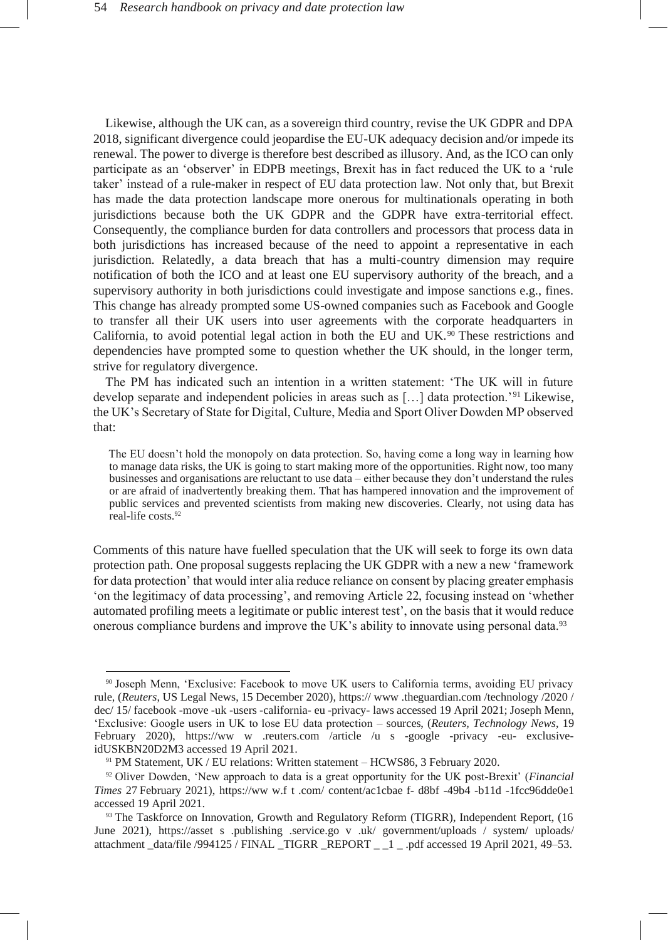Likewise, although the UK can, as a sovereign third country, revise the UK GDPR and DPA 2018, significant divergence could jeopardise the EU-UK adequacy decision and/or impede its renewal. The power to diverge is therefore best described as illusory. And, as the ICO can only participate as an 'observer' in EDPB meetings, Brexit has in fact reduced the UK to a 'rule taker' instead of a rule-maker in respect of EU data protection law. Not only that, but Brexit has made the data protection landscape more onerous for multinationals operating in both jurisdictions because both the UK GDPR and the GDPR have extra-territorial effect. Consequently, the compliance burden for data controllers and processors that process data in both jurisdictions has increased because of the need to appoint a representative in each jurisdiction. Relatedly, a data breach that has a multi-country dimension may require notification of both the ICO and at least one EU supervisory authority of the breach, and a supervisory authority in both jurisdictions could investigate and impose sanctions e.g., fines. This change has already prompted some US-owned companies such as Facebook and Google to transfer all their UK users into user agreements with the corporate headquarters in California, to avoid potential legal action in both the EU and UK. $90$  These restrictions and dependencies have prompted some to question whether the UK should, in the longer term, strive for regulatory divergence.

The PM has indicated such an intention in a written statement: 'The UK will in future develop separate and independent policies in areas such as […] data protection.'<sup>91</sup> Likewise, the UK's Secretary of State for Digital, Culture, Media and Sport Oliver Dowden MP observed that:

The EU doesn't hold the monopoly on data protection. So, having come a long way in learning how to manage data risks, the UK is going to start making more of the opportunities. Right now, too many businesses and organisations are reluctant to use data – either because they don't understand the rules or are afraid of inadvertently breaking them. That has hampered innovation and the improvement of public services and prevented scientists from making new discoveries. Clearly, not using data has real-life costs.<sup>92</sup>

Comments of this nature have fuelled speculation that the UK will seek to forge its own data protection path. One proposal suggests replacing the UK GDPR with a new a new 'framework for data protection' that would inter alia reduce reliance on consent by placing greater emphasis 'on the legitimacy of data processing', and removing Article 22, focusing instead on 'whether automated profiling meets a legitimate or public interest test', on the basis that it would reduce onerous compliance burdens and improve the UK's ability to innovate using personal data.<sup>93</sup>

<sup>90</sup> Joseph Menn, 'Exclusive: Facebook to move UK users to California terms, avoiding EU privacy rule, (*Reuters*, US Legal News, 15 December 2020)[, https://](https://www.theguardian.com/technology/2020/dec/15/facebook-move-uk-users-california-eu-privacy-laws) [www](https://www.theguardian.com/technology/2020/dec/15/facebook-move-uk-users-california-eu-privacy-laws) [.theguardian.com](https://www.theguardian.com/technology/2020/dec/15/facebook-move-uk-users-california-eu-privacy-laws) [/technology](https://www.theguardian.com/technology/2020/dec/15/facebook-move-uk-users-california-eu-privacy-laws) [/2020](https://www.theguardian.com/technology/2020/dec/15/facebook-move-uk-users-california-eu-privacy-laws) [/](https://www.theguardian.com/technology/2020/dec/15/facebook-move-uk-users-california-eu-privacy-laws) [dec/](https://www.theguardian.com/technology/2020/dec/15/facebook-move-uk-users-california-eu-privacy-laws) [15/](https://www.theguardian.com/technology/2020/dec/15/facebook-move-uk-users-california-eu-privacy-laws) [facebook](https://www.theguardian.com/technology/2020/dec/15/facebook-move-uk-users-california-eu-privacy-laws) [-move](https://www.theguardian.com/technology/2020/dec/15/facebook-move-uk-users-california-eu-privacy-laws) [-uk](https://www.theguardian.com/technology/2020/dec/15/facebook-move-uk-users-california-eu-privacy-laws) [-users](https://www.theguardian.com/technology/2020/dec/15/facebook-move-uk-users-california-eu-privacy-laws) [-california-](https://www.theguardian.com/technology/2020/dec/15/facebook-move-uk-users-california-eu-privacy-laws) [eu](https://www.theguardian.com/technology/2020/dec/15/facebook-move-uk-users-california-eu-privacy-laws) [-privacy-](https://www.theguardian.com/technology/2020/dec/15/facebook-move-uk-users-california-eu-privacy-laws) [laws](https://www.theguardian.com/technology/2020/dec/15/facebook-move-uk-users-california-eu-privacy-laws) accessed 19 April 2021; Joseph Menn, 'Exclusive: Google users in UK to lose EU data protection – sources, (*Reuters, Technology News*, 19 February 2020), [https://ww](https://www.reuters.com/article/us-google-privacy-eu-exclusive-idUSKBN20D2M3) [w](https://www.reuters.com/article/us-google-privacy-eu-exclusive-idUSKBN20D2M3) [.reuters.com](https://www.reuters.com/article/us-google-privacy-eu-exclusive-idUSKBN20D2M3) [/article](https://www.reuters.com/article/us-google-privacy-eu-exclusive-idUSKBN20D2M3) [/u](https://www.reuters.com/article/us-google-privacy-eu-exclusive-idUSKBN20D2M3) [s](https://www.reuters.com/article/us-google-privacy-eu-exclusive-idUSKBN20D2M3) [-google](https://www.reuters.com/article/us-google-privacy-eu-exclusive-idUSKBN20D2M3) [-privacy](https://www.reuters.com/article/us-google-privacy-eu-exclusive-idUSKBN20D2M3) [-eu-](https://www.reuters.com/article/us-google-privacy-eu-exclusive-idUSKBN20D2M3) [exclusive](https://www.reuters.com/article/us-google-privacy-eu-exclusive-idUSKBN20D2M3)[idUSKBN20D2M3](https://www.reuters.com/article/us-google-privacy-eu-exclusive-idUSKBN20D2M3) accessed 19 April 2021.

<sup>91</sup> PM Statement, UK / EU relations: Written statement – HCWS86, 3 February 2020.

<sup>92</sup> Oliver Dowden, 'New approach to data is a great opportunity for the UK post-Brexit' (*Financial Times* 27 February 2021), [https://ww](https://www.ft.com/content/ac1cbaef-d8bf-49b4-b11d-1fcc96dde0e1) [w.f](https://www.ft.com/content/ac1cbaef-d8bf-49b4-b11d-1fcc96dde0e1) [t](https://www.ft.com/content/ac1cbaef-d8bf-49b4-b11d-1fcc96dde0e1) [.com/](https://www.ft.com/content/ac1cbaef-d8bf-49b4-b11d-1fcc96dde0e1) [content/ac1cbae](https://www.ft.com/content/ac1cbaef-d8bf-49b4-b11d-1fcc96dde0e1) [f-](https://www.ft.com/content/ac1cbaef-d8bf-49b4-b11d-1fcc96dde0e1) [d8bf](https://www.ft.com/content/ac1cbaef-d8bf-49b4-b11d-1fcc96dde0e1) [-49b4](https://www.ft.com/content/ac1cbaef-d8bf-49b4-b11d-1fcc96dde0e1) [-b11d](https://www.ft.com/content/ac1cbaef-d8bf-49b4-b11d-1fcc96dde0e1) [-1fcc96dde0e1](https://www.ft.com/content/ac1cbaef-d8bf-49b4-b11d-1fcc96dde0e1) accessed 19 April 2021.

<sup>&</sup>lt;sup>93</sup> The Taskforce on Innovation, Growth and Regulatory Reform (TIGRR), Independent Report, (16 June 2021), [https://asset](https://assets.publishing.service.gov.uk/government/uploads/system/uploads/attachment_data/file/994125/FINAL_TIGRR_REPORT__1_.pdf%20accessed%2019%20April%202021) [s](https://assets.publishing.service.gov.uk/government/uploads/system/uploads/attachment_data/file/994125/FINAL_TIGRR_REPORT__1_.pdf%20accessed%2019%20April%202021) [.publishing](https://assets.publishing.service.gov.uk/government/uploads/system/uploads/attachment_data/file/994125/FINAL_TIGRR_REPORT__1_.pdf%20accessed%2019%20April%202021) [.service.go](https://assets.publishing.service.gov.uk/government/uploads/system/uploads/attachment_data/file/994125/FINAL_TIGRR_REPORT__1_.pdf%20accessed%2019%20April%202021) [v](https://assets.publishing.service.gov.uk/government/uploads/system/uploads/attachment_data/file/994125/FINAL_TIGRR_REPORT__1_.pdf%20accessed%2019%20April%202021) [.uk/](https://assets.publishing.service.gov.uk/government/uploads/system/uploads/attachment_data/file/994125/FINAL_TIGRR_REPORT__1_.pdf%20accessed%2019%20April%202021) [government/uploads](https://assets.publishing.service.gov.uk/government/uploads/system/uploads/attachment_data/file/994125/FINAL_TIGRR_REPORT__1_.pdf%20accessed%2019%20April%202021) [/](https://assets.publishing.service.gov.uk/government/uploads/system/uploads/attachment_data/file/994125/FINAL_TIGRR_REPORT__1_.pdf%20accessed%2019%20April%202021) [system/](https://assets.publishing.service.gov.uk/government/uploads/system/uploads/attachment_data/file/994125/FINAL_TIGRR_REPORT__1_.pdf%20accessed%2019%20April%202021) [uploads/](https://assets.publishing.service.gov.uk/government/uploads/system/uploads/attachment_data/file/994125/FINAL_TIGRR_REPORT__1_.pdf%20accessed%2019%20April%202021) [attachment](https://assets.publishing.service.gov.uk/government/uploads/system/uploads/attachment_data/file/994125/FINAL_TIGRR_REPORT__1_.pdf%20accessed%2019%20April%202021) [\\_data/file](https://assets.publishing.service.gov.uk/government/uploads/system/uploads/attachment_data/file/994125/FINAL_TIGRR_REPORT__1_.pdf%20accessed%2019%20April%202021) [/994125](https://assets.publishing.service.gov.uk/government/uploads/system/uploads/attachment_data/file/994125/FINAL_TIGRR_REPORT__1_.pdf%20accessed%2019%20April%202021) [/](https://assets.publishing.service.gov.uk/government/uploads/system/uploads/attachment_data/file/994125/FINAL_TIGRR_REPORT__1_.pdf%20accessed%2019%20April%202021) [FINAL](https://assets.publishing.service.gov.uk/government/uploads/system/uploads/attachment_data/file/994125/FINAL_TIGRR_REPORT__1_.pdf%20accessed%2019%20April%202021) [\\_TIGRR](https://assets.publishing.service.gov.uk/government/uploads/system/uploads/attachment_data/file/994125/FINAL_TIGRR_REPORT__1_.pdf%20accessed%2019%20April%202021) [\\_REPORT](https://assets.publishing.service.gov.uk/government/uploads/system/uploads/attachment_data/file/994125/FINAL_TIGRR_REPORT__1_.pdf%20accessed%2019%20April%202021) [\\_ \\_1 \\_ .pdf accessed 19 April 2021,](https://assets.publishing.service.gov.uk/government/uploads/system/uploads/attachment_data/file/994125/FINAL_TIGRR_REPORT__1_.pdf%20accessed%2019%20April%202021) 49–53.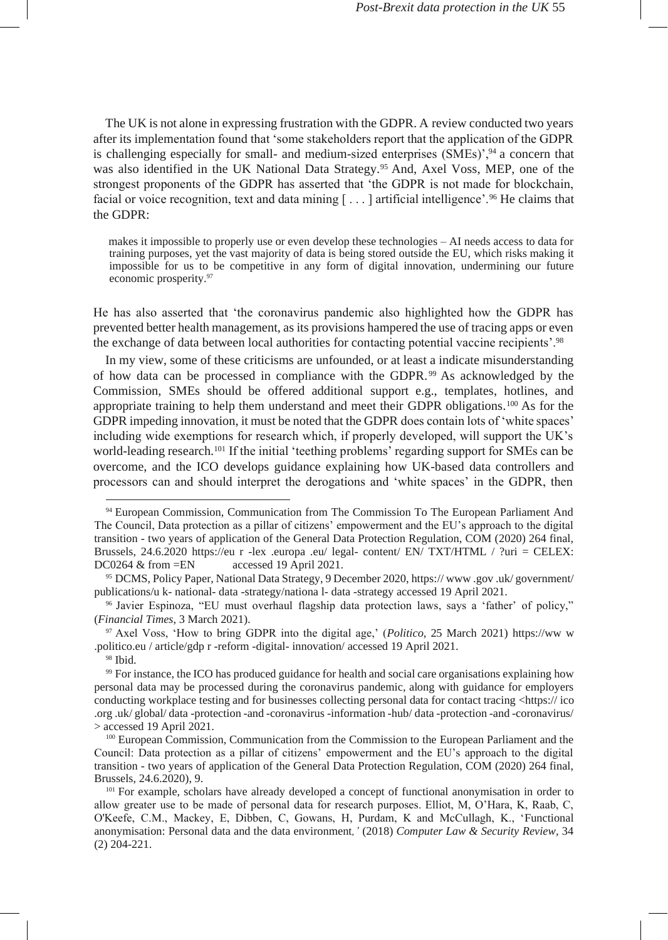The UK is not alone in expressing frustration with the GDPR. A review conducted two years after its implementation found that 'some stakeholders report that the application of the GDPR is challenging especially for small- and medium-sized enterprises  $(SMEs)$ <sup>94</sup> a concern that was also identified in the UK National Data Strategy.<sup>95</sup> And, Axel Voss, MEP, one of the strongest proponents of the GDPR has asserted that 'the GDPR is not made for blockchain, facial or voice recognition, text and data mining  $[\,\ldots\,]$  artificial intelligence'.<sup>96</sup> He claims that the GDPR:

makes it impossible to properly use or even develop these technologies – AI needs access to data for training purposes, yet the vast majority of data is being stored outside the EU, which risks making it impossible for us to be competitive in any form of digital innovation, undermining our future economic prosperity.<sup>97</sup>

He has also asserted that 'the coronavirus pandemic also highlighted how the GDPR has prevented better health management, as its provisions hampered the use of tracing apps or even the exchange of data between local authorities for contacting potential vaccine recipients'.<sup>98</sup>

In my view, some of these criticisms are unfounded, or at least a indicate misunderstanding of how data can be processed in compliance with the GDPR. <sup>99</sup> As acknowledged by the Commission, SMEs should be offered additional support e.g., templates, hotlines, and appropriate training to help them understand and meet their GDPR obligations.<sup>100</sup> As for the GDPR impeding innovation, it must be noted that the GDPR does contain lots of 'white spaces' including wide exemptions for research which, if properly developed, will support the UK's world-leading research.<sup>101</sup> If the initial 'teething problems' regarding support for SMEs can be overcome, and the ICO develops guidance explaining how UK-based data controllers and processors can and should interpret the derogations and 'white spaces' in the GDPR, then

<sup>94</sup> European Commission, Communication from The Commission To The European Parliament And The Council, Data protection as a pillar of citizens' empowerment and the EU's approach to the digital transition - two years of application of the General Data Protection Regulation, COM (2020) 264 final, Brussels, 24.6.2020 [https://eu](https://eur-lex.europa.eu/legal-content/EN/TXT/HTML/?uri=CELEX:52020DC0264&from=EN) [r](https://eur-lex.europa.eu/legal-content/EN/TXT/HTML/?uri=CELEX:52020DC0264&from=EN) [-lex](https://eur-lex.europa.eu/legal-content/EN/TXT/HTML/?uri=CELEX:52020DC0264&from=EN) [.europa](https://eur-lex.europa.eu/legal-content/EN/TXT/HTML/?uri=CELEX:52020DC0264&from=EN) [.eu/](https://eur-lex.europa.eu/legal-content/EN/TXT/HTML/?uri=CELEX:52020DC0264&from=EN) [legal-](https://eur-lex.europa.eu/legal-content/EN/TXT/HTML/?uri=CELEX:52020DC0264&from=EN) [content/](https://eur-lex.europa.eu/legal-content/EN/TXT/HTML/?uri=CELEX:52020DC0264&from=EN) [EN/](https://eur-lex.europa.eu/legal-content/EN/TXT/HTML/?uri=CELEX:52020DC0264&from=EN) [TXT/HTML](https://eur-lex.europa.eu/legal-content/EN/TXT/HTML/?uri=CELEX:52020DC0264&from=EN) [/](https://eur-lex.europa.eu/legal-content/EN/TXT/HTML/?uri=CELEX:52020DC0264&from=EN) [?uri](https://eur-lex.europa.eu/legal-content/EN/TXT/HTML/?uri=CELEX:52020DC0264&from=EN) [= CELEX:](https://eur-lex.europa.eu/legal-content/EN/TXT/HTML/?uri=CELEX:52020DC0264&from=EN) [DC0264](https://eur-lex.europa.eu/legal-content/EN/TXT/HTML/?uri=CELEX:52020DC0264&from=EN) [& from](https://eur-lex.europa.eu/legal-content/EN/TXT/HTML/?uri=CELEX:52020DC0264&from=EN) [=EN](https://eur-lex.europa.eu/legal-content/EN/TXT/HTML/?uri=CELEX:52020DC0264&from=EN) accessed 19 April 2021.

<sup>95</sup> DCMS, Policy Paper, National Data Strategy, 9 December 2020, [https://](https://www.gov.uk/government/publications/uk-national-data-strategy/national-data-strategy) [www](https://www.gov.uk/government/publications/uk-national-data-strategy/national-data-strategy) [.gov](https://www.gov.uk/government/publications/uk-national-data-strategy/national-data-strategy) [.uk/](https://www.gov.uk/government/publications/uk-national-data-strategy/national-data-strategy) [government/](https://www.gov.uk/government/publications/uk-national-data-strategy/national-data-strategy)  [publications/u](https://www.gov.uk/government/publications/uk-national-data-strategy/national-data-strategy) [k-](https://www.gov.uk/government/publications/uk-national-data-strategy/national-data-strategy) [national-](https://www.gov.uk/government/publications/uk-national-data-strategy/national-data-strategy) [data](https://www.gov.uk/government/publications/uk-national-data-strategy/national-data-strategy) [-strategy/nationa](https://www.gov.uk/government/publications/uk-national-data-strategy/national-data-strategy) [l-](https://www.gov.uk/government/publications/uk-national-data-strategy/national-data-strategy) [data](https://www.gov.uk/government/publications/uk-national-data-strategy/national-data-strategy) [-strategy](https://www.gov.uk/government/publications/uk-national-data-strategy/national-data-strategy) accessed 19 April 2021.

<sup>96</sup> Javier Espinoza, "EU must overhaul flagship data protection laws, says a 'father' of policy," (*Financial Times*, 3 March 2021).

<sup>97</sup> Axel Voss, 'How to bring GDPR into the digital age,' (*Politico*, 25 March 2021) [https://ww](https://www.politico.eu/article/gdpr-reform-digital-innovation/) [w](https://www.politico.eu/article/gdpr-reform-digital-innovation/) [.politico.eu](https://www.politico.eu/article/gdpr-reform-digital-innovation/) [/](https://www.politico.eu/article/gdpr-reform-digital-innovation/) [article/gdp](https://www.politico.eu/article/gdpr-reform-digital-innovation/) [r](https://www.politico.eu/article/gdpr-reform-digital-innovation/) [-reform](https://www.politico.eu/article/gdpr-reform-digital-innovation/) [-digital-](https://www.politico.eu/article/gdpr-reform-digital-innovation/) [innovation/ a](https://www.politico.eu/article/gdpr-reform-digital-innovation/)ccessed 19 April 2021.

<sup>98</sup> Ibid.

<sup>99</sup> For instance, the ICO has produced guidance for health and social care organisations explaining how personal data may be processed during the coronavirus pandemic, along with guidance for employers conducting workplace testing and for businesses collecting personal data for contact tracin[g <https://](https://ico.org.uk/global/data-protection-and-coronavirus-information-hub/data-protection-and-coronavirus/) [ico](https://ico.org.uk/global/data-protection-and-coronavirus-information-hub/data-protection-and-coronavirus/) [.org](https://ico.org.uk/global/data-protection-and-coronavirus-information-hub/data-protection-and-coronavirus/) [.uk/](https://ico.org.uk/global/data-protection-and-coronavirus-information-hub/data-protection-and-coronavirus/) [global/](https://ico.org.uk/global/data-protection-and-coronavirus-information-hub/data-protection-and-coronavirus/) [data](https://ico.org.uk/global/data-protection-and-coronavirus-information-hub/data-protection-and-coronavirus/) [-protection](https://ico.org.uk/global/data-protection-and-coronavirus-information-hub/data-protection-and-coronavirus/) [-and](https://ico.org.uk/global/data-protection-and-coronavirus-information-hub/data-protection-and-coronavirus/) [-coronavirus](https://ico.org.uk/global/data-protection-and-coronavirus-information-hub/data-protection-and-coronavirus/) [-information](https://ico.org.uk/global/data-protection-and-coronavirus-information-hub/data-protection-and-coronavirus/) [-hub/](https://ico.org.uk/global/data-protection-and-coronavirus-information-hub/data-protection-and-coronavirus/) [data](https://ico.org.uk/global/data-protection-and-coronavirus-information-hub/data-protection-and-coronavirus/) [-protection](https://ico.org.uk/global/data-protection-and-coronavirus-information-hub/data-protection-and-coronavirus/) [-and](https://ico.org.uk/global/data-protection-and-coronavirus-information-hub/data-protection-and-coronavirus/) [-coronavirus/](https://ico.org.uk/global/data-protection-and-coronavirus-information-hub/data-protection-and-coronavirus/) [>](https://ico.org.uk/global/data-protection-and-coronavirus-information-hub/data-protection-and-coronavirus/) accessed 19 April 2021.

<sup>100</sup> European Commission, Communication from the Commission to the European Parliament and the Council: Data protection as a pillar of citizens' empowerment and the EU's approach to the digital transition - two years of application of the General Data Protection Regulation, COM (2020) 264 final, Brussels, 24.6.2020), 9.

<sup>&</sup>lt;sup>101</sup> For example, scholars have already developed a concept of functional anonymisation in order to allow greater use to be made of personal data for research purposes. Elliot, M, O'Hara, K, Raab, C, O'Keefe, C.M., Mackey, E, Dibben, C, Gowans, H, Purdam, K and McCullagh, K., 'Functional anonymisation: Personal data and the data environment*,'* (2018) *Computer Law & Security Review*, 34 (2) 204-221.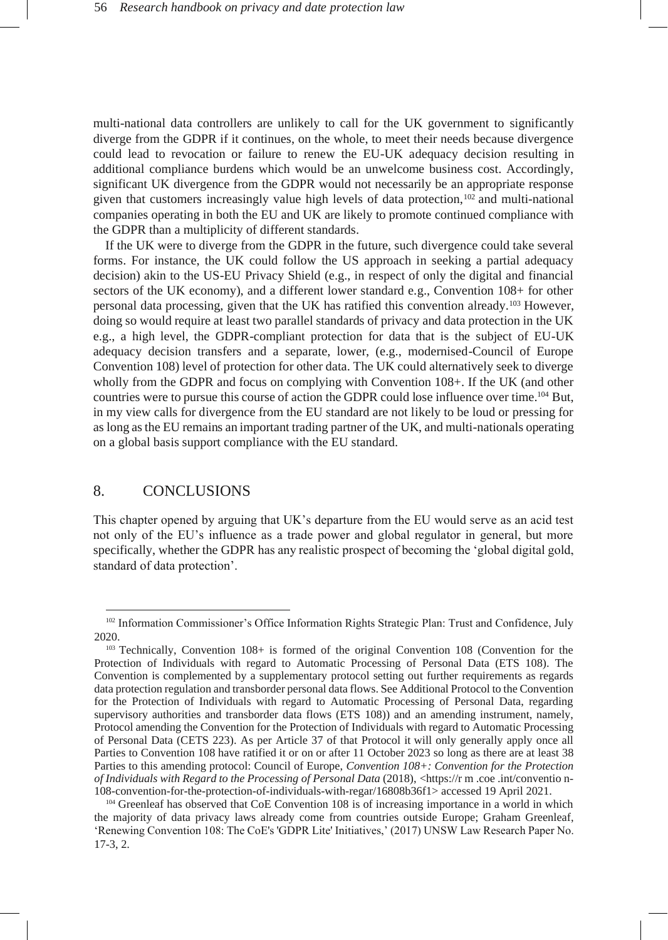multi-national data controllers are unlikely to call for the UK government to significantly diverge from the GDPR if it continues, on the whole, to meet their needs because divergence could lead to revocation or failure to renew the EU-UK adequacy decision resulting in additional compliance burdens which would be an unwelcome business cost. Accordingly, significant UK divergence from the GDPR would not necessarily be an appropriate response given that customers increasingly value high levels of data protection,<sup>102</sup> and multi-national companies operating in both the EU and UK are likely to promote continued compliance with the GDPR than a multiplicity of different standards.

If the UK were to diverge from the GDPR in the future, such divergence could take several forms. For instance, the UK could follow the US approach in seeking a partial adequacy decision) akin to the US-EU Privacy Shield (e.g., in respect of only the digital and financial sectors of the UK economy), and a different lower standard e.g., Convention 108+ for other personal data processing, given that the UK has ratified this convention already.<sup>103</sup> However, doing so would require at least two parallel standards of privacy and data protection in the UK e.g., a high level, the GDPR-compliant protection for data that is the subject of EU-UK adequacy decision transfers and a separate, lower, (e.g., modernised-Council of Europe Convention 108) level of protection for other data. The UK could alternatively seek to diverge wholly from the GDPR and focus on complying with Convention 108+. If the UK (and other countries were to pursue this course of action the GDPR could lose influence over time.<sup>104</sup> But, in my view calls for divergence from the EU standard are not likely to be loud or pressing for as long as the EU remains an important trading partner of the UK, and multi-nationals operating on a global basis support compliance with the EU standard.

## 8. CONCLUSIONS

This chapter opened by arguing that UK's departure from the EU would serve as an acid test not only of the EU's influence as a trade power and global regulator in general, but more specifically, whether the GDPR has any realistic prospect of becoming the 'global digital gold, standard of data protection'.

<sup>102</sup> Information Commissioner's Office Information Rights Strategic Plan: Trust and Confidence, July 2020.

<sup>103</sup> Technically, Convention 108+ is formed of the original Convention 108 (Convention for the Protection of Individuals with regard to Automatic Processing of Personal Data (ETS 108). The Convention is complemented by a supplementary protocol setting out further requirements as regards data protection regulation and transborder personal data flows. See Additional Protocol to the Convention for the Protection of Individuals with regard to Automatic Processing of Personal Data, regarding supervisory authorities and transborder data flows (ETS 108)) and an amending instrument, namely, Protocol amending the Convention for the Protection of Individuals with regard to Automatic Processing of Personal Data (CETS 223). As per Article 37 of that Protocol it will only generally apply once all Parties to Convention 108 have ratified it or on or after 11 October 2023 so long as there are at least 38 Parties to this amending protocol: Council of Europe, *Convention 108+: Convention for the Protection of Individuals with Regard to the Processing of Personal Data* (2018), [<https://r](https://rm.coe.int/convention-%20108-convention-for-the-protection-of-individuals-with-regar/16808b36f1) [m](https://rm.coe.int/convention-%20108-convention-for-the-protection-of-individuals-with-regar/16808b36f1) [.coe](https://rm.coe.int/convention-%20108-convention-for-the-protection-of-individuals-with-regar/16808b36f1) [.int/conventio](https://rm.coe.int/convention-%20108-convention-for-the-protection-of-individuals-with-regar/16808b36f1) [n-](https://rm.coe.int/convention-%20108-convention-for-the-protection-of-individuals-with-regar/16808b36f1)[108-convention-for-the-protection-of-individuals-with-regar/16808b36f1>](https://rm.coe.int/convention-%20108-convention-for-the-protection-of-individuals-with-regar/16808b36f1) accessed 19 April 2021.

<sup>104</sup> Greenleaf has observed that CoE Convention 108 is of increasing importance in a world in which the majority of data privacy laws already come from countries outside Europe; Graham Greenleaf, 'Renewing Convention 108: The CoE's 'GDPR Lite' Initiatives,' (2017) UNSW Law Research Paper No. 17-3, 2.